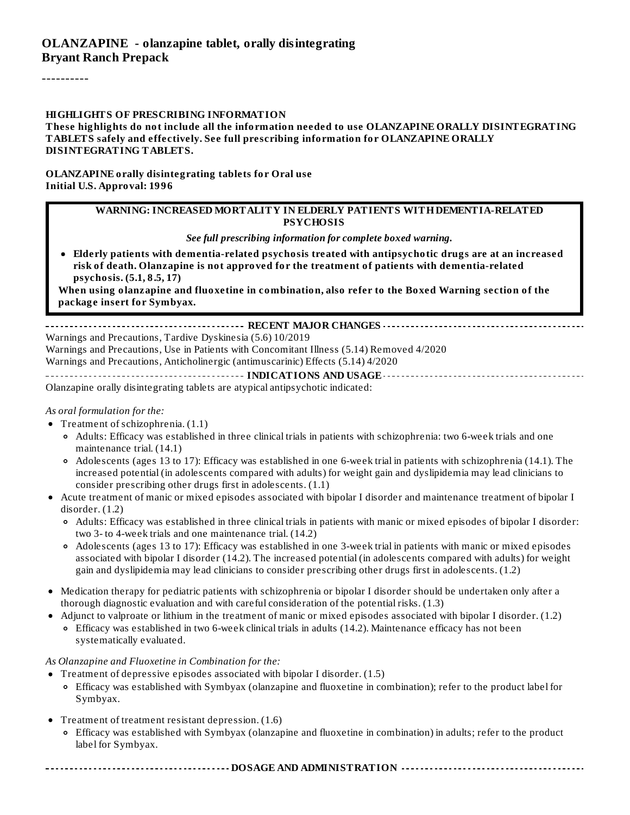----------

#### **HIGHLIGHTS OF PRESCRIBING INFORMATION**

**These highlights do not include all the information needed to use OLANZAPINE ORALLY DISINTEGRATING TABLETS safely and effectively. See full prescribing information for OLANZAPINE ORALLY DISINTEGRATING TABLETS.**

**OLANZAPINE orally disintegrating tablets for Oral use Initial U.S. Approval: 1996**

#### **WARNING: INCREASED MORTALITY IN ELDERLY PATIENTS WITHDEMENTIA-RELATED PSYCHOSIS**

*See full prescribing information for complete boxed warning.*

**Elderly patients with dementia-related psychosis treated with antipsychotic drugs are at an increased risk of death. Olanzapine is not approved for the treatment of patients with dementia-related psychosis. (5.1, 8.5, 17)**

**When using olanzapine and fluoxetine in combination, also refer to the Boxed Warning section of the package insert for Symbyax.**

**RECENT MAJOR CHANGES**

Warnings and Precautions, Tardive Dyskinesia (5.6) 10/2019 Warnings and Precautions, Use in Patients with Concomitant Illness (5.14) Removed 4/2020 Warnings and Precautions, Anticholinergic (antimuscarinic) Effects (5.14) 4/2020

**INDICATIONS AND USAGE** Olanzapine orally disintegrating tablets are atypical antipsychotic indicated:

*As oral formulation for the:*

- Treatment of schizophrenia.  $(1.1)$ 
	- Adults: Efficacy was established in three clinical trials in patients with schizophrenia: two 6-week trials and one maintenance trial. (14.1)
	- Adolescents (ages 13 to 17): Efficacy was established in one 6-week trial in patients with schizophrenia (14.1). The increased potential (in adolescents compared with adults) for weight gain and dyslipidemia may lead clinicians to consider prescribing other drugs first in adolescents. (1.1)
- Acute treatment of manic or mixed episodes associated with bipolar I disorder and maintenance treatment of bipolar I  $\bullet$ disorder. (1.2)
	- Adults: Efficacy was established in three clinical trials in patients with manic or mixed episodes of bipolar I disorder: two 3- to 4-week trials and one maintenance trial. (14.2)
	- Adolescents (ages 13 to 17): Efficacy was established in one 3-week trial in patients with manic or mixed episodes associated with bipolar I disorder (14.2). The increased potential (in adolescents compared with adults) for weight gain and dyslipidemia may lead clinicians to consider prescribing other drugs first in adolescents. (1.2)
- Medication therapy for pediatric patients with schizophrenia or bipolar I disorder should be undertaken only after a thorough diagnostic evaluation and with careful consideration of the potential risks. (1.3)
- Adjunct to valproate or lithium in the treatment of manic or mixed episodes associated with bipolar I disorder. (1.2) Efficacy was established in two 6-week clinical trials in adults (14.2). Maintenance efficacy has not been systematically evaluated.

*As Olanzapine and Fluoxetine in Combination for the:*

- Treatment of depressive episodes associated with bipolar I disorder. (1.5)
	- Efficacy was established with Symbyax (olanzapine and fluoxetine in combination); refer to the product label for Symbyax.
- Treatment of treatment resistant depression. (1.6)
	- Efficacy was established with Symbyax (olanzapine and fluoxetine in combination) in adults; refer to the product label for Symbyax.

**DOSAGE AND ADMINISTRATION**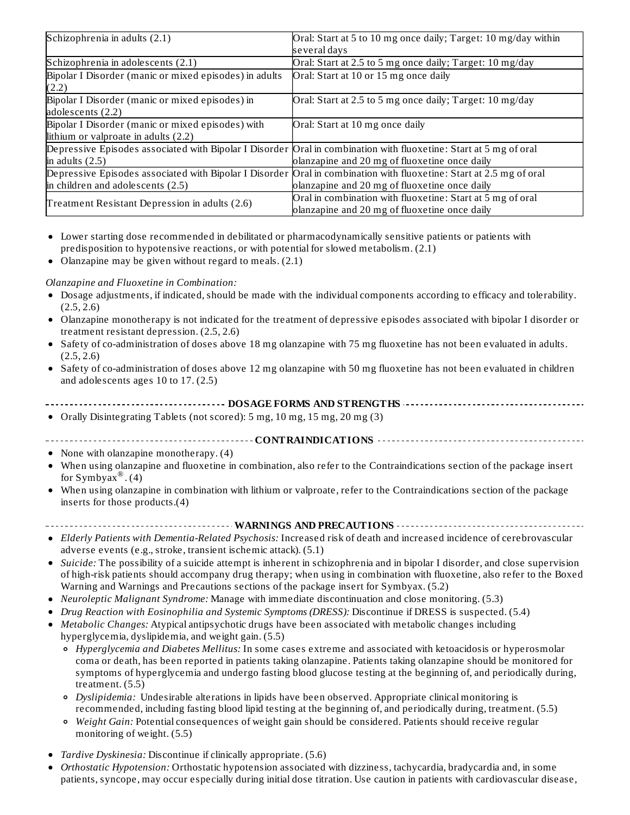| Schizophrenia in adults (2.1)                                                             | Oral: Start at 5 to 10 mg once daily; Target: 10 mg/day within<br>several days                                                                                       |
|-------------------------------------------------------------------------------------------|----------------------------------------------------------------------------------------------------------------------------------------------------------------------|
| Schizophrenia in adolescents (2.1)                                                        | Oral: Start at 2.5 to 5 mg once daily; Target: 10 mg/day                                                                                                             |
| Bipolar I Disorder (manic or mixed episodes) in adults<br>(2.2)                           | Oral: Start at 10 or 15 mg once daily                                                                                                                                |
| Bipolar I Disorder (manic or mixed episodes) in<br>adolescents (2.2)                      | Oral: Start at 2.5 to 5 mg once daily; Target: 10 mg/day                                                                                                             |
| Bipolar I Disorder (manic or mixed episodes) with<br>lithium or valproate in adults (2.2) | Oral: Start at 10 mg once daily                                                                                                                                      |
| in adults $(2.5)$                                                                         | Depressive Episodes associated with Bipolar I Disorder Oral in combination with fluoxetine: Start at 5 mg of oral<br>olanzapine and 20 mg of fluoxetine once daily   |
| in children and adolescents (2.5)                                                         | Depressive Episodes associated with Bipolar I Disorder Oral in combination with fluoxetine: Start at 2.5 mg of oral<br>olanzapine and 20 mg of fluoxetine once daily |
| Treatment Resistant Depression in adults (2.6)                                            | Oral in combination with fluoxetine: Start at 5 mg of oral<br>olanzapine and 20 mg of fluoxetine once daily                                                          |

- Lower starting dose recommended in debilitated or pharmacodynamically sensitive patients or patients with predisposition to hypotensive reactions, or with potential for slowed metabolism. (2.1)
- Olanzapine may be given without regard to meals. (2.1)

#### *Olanzapine and Fluoxetine in Combination:*

- Dosage adjustments, if indicated, should be made with the individual components according to efficacy and tolerability.  $(2.5, 2.6)$
- Olanzapine monotherapy is not indicated for the treatment of depressive episodes associated with bipolar I disorder or treatment resistant depression. (2.5, 2.6)
- Safety of co-administration of doses above 18 mg olanzapine with 75 mg fluoxetine has not been evaluated in adults.  $(2.5, 2.6)$
- Safety of co-administration of doses above 12 mg olanzapine with 50 mg fluoxetine has not been evaluated in children  $\bullet$ and adolescents ages 10 to 17. (2.5)
- **DOSAGE FORMS AND STRENGTHS**
- Orally Disintegrating Tablets (not scored): 5 mg, 10 mg, 15 mg, 20 mg (3)
- **CONTRAINDICATIONS**
- None with olanzapine monotherapy. (4)
- When using olanzapine and fluoxetine in combination, also refer to the Contraindications section of the package insert for Symbyax $^{\circledR}$ . (4)
- When using olanzapine in combination with lithium or valproate, refer to the Contraindications section of the package inserts for those products.(4)

#### **WARNINGS AND PRECAUTIONS**

- *Elderly Patients with Dementia-Related Psychosis:* Increased risk of death and increased incidence of cerebrovascular adverse events (e.g., stroke, transient ischemic attack). (5.1)
- *Suicide:* The possibility of a suicide attempt is inherent in schizophrenia and in bipolar I disorder, and close supervision of high-risk patients should accompany drug therapy; when using in combination with fluoxetine, also refer to the Boxed Warning and Warnings and Precautions sections of the package insert for Symbyax. (5.2)
- *Neuroleptic Malignant Syndrome:* Manage with immediate discontinuation and close monitoring. (5.3)
- *Drug Reaction with Eosinophilia and Systemic Symptoms (DRESS):* Discontinue if DRESS is suspected. (5.4)
- *Metabolic Changes:* Atypical antipsychotic drugs have been associated with metabolic changes including hyperglycemia, dyslipidemia, and weight gain. (5.5)
	- *Hyperglycemia and Diabetes Mellitus:* In some cases extreme and associated with ketoacidosis or hyperosmolar coma or death, has been reported in patients taking olanzapine. Patients taking olanzapine should be monitored for symptoms of hyperglycemia and undergo fasting blood glucose testing at the beginning of, and periodically during, treatment. (5.5)
	- *Dyslipidemia:* Undesirable alterations in lipids have been observed. Appropriate clinical monitoring is recommended, including fasting blood lipid testing at the beginning of, and periodically during, treatment. (5.5)
	- *Weight Gain:* Potential consequences of weight gain should be considered. Patients should receive regular monitoring of weight. (5.5)
- *Tardive Dyskinesia:* Discontinue if clinically appropriate. (5.6)
- *Orthostatic Hypotension:* Orthostatic hypotension associated with dizziness, tachycardia, bradycardia and, in some patients, syncope, may occur especially during initial dose titration. Use caution in patients with cardiovascular disease,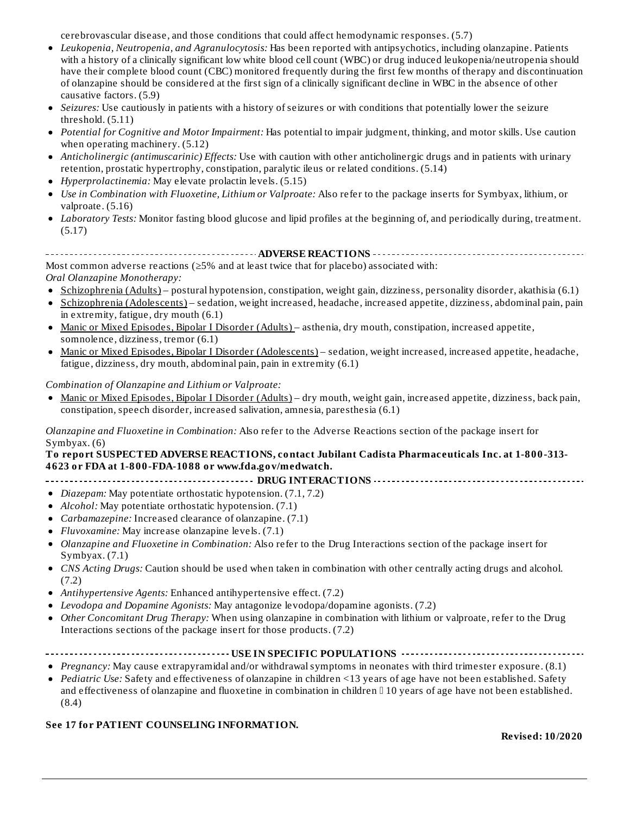cerebrovascular disease, and those conditions that could affect hemodynamic responses. (5.7)

- *Leukopenia, Neutropenia, and Agranulocytosis:* Has been reported with antipsychotics, including olanzapine. Patients with a history of a clinically significant low white blood cell count (WBC) or drug induced leukopenia/neutropenia should have their complete blood count (CBC) monitored frequently during the first few months of therapy and discontinuation of olanzapine should be considered at the first sign of a clinically significant decline in WBC in the absence of other causative factors. (5.9)
- *Seizures:* Use cautiously in patients with a history of seizures or with conditions that potentially lower the seizure  $\bullet$ threshold. (5.11)
- *Potential for Cognitive and Motor Impairment:* Has potential to impair judgment, thinking, and motor skills. Use caution  $\bullet$ when operating machinery. (5.12)
- *Anticholinergic (antimuscarinic) Effects:* Use with caution with other anticholinergic drugs and in patients with urinary retention, prostatic hypertrophy, constipation, paralytic ileus or related conditions. (5.14)
- *Hyperprolactinemia:* May elevate prolactin levels. (5.15)
- *Use in Combination with Fluoxetine, Lithium or Valproate:* Also refer to the package inserts for Symbyax, lithium, or valproate. (5.16)
- *Laboratory Tests:* Monitor fasting blood glucose and lipid profiles at the beginning of, and periodically during, treatment.  $\bullet$ (5.17)

## **ADVERSE REACTIONS**

Most common adverse reactions ( $\geq$ 5% and at least twice that for placebo) associated with:

*Oral Olanzapine Monotherapy:*

- Schizophrenia (Adults) postural hypotension, constipation, weight gain, dizziness, personality disorder, akathisia (6.1)
- Schizophrenia (Adolescents) sedation, weight increased, headache, increased appetite, dizziness, abdominal pain, pain in extremity, fatigue, dry mouth (6.1)
- Manic or Mixed Episodes, Bipolar I Disorder (Adults) asthenia, dry mouth, constipation, increased appetite, somnolence, dizziness, tremor (6.1)
- Manic or Mixed Episodes, Bipolar I Disorder (Adolescents) sedation, weight increased, increased appetite, headache, fatigue, dizziness, dry mouth, abdominal pain, pain in extremity (6.1)

*Combination of Olanzapine and Lithium or Valproate:*

Manic or Mixed Episodes, Bipolar I Disorder (Adults) – dry mouth, weight gain, increased appetite, dizziness, back pain, constipation, speech disorder, increased salivation, amnesia, paresthesia (6.1)

*Olanzapine and Fluoxetine in Combination:* Also refer to the Adverse Reactions section of the package insert for Symbyax. (6)

#### **To report SUSPECTED ADVERSE REACTIONS, contact Jubilant Cadista Pharmaceuticals Inc. at 1-800-313- 4623 or FDA at 1-800-FDA-1088 or www.fda.gov/medwatch.**

**DRUG INTERACTIONS**

- *Diazepam:* May potentiate orthostatic hypotension. (7.1, 7.2)
- *Alcohol:* May potentiate orthostatic hypotension. (7.1)
- *Carbamazepine:* Increased clearance of olanzapine. (7.1)
- *Fluvoxamine:* May increase olanzapine levels. (7.1)
- *Olanzapine and Fluoxetine in Combination:* Also refer to the Drug Interactions section of the package insert for Symbyax.  $(7.1)$
- *CNS Acting Drugs:* Caution should be used when taken in combination with other centrally acting drugs and alcohol. (7.2)
- *Antihypertensive Agents:* Enhanced antihypertensive effect. (7.2)
- *Levodopa and Dopamine Agonists:* May antagonize levodopa/dopamine agonists. (7.2)
- *Other Concomitant Drug Therapy:* When using olanzapine in combination with lithium or valproate, refer to the Drug Interactions sections of the package insert for those products. (7.2)
- **USE IN SPECIFIC POPULATIONS**
- *Pregnancy:* May cause extrapyramidal and/or withdrawalsymptoms in neonates with third trimester exposure. (8.1)
- *Pediatric Use:* Safety and effectiveness of olanzapine in children <13 years of age have not been established. Safety and effectiveness of olanzapine and fluoxetine in combination in children  $\Box$  10 years of age have not been established. (8.4)

#### **See 17 for PATIENT COUNSELING INFORMATION.**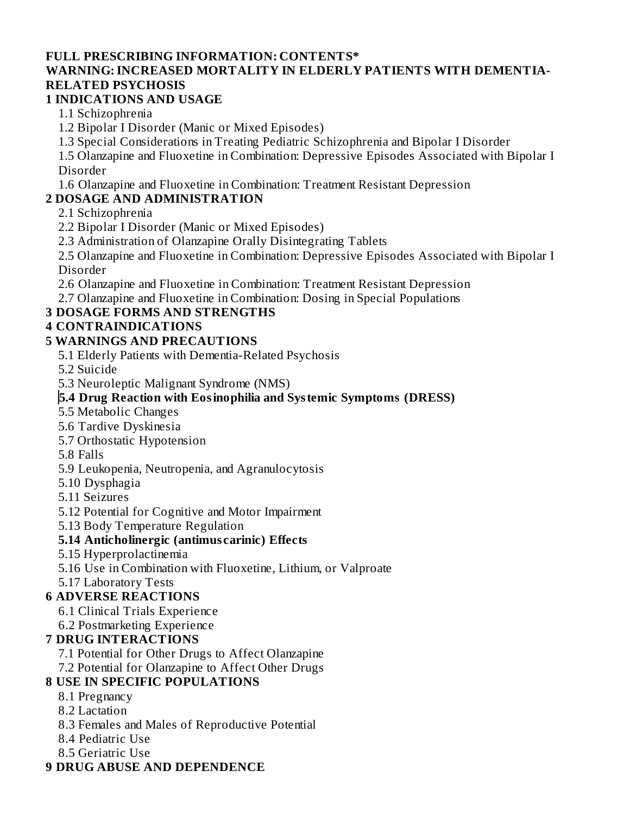### **FULL PRESCRIBING INFORMATION: CONTENTS\* WARNING:INCREASED MORTALITY IN ELDERLY PATIENTS WITH DEMENTIA-RELATED PSYCHOSIS**

#### **1 INDICATIONS AND USAGE**

1.1 Schizophrenia

1.2 Bipolar I Disorder (Manic or Mixed Episodes)

1.3 Special Considerations in Treating Pediatric Schizophrenia and Bipolar I Disorder

1.5 Olanzapine and Fluoxetine in Combination: Depressive Episodes Associated with Bipolar I Disorder

1.6 Olanzapine and Fluoxetine in Combination: Treatment Resistant Depression

### **2 DOSAGE AND ADMINISTRATION**

### 2.1 Schizophrenia

2.2 Bipolar I Disorder (Manic or Mixed Episodes)

2.3 Administration of Olanzapine Orally Disintegrating Tablets

2.5 Olanzapine and Fluoxetine in Combination: Depressive Episodes Associated with Bipolar I Disorder

2.6 Olanzapine and Fluoxetine in Combination: Treatment Resistant Depression

2.7 Olanzapine and Fluoxetine in Combination: Dosing in Special Populations

### **3 DOSAGE FORMS AND STRENGTHS**

### **4 CONTRAINDICATIONS**

### **5 WARNINGS AND PRECAUTIONS**

5.1 Elderly Patients with Dementia-Related Psychosis

5.2 Suicide

5.3 Neuroleptic Malignant Syndrome (NMS)

### **5.4 Drug Reaction with Eosinophilia and Systemic Symptoms (DRESS)**

5.5 Metabolic Changes

### 5.6 Tardive Dyskinesia

5.7 Orthostatic Hypotension

### 5.8 Falls

- 5.9 Leukopenia, Neutropenia, and Agranulocytosis
- 5.10 Dysphagia
- 5.11 Seizures
- 5.12 Potential for Cognitive and Motor Impairment

5.13 Body Temperature Regulation

### **5.14 Anticholinergic (antimus carinic) Effects**

5.15 Hyperprolactinemia

5.16 Use in Combination with Fluoxetine, Lithium, or Valproate

5.17 Laboratory Tests

### **6 ADVERSE REACTIONS**

6.1 Clinical Trials Experience

6.2 Postmarketing Experience

### **7 DRUG INTERACTIONS**

7.1 Potential for Other Drugs to Affect Olanzapine

7.2 Potential for Olanzapine to Affect Other Drugs

### **8 USE IN SPECIFIC POPULATIONS**

- 8.1 Pregnancy
- 8.2 Lactation
- 8.3 Females and Males of Reproductive Potential
- 8.4 Pediatric Use
- 8.5 Geriatric Use

# **9 DRUG ABUSE AND DEPENDENCE**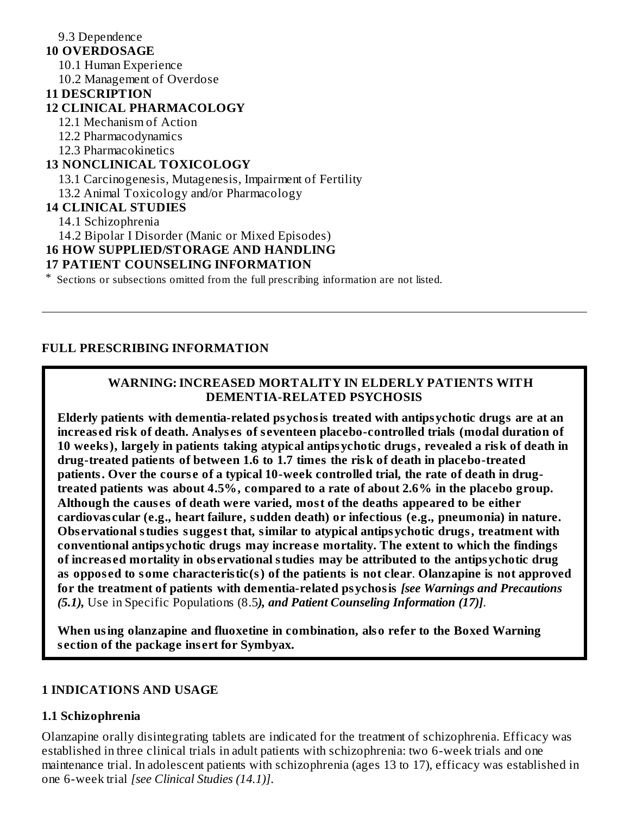#### 9.3 Dependence **10 OVERDOSAGE** 10.1 Human Experience 10.2 Management of Overdose **11 DESCRIPTION 12 CLINICAL PHARMACOLOGY** 12.1 Mechanism of Action 12.2 Pharmacodynamics 12.3 Pharmacokinetics **13 NONCLINICAL TOXICOLOGY** 13.1 Carcinogenesis, Mutagenesis, Impairment of Fertility 13.2 Animal Toxicology and/or Pharmacology **14 CLINICAL STUDIES** 14.1 Schizophrenia 14.2 Bipolar I Disorder (Manic or Mixed Episodes) **16 HOW SUPPLIED/STORAGE AND HANDLING 17 PATIENT COUNSELING INFORMATION** \* Sections or subsections omitted from the full prescribing information are not listed.

#### **FULL PRESCRIBING INFORMATION**

#### **WARNING:INCREASED MORTALITY IN ELDERLY PATIENTS WITH DEMENTIA-RELATED PSYCHOSIS**

**Elderly patients with dementia-related psychosis treated with antipsychotic drugs are at an increas ed risk of death. Analys es of s eventeen placebo-controlled trials (modal duration of 10 weeks), largely in patients taking atypical antipsychotic drugs, revealed a risk of death in drug-treated patients of between 1.6 to 1.7 times the risk of death in placebo-treated patients. Over the cours e of a typical 10-week controlled trial, the rate of death in drugtreated patients was about 4.5%, compared to a rate of about 2.6% in the placebo group. Although the caus es of death were varied, most of the deaths appeared to be either cardiovas cular (e.g., heart failure, sudden death) or infectious (e.g., pneumonia) in nature. Obs ervational studies suggest that, similar to atypical antipsychotic drugs, treatment with conventional antipsychotic drugs may increas e mortality. The extent to which the findings of increas ed mortality in obs ervational studies may be attributed to the antipsychotic drug as oppos ed to some characteristic(s) of the patients is not clear**. **Olanzapine is not approved for the treatment of patients with dementia-related psychosis** *[see Warnings and Precautions (5.1),* Use in Specific Populations (8.5*), and Patient Counseling Information (17)]*.

**When using olanzapine and fluoxetine in combination, also refer to the Boxed Warning s ection of the package ins ert for Symbyax.**

#### **1 INDICATIONS AND USAGE**

#### **1.1 Schizophrenia**

Olanzapine orally disintegrating tablets are indicated for the treatment of schizophrenia. Efficacy was established in three clinical trials in adult patients with schizophrenia: two 6-week trials and one maintenance trial. In adolescent patients with schizophrenia (ages 13 to 17), efficacy was established in one 6-week trial *[see Clinical Studies (14.1)]*.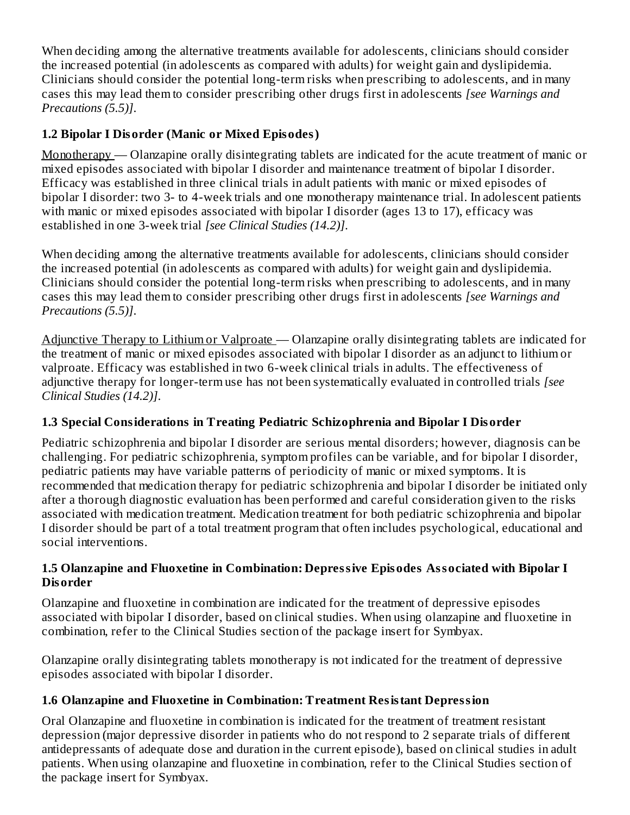When deciding among the alternative treatments available for adolescents, clinicians should consider the increased potential (in adolescents as compared with adults) for weight gain and dyslipidemia. Clinicians should consider the potential long-term risks when prescribing to adolescents, and in many cases this may lead them to consider prescribing other drugs first in adolescents *[see Warnings and Precautions (5.5)]*.

### **1.2 Bipolar I Disorder (Manic or Mixed Episodes)**

Monotherapy — Olanzapine orally disintegrating tablets are indicated for the acute treatment of manic or mixed episodes associated with bipolar I disorder and maintenance treatment of bipolar I disorder. Efficacy was established in three clinical trials in adult patients with manic or mixed episodes of bipolar I disorder: two 3- to 4-week trials and one monotherapy maintenance trial. In adolescent patients with manic or mixed episodes associated with bipolar I disorder (ages 13 to 17), efficacy was established in one 3-week trial *[see Clinical Studies (14.2)]*.

When deciding among the alternative treatments available for adolescents, clinicians should consider the increased potential (in adolescents as compared with adults) for weight gain and dyslipidemia. Clinicians should consider the potential long-term risks when prescribing to adolescents, and in many cases this may lead them to consider prescribing other drugs first in adolescents *[see Warnings and Precautions (5.5)]*.

Adjunctive Therapy to Lithium or Valproate — Olanzapine orally disintegrating tablets are indicated for the treatment of manic or mixed episodes associated with bipolar I disorder as an adjunct to lithium or valproate. Efficacy was established in two 6-week clinical trials in adults. The effectiveness of adjunctive therapy for longer-term use has not been systematically evaluated in controlled trials *[see Clinical Studies (14.2)]*.

## **1.3 Special Considerations in Treating Pediatric Schizophrenia and Bipolar I Disorder**

Pediatric schizophrenia and bipolar I disorder are serious mental disorders; however, diagnosis can be challenging. For pediatric schizophrenia, symptom profiles can be variable, and for bipolar I disorder, pediatric patients may have variable patterns of periodicity of manic or mixed symptoms. It is recommended that medication therapy for pediatric schizophrenia and bipolar I disorder be initiated only after a thorough diagnostic evaluation has been performed and careful consideration given to the risks associated with medication treatment. Medication treatment for both pediatric schizophrenia and bipolar I disorder should be part of a total treatment program that often includes psychological, educational and social interventions.

#### **1.5 Olanzapine and Fluoxetine in Combination: Depressive Episodes Associated with Bipolar I Disorder**

Olanzapine and fluoxetine in combination are indicated for the treatment of depressive episodes associated with bipolar I disorder, based on clinical studies. When using olanzapine and fluoxetine in combination, refer to the Clinical Studies section of the package insert for Symbyax.

Olanzapine orally disintegrating tablets monotherapy is not indicated for the treatment of depressive episodes associated with bipolar I disorder.

### **1.6 Olanzapine and Fluoxetine in Combination: Treatment Resistant Depression**

Oral Olanzapine and fluoxetine in combination is indicated for the treatment of treatment resistant depression (major depressive disorder in patients who do not respond to 2 separate trials of different antidepressants of adequate dose and duration in the current episode), based on clinical studies in adult patients. When using olanzapine and fluoxetine in combination, refer to the Clinical Studies section of the package insert for Symbyax.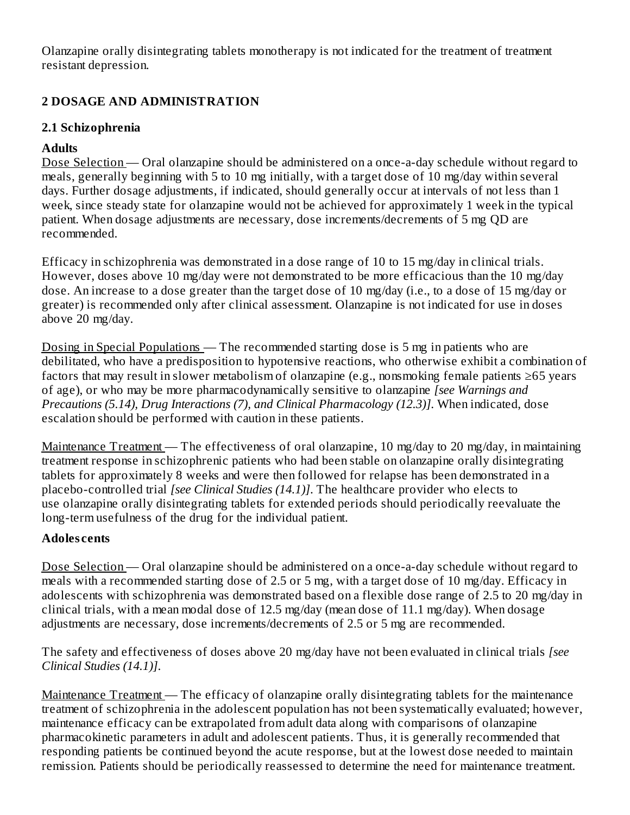Olanzapine orally disintegrating tablets monotherapy is not indicated for the treatment of treatment resistant depression.

### **2 DOSAGE AND ADMINISTRATION**

### **2.1 Schizophrenia**

### **Adults**

Dose Selection — Oral olanzapine should be administered on a once-a-day schedule without regard to meals, generally beginning with 5 to 10 mg initially, with a target dose of 10 mg/day within several days. Further dosage adjustments, if indicated, should generally occur at intervals of not less than 1 week, since steady state for olanzapine would not be achieved for approximately 1 week in the typical patient. When dosage adjustments are necessary, dose increments/decrements of 5 mg QD are recommended.

Efficacy in schizophrenia was demonstrated in a dose range of 10 to 15 mg/day in clinical trials. However, doses above 10 mg/day were not demonstrated to be more efficacious than the 10 mg/day dose. An increase to a dose greater than the target dose of 10 mg/day (i.e., to a dose of 15 mg/day or greater) is recommended only after clinical assessment. Olanzapine is not indicated for use in doses above 20 mg/day.

Dosing in Special Populations — The recommended starting dose is 5 mg in patients who are debilitated, who have a predisposition to hypotensive reactions, who otherwise exhibit a combination of factors that may result in slower metabolism of olanzapine (e.g., nonsmoking female patients ≥65 years of age), or who may be more pharmacodynamically sensitive to olanzapine *[see Warnings and Precautions (5.14), Drug Interactions (7), and Clinical Pharmacology (12.3)]*. When indicated, dose escalation should be performed with caution in these patients.

Maintenance Treatment — The effectiveness of oral olanzapine, 10 mg/day to 20 mg/day, in maintaining treatment response in schizophrenic patients who had been stable on olanzapine orally disintegrating tablets for approximately 8 weeks and were then followed for relapse has been demonstrated in a placebo-controlled trial *[see Clinical Studies (14.1)]*. The healthcare provider who elects to use olanzapine orally disintegrating tablets for extended periods should periodically reevaluate the long-term usefulness of the drug for the individual patient.

### **Adoles cents**

Dose Selection — Oral olanzapine should be administered on a once-a-day schedule without regard to meals with a recommended starting dose of 2.5 or 5 mg, with a target dose of 10 mg/day. Efficacy in adolescents with schizophrenia was demonstrated based on a flexible dose range of 2.5 to 20 mg/day in clinical trials, with a mean modal dose of 12.5 mg/day (mean dose of 11.1 mg/day). When dosage adjustments are necessary, dose increments/decrements of 2.5 or 5 mg are recommended.

The safety and effectiveness of doses above 20 mg/day have not been evaluated in clinical trials *[see Clinical Studies (14.1)]*.

Maintenance Treatment — The efficacy of olanzapine orally disintegrating tablets for the maintenance treatment of schizophrenia in the adolescent population has not been systematically evaluated; however, maintenance efficacy can be extrapolated from adult data along with comparisons of olanzapine pharmacokinetic parameters in adult and adolescent patients. Thus, it is generally recommended that responding patients be continued beyond the acute response, but at the lowest dose needed to maintain remission. Patients should be periodically reassessed to determine the need for maintenance treatment.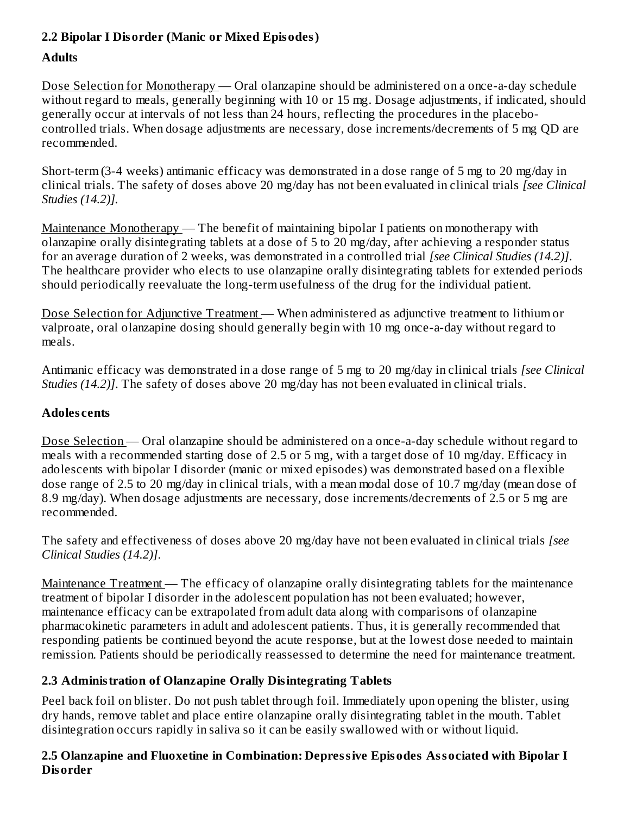### **2.2 Bipolar I Disorder (Manic or Mixed Episodes)**

### **Adults**

Dose Selection for Monotherapy — Oral olanzapine should be administered on a once-a-day schedule without regard to meals, generally beginning with 10 or 15 mg. Dosage adjustments, if indicated, should generally occur at intervals of not less than 24 hours, reflecting the procedures in the placebocontrolled trials. When dosage adjustments are necessary, dose increments/decrements of 5 mg QD are recommended.

Short-term (3-4 weeks) antimanic efficacy was demonstrated in a dose range of 5 mg to 20 mg/day in clinical trials. The safety of doses above 20 mg/day has not been evaluated in clinical trials *[see Clinical Studies (14.2)].*

Maintenance Monotherapy — The benefit of maintaining bipolar I patients on monotherapy with olanzapine orally disintegrating tablets at a dose of 5 to 20 mg/day, after achieving a responder status for an average duration of 2 weeks, was demonstrated in a controlled trial *[see Clinical Studies (14.2)]*. The healthcare provider who elects to use olanzapine orally disintegrating tablets for extended periods should periodically reevaluate the long-term usefulness of the drug for the individual patient.

Dose Selection for Adjunctive Treatment — When administered as adjunctive treatment to lithium or valproate, oral olanzapine dosing should generally begin with 10 mg once-a-day without regard to meals.

Antimanic efficacy was demonstrated in a dose range of 5 mg to 20 mg/day in clinical trials *[see Clinical Studies (14.2)]*. The safety of doses above 20 mg/day has not been evaluated in clinical trials.

### **Adoles cents**

Dose Selection — Oral olanzapine should be administered on a once-a-day schedule without regard to meals with a recommended starting dose of 2.5 or 5 mg, with a target dose of 10 mg/day. Efficacy in adolescents with bipolar I disorder (manic or mixed episodes) was demonstrated based on a flexible dose range of 2.5 to 20 mg/day in clinical trials, with a mean modal dose of 10.7 mg/day (mean dose of 8.9 mg/day). When dosage adjustments are necessary, dose increments/decrements of 2.5 or 5 mg are recommended.

The safety and effectiveness of doses above 20 mg/day have not been evaluated in clinical trials *[see Clinical Studies (14.2)]*.

Maintenance Treatment — The efficacy of olanzapine orally disintegrating tablets for the maintenance treatment of bipolar I disorder in the adolescent population has not been evaluated; however, maintenance efficacy can be extrapolated from adult data along with comparisons of olanzapine pharmacokinetic parameters in adult and adolescent patients. Thus, it is generally recommended that responding patients be continued beyond the acute response, but at the lowest dose needed to maintain remission. Patients should be periodically reassessed to determine the need for maintenance treatment.

### **2.3 Administration of Olanzapine Orally Disintegrating Tablets**

Peel back foil on blister. Do not push tablet through foil. Immediately upon opening the blister, using dry hands, remove tablet and place entire olanzapine orally disintegrating tablet in the mouth. Tablet disintegration occurs rapidly in saliva so it can be easily swallowed with or without liquid.

### **2.5 Olanzapine and Fluoxetine in Combination: Depressive Episodes Associated with Bipolar I Disorder**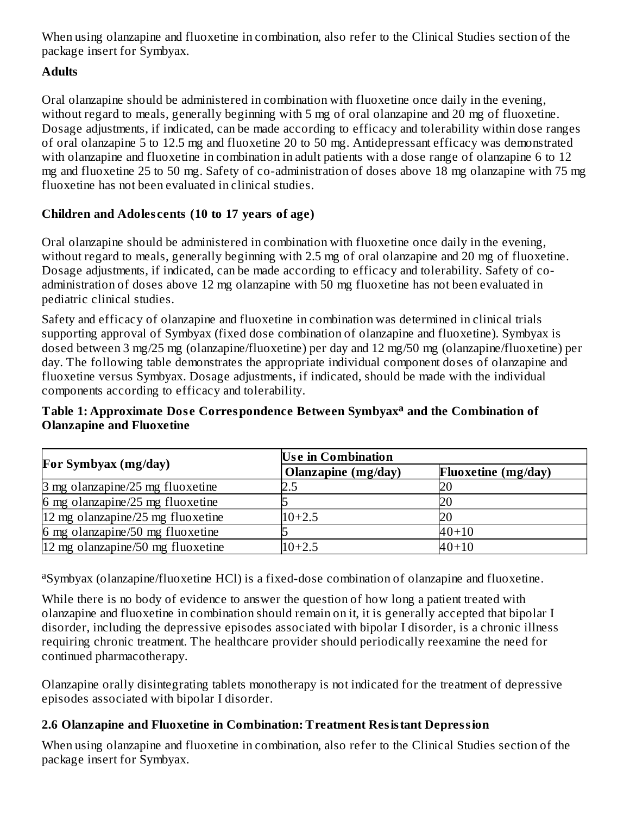When using olanzapine and fluoxetine in combination, also refer to the Clinical Studies section of the package insert for Symbyax.

### **Adults**

Oral olanzapine should be administered in combination with fluoxetine once daily in the evening, without regard to meals, generally beginning with 5 mg of oral olanzapine and 20 mg of fluoxetine. Dosage adjustments, if indicated, can be made according to efficacy and tolerability within dose ranges of oral olanzapine 5 to 12.5 mg and fluoxetine 20 to 50 mg. Antidepressant efficacy was demonstrated with olanzapine and fluoxetine in combination in adult patients with a dose range of olanzapine 6 to 12 mg and fluoxetine 25 to 50 mg. Safety of co-administration of doses above 18 mg olanzapine with 75 mg fluoxetine has not been evaluated in clinical studies.

## **Children and Adoles cents (10 to 17 years of age)**

Oral olanzapine should be administered in combination with fluoxetine once daily in the evening, without regard to meals, generally beginning with 2.5 mg of oral olanzapine and 20 mg of fluoxetine. Dosage adjustments, if indicated, can be made according to efficacy and tolerability. Safety of coadministration of doses above 12 mg olanzapine with 50 mg fluoxetine has not been evaluated in pediatric clinical studies.

Safety and efficacy of olanzapine and fluoxetine in combination was determined in clinical trials supporting approval of Symbyax (fixed dose combination of olanzapine and fluoxetine). Symbyax is dosed between 3 mg/25 mg (olanzapine/fluoxetine) per day and 12 mg/50 mg (olanzapine/fluoxetine) per day. The following table demonstrates the appropriate individual component doses of olanzapine and fluoxetine versus Symbyax. Dosage adjustments, if indicated, should be made with the individual components according to efficacy and tolerability.

#### **Table 1: Approximate Dos e Correspondence Between Symbyax and the Combination of a Olanzapine and Fluoxetine**

|                                   | <b>Use in Combination</b> |                            |  |  |  |  |
|-----------------------------------|---------------------------|----------------------------|--|--|--|--|
| <b>For Symbyax (mg/day)</b>       | Olanzapine (mg/day)       | <b>Fluoxetine</b> (mg/day) |  |  |  |  |
| 3 mg olanzapine/25 mg fluoxetine  | 2.5                       |                            |  |  |  |  |
| 6 mg olanzapine/25 mg fluoxetine  |                           | 20                         |  |  |  |  |
| 12 mg olanzapine/25 mg fluoxetine | $10+2.5$                  |                            |  |  |  |  |
| 6 mg olanzapine/50 mg fluoxetine  |                           | $40 + 10$                  |  |  |  |  |
| 12 mg olanzapine/50 mg fluoxetine | $10+2.5$                  | $40 + 10$                  |  |  |  |  |

<sup>a</sup>Symbyax (olanzapine/fluoxetine HCl) is a fixed-dose combination of olanzapine and fluoxetine.

While there is no body of evidence to answer the question of how long a patient treated with olanzapine and fluoxetine in combination should remain on it, it is generally accepted that bipolar I disorder, including the depressive episodes associated with bipolar I disorder, is a chronic illness requiring chronic treatment. The healthcare provider should periodically reexamine the need for continued pharmacotherapy.

Olanzapine orally disintegrating tablets monotherapy is not indicated for the treatment of depressive episodes associated with bipolar I disorder.

### **2.6 Olanzapine and Fluoxetine in Combination: Treatment Resistant Depression**

When using olanzapine and fluoxetine in combination, also refer to the Clinical Studies section of the package insert for Symbyax.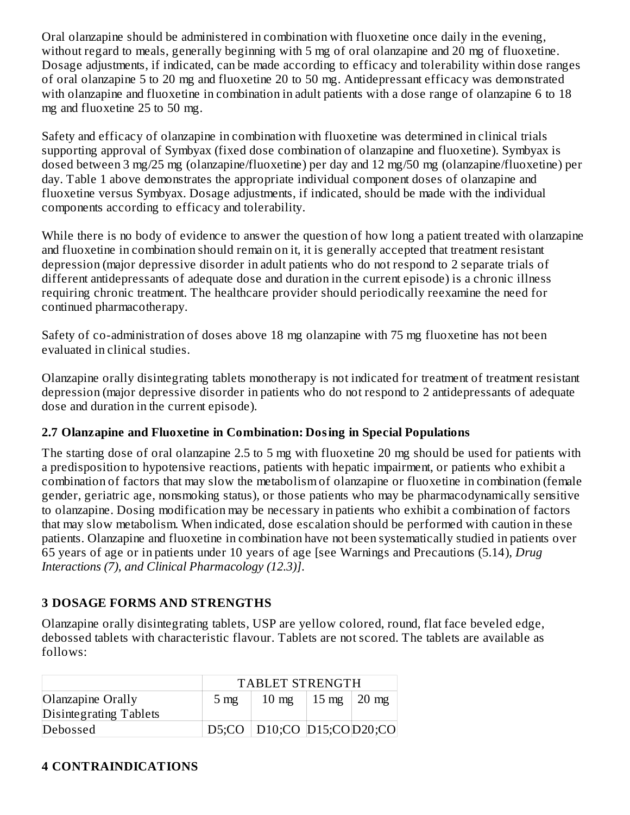Oral olanzapine should be administered in combination with fluoxetine once daily in the evening, without regard to meals, generally beginning with 5 mg of oral olanzapine and 20 mg of fluoxetine. Dosage adjustments, if indicated, can be made according to efficacy and tolerability within dose ranges of oral olanzapine 5 to 20 mg and fluoxetine 20 to 50 mg. Antidepressant efficacy was demonstrated with olanzapine and fluoxetine in combination in adult patients with a dose range of olanzapine 6 to 18 mg and fluoxetine 25 to 50 mg.

Safety and efficacy of olanzapine in combination with fluoxetine was determined in clinical trials supporting approval of Symbyax (fixed dose combination of olanzapine and fluoxetine). Symbyax is dosed between 3 mg/25 mg (olanzapine/fluoxetine) per day and 12 mg/50 mg (olanzapine/fluoxetine) per day. Table 1 above demonstrates the appropriate individual component doses of olanzapine and fluoxetine versus Symbyax. Dosage adjustments, if indicated, should be made with the individual components according to efficacy and tolerability.

While there is no body of evidence to answer the question of how long a patient treated with olanzapine and fluoxetine in combination should remain on it, it is generally accepted that treatment resistant depression (major depressive disorder in adult patients who do not respond to 2 separate trials of different antidepressants of adequate dose and duration in the current episode) is a chronic illness requiring chronic treatment. The healthcare provider should periodically reexamine the need for continued pharmacotherapy.

Safety of co-administration of doses above 18 mg olanzapine with 75 mg fluoxetine has not been evaluated in clinical studies.

Olanzapine orally disintegrating tablets monotherapy is not indicated for treatment of treatment resistant depression (major depressive disorder in patients who do not respond to 2 antidepressants of adequate dose and duration in the current episode).

#### **2.7 Olanzapine and Fluoxetine in Combination: Dosing in Special Populations**

The starting dose of oral olanzapine 2.5 to 5 mg with fluoxetine 20 mg should be used for patients with a predisposition to hypotensive reactions, patients with hepatic impairment, or patients who exhibit a combination of factors that may slow the metabolism of olanzapine or fluoxetine in combination (female gender, geriatric age, nonsmoking status), or those patients who may be pharmacodynamically sensitive to olanzapine. Dosing modification may be necessary in patients who exhibit a combination of factors that may slow metabolism. When indicated, dose escalation should be performed with caution in these patients. Olanzapine and fluoxetine in combination have not been systematically studied in patients over 65 years of age or in patients under 10 years of age [see Warnings and Precautions (5.14)*, Drug Interactions (7), and Clinical Pharmacology (12.3)]*.

### **3 DOSAGE FORMS AND STRENGTHS**

Olanzapine orally disintegrating tablets, USP are yellow colored, round, flat face beveled edge, debossed tablets with characteristic flavour. Tablets are not scored. The tablets are available as follows:

|                        | <b>TABLET STRENGTH</b> |                                      |  |  |  |  |
|------------------------|------------------------|--------------------------------------|--|--|--|--|
| Olanzapine Orally      | $5 \text{ mg}$         | 10 mg   15 mg   20 mg                |  |  |  |  |
| Disintegrating Tablets |                        |                                      |  |  |  |  |
| Debossed               |                        | D5; CO   D10; CO   D15; CO   D20; CO |  |  |  |  |

### **4 CONTRAINDICATIONS**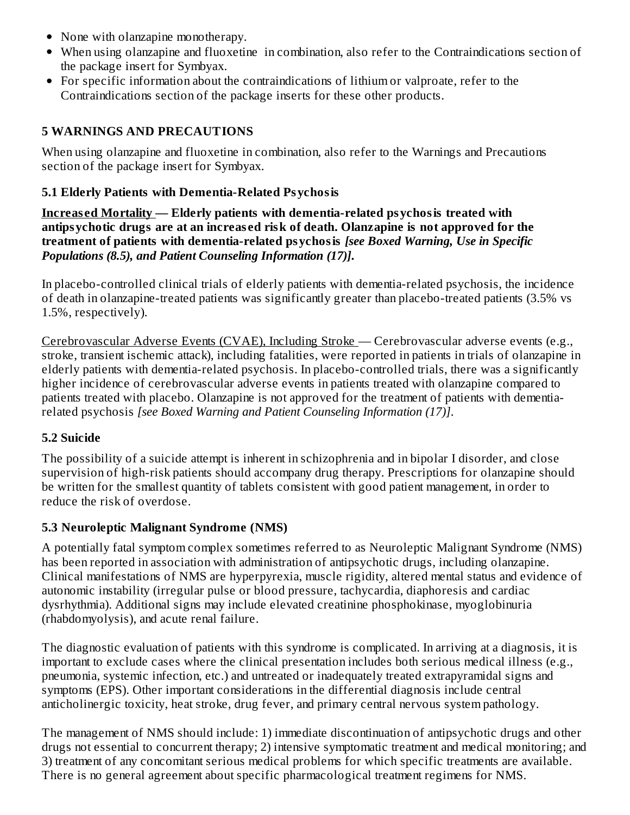- None with olanzapine monotherapy.
- When using olanzapine and fluoxetine in combination, also refer to the Contraindications section of the package insert for Symbyax.
- For specific information about the contraindications of lithium or valproate, refer to the Contraindications section of the package inserts for these other products.

### **5 WARNINGS AND PRECAUTIONS**

When using olanzapine and fluoxetine in combination, also refer to the Warnings and Precautions section of the package insert for Symbyax.

### **5.1 Elderly Patients with Dementia-Related Psychosis**

**Increas ed Mortality — Elderly patients with dementia-related psychosis treated with antipsychotic drugs are at an increas ed risk of death. Olanzapine is not approved for the treatment of patients with dementia-related psychosis** *[see Boxed Warning, Use in Specific Populations (8.5), and Patient Counseling Information (17)]***.**

In placebo-controlled clinical trials of elderly patients with dementia-related psychosis, the incidence of death in olanzapine-treated patients was significantly greater than placebo-treated patients (3.5% vs 1.5%, respectively).

Cerebrovascular Adverse Events (CVAE), Including Stroke — Cerebrovascular adverse events (e.g., stroke, transient ischemic attack), including fatalities, were reported in patients in trials of olanzapine in elderly patients with dementia-related psychosis. In placebo-controlled trials, there was a significantly higher incidence of cerebrovascular adverse events in patients treated with olanzapine compared to patients treated with placebo. Olanzapine is not approved for the treatment of patients with dementiarelated psychosis *[see Boxed Warning and Patient Counseling Information (17)]*.

### **5.2 Suicide**

The possibility of a suicide attempt is inherent in schizophrenia and in bipolar I disorder, and close supervision of high-risk patients should accompany drug therapy. Prescriptions for olanzapine should be written for the smallest quantity of tablets consistent with good patient management, in order to reduce the risk of overdose.

### **5.3 Neuroleptic Malignant Syndrome (NMS)**

A potentially fatal symptom complex sometimes referred to as Neuroleptic Malignant Syndrome (NMS) has been reported in association with administration of antipsychotic drugs, including olanzapine. Clinical manifestations of NMS are hyperpyrexia, muscle rigidity, altered mental status and evidence of autonomic instability (irregular pulse or blood pressure, tachycardia, diaphoresis and cardiac dysrhythmia). Additional signs may include elevated creatinine phosphokinase, myoglobinuria (rhabdomyolysis), and acute renal failure.

The diagnostic evaluation of patients with this syndrome is complicated. In arriving at a diagnosis, it is important to exclude cases where the clinical presentation includes both serious medical illness (e.g., pneumonia, systemic infection, etc.) and untreated or inadequately treated extrapyramidal signs and symptoms (EPS). Other important considerations in the differential diagnosis include central anticholinergic toxicity, heat stroke, drug fever, and primary central nervous system pathology.

The management of NMS should include: 1) immediate discontinuation of antipsychotic drugs and other drugs not essential to concurrent therapy; 2) intensive symptomatic treatment and medical monitoring; and 3) treatment of any concomitant serious medical problems for which specific treatments are available. There is no general agreement about specific pharmacological treatment regimens for NMS.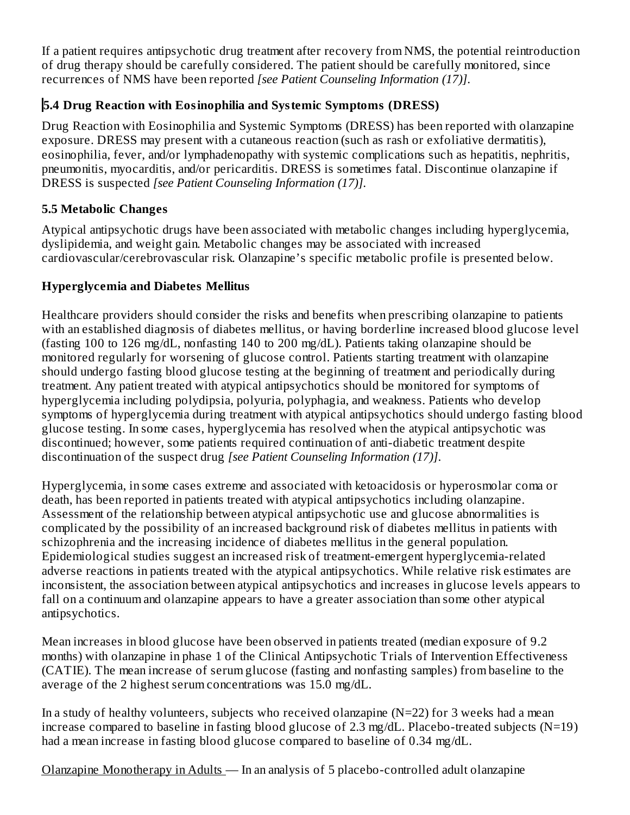If a patient requires antipsychotic drug treatment after recovery from NMS, the potential reintroduction of drug therapy should be carefully considered. The patient should be carefully monitored, since recurrences of NMS have been reported *[see Patient Counseling Information (17)]*.

## **5.4 Drug Reaction with Eosinophilia and Systemic Symptoms (DRESS)**

Drug Reaction with Eosinophilia and Systemic Symptoms (DRESS) has been reported with olanzapine exposure. DRESS may present with a cutaneous reaction (such as rash or exfoliative dermatitis), eosinophilia, fever, and/or lymphadenopathy with systemic complications such as hepatitis, nephritis, pneumonitis, myocarditis, and/or pericarditis. DRESS is sometimes fatal. Discontinue olanzapine if DRESS is suspected *[see Patient Counseling Information (17)]*.

## **5.5 Metabolic Changes**

Atypical antipsychotic drugs have been associated with metabolic changes including hyperglycemia, dyslipidemia, and weight gain. Metabolic changes may be associated with increased cardiovascular/cerebrovascular risk. Olanzapine's specific metabolic profile is presented below.

## **Hyperglycemia and Diabetes Mellitus**

Healthcare providers should consider the risks and benefits when prescribing olanzapine to patients with an established diagnosis of diabetes mellitus, or having borderline increased blood glucose level (fasting 100 to 126 mg/dL, nonfasting 140 to 200 mg/dL). Patients taking olanzapine should be monitored regularly for worsening of glucose control. Patients starting treatment with olanzapine should undergo fasting blood glucose testing at the beginning of treatment and periodically during treatment. Any patient treated with atypical antipsychotics should be monitored for symptoms of hyperglycemia including polydipsia, polyuria, polyphagia, and weakness. Patients who develop symptoms of hyperglycemia during treatment with atypical antipsychotics should undergo fasting blood glucose testing. In some cases, hyperglycemia has resolved when the atypical antipsychotic was discontinued; however, some patients required continuation of anti-diabetic treatment despite discontinuation of the suspect drug *[see Patient Counseling Information (17)]*.

Hyperglycemia, in some cases extreme and associated with ketoacidosis or hyperosmolar coma or death, has been reported in patients treated with atypical antipsychotics including olanzapine. Assessment of the relationship between atypical antipsychotic use and glucose abnormalities is complicated by the possibility of an increased background risk of diabetes mellitus in patients with schizophrenia and the increasing incidence of diabetes mellitus in the general population. Epidemiological studies suggest an increased risk of treatment-emergent hyperglycemia-related adverse reactions in patients treated with the atypical antipsychotics. While relative risk estimates are inconsistent, the association between atypical antipsychotics and increases in glucose levels appears to fall on a continuum and olanzapine appears to have a greater association than some other atypical antipsychotics.

Mean increases in blood glucose have been observed in patients treated (median exposure of 9.2 months) with olanzapine in phase 1 of the Clinical Antipsychotic Trials of Intervention Effectiveness (CATIE). The mean increase of serum glucose (fasting and nonfasting samples) from baseline to the average of the 2 highest serum concentrations was 15.0 mg/dL.

In a study of healthy volunteers, subjects who received olanzapine  $(N=22)$  for 3 weeks had a mean increase compared to baseline in fasting blood glucose of 2.3 mg/dL. Placebo-treated subjects (N=19) had a mean increase in fasting blood glucose compared to baseline of 0.34 mg/dL.

Olanzapine Monotherapy in Adults — In an analysis of 5 placebo-controlled adult olanzapine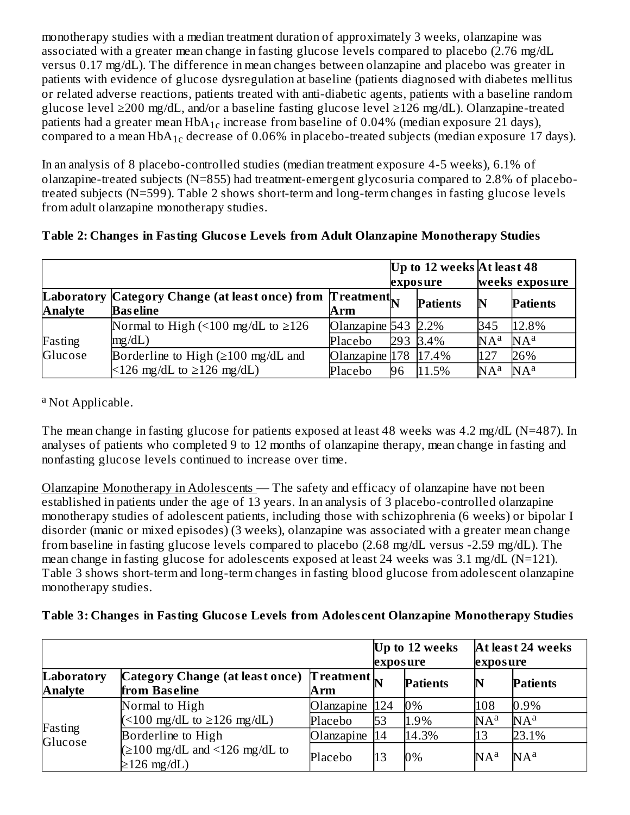monotherapy studies with a median treatment duration of approximately 3 weeks, olanzapine was associated with a greater mean change in fasting glucose levels compared to placebo (2.76 mg/dL versus 0.17 mg/dL). The difference in mean changes between olanzapine and placebo was greater in patients with evidence of glucose dysregulation at baseline (patients diagnosed with diabetes mellitus or related adverse reactions, patients treated with anti-diabetic agents, patients with a baseline random glucose level ≥200 mg/dL, and/or a baseline fasting glucose level ≥126 mg/dL). Olanzapine-treated patients had a greater mean  $H\bar{b}A_{1c}$  increase from baseline of 0.04% (median exposure 21 days), compared to a mean HbA $_{\rm 1c}$  decrease of 0.06% in placebo-treated subjects (median exposure 17 days).

In an analysis of 8 placebo-controlled studies (median treatment exposure 4-5 weeks), 6.1% of olanzapine-treated subjects (N=855) had treatment-emergent glycosuria compared to 2.8% of placebotreated subjects (N=599). Table 2 shows short-term and long-term changes in fasting glucose levels from adult olanzapine monotherapy studies.

**Table 2: Changes in Fasting Glucos e Levels from Adult Olanzapine Monotherapy Studies**

|                |                                                                                     |                       | Up to 12 weeks At least 48<br>exposure |                 | weeks exposure |                 |
|----------------|-------------------------------------------------------------------------------------|-----------------------|----------------------------------------|-----------------|----------------|-----------------|
| <b>Analyte</b> | Laboratory Category Change (at least once) from <b>Treatment</b><br><b>Baseline</b> | Arm                   |                                        | <b>Patients</b> | N              | <b>Patients</b> |
|                | Normal to High (<100 mg/dL to $\geq$ 126                                            | Olanzapine $543$ 2.2% |                                        |                 | 345            | 12.8%           |
| Fasting        | mg/dL)                                                                              | Placebo               |                                        | 293 3.4%        | $NA^a$         | $NA^a$          |
| Glucose        | Borderline to High $(\geq 100 \text{ mg/dL}$ and                                    | Olanzapine 178 17.4%  |                                        |                 | 127            | 26%             |
|                | <126 mg/dL to $\geq$ 126 mg/dL)                                                     | Placebo               | 96                                     | 11.5%           | $NA^a$         | $NA^a$          |

<sup>a</sup> Not Applicable.

The mean change in fasting glucose for patients exposed at least 48 weeks was 4.2 mg/dL (N=487). In analyses of patients who completed 9 to 12 months of olanzapine therapy, mean change in fasting and nonfasting glucose levels continued to increase over time.

Olanzapine Monotherapy in Adolescents — The safety and efficacy of olanzapine have not been established in patients under the age of 13 years. In an analysis of 3 placebo-controlled olanzapine monotherapy studies of adolescent patients, including those with schizophrenia (6 weeks) or bipolar I disorder (manic or mixed episodes) (3 weeks), olanzapine was associated with a greater mean change from baseline in fasting glucose levels compared to placebo (2.68 mg/dL versus -2.59 mg/dL). The mean change in fasting glucose for adolescents exposed at least 24 weeks was 3.1 mg/dL (N=121). Table 3 shows short-term and long-term changes in fasting blood glucose from adolescent olanzapine monotherapy studies.

#### **Table 3: Changes in Fasting Glucos e Levels from Adoles cent Olanzapine Monotherapy Studies**

|                              |                                                                                                 |                                                     | Up to 12 weeks<br>exposure |                 | exposure | At least 24 weeks        |
|------------------------------|-------------------------------------------------------------------------------------------------|-----------------------------------------------------|----------------------------|-----------------|----------|--------------------------|
| Laboratory<br><b>Analyte</b> | Category Change (at least once)<br>from Baseline                                                | $\left \mathrm{Treatment}\right _\mathbf{N}$<br>Arm |                            | <b>Patients</b> | N        | <b>Patients</b>          |
|                              | Normal to High<br>$\approx$ 100 mg/dL to $\geq$ 126 mg/dL)                                      | Olanzapine                                          | 124                        | 0%              | 108      | 0.9%                     |
|                              |                                                                                                 | Placebo                                             | 53                         | 1.9%            | $NA^a$   | $\mathrm{NA}^\mathrm{a}$ |
| Fasting<br>Glucose           | Borderline to High                                                                              | Olanzapine 14                                       |                            | 14.3%           | 13       | 23.1%                    |
|                              | $( \geq 100 \text{ mg/dL} \text{ and } \leq 126 \text{ mg/dL} \text{ to }$<br>$\geq$ 126 mg/dL) | Placebo                                             | 13                         | 0%              | $NA^a$   | $NA^a$                   |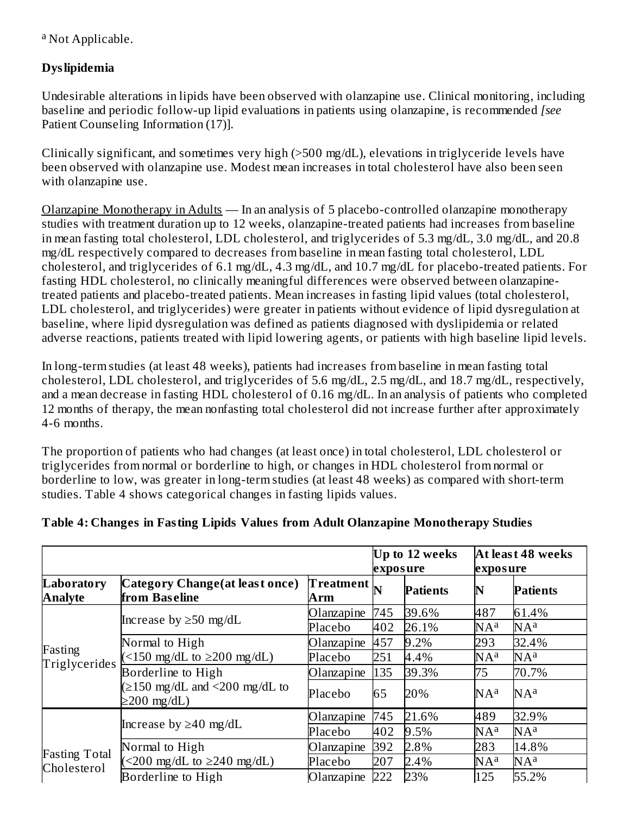<sup>a</sup> Not Applicable.

### **Dyslipidemia**

Undesirable alterations in lipids have been observed with olanzapine use. Clinical monitoring, including baseline and periodic follow-up lipid evaluations in patients using olanzapine, is recommended *[see* Patient Counseling Information (17)].

Clinically significant, and sometimes very high (>500 mg/dL), elevations in triglyceride levels have been observed with olanzapine use. Modest mean increases in total cholesterol have also been seen with olanzapine use.

Olanzapine Monotherapy in Adults — In an analysis of 5 placebo-controlled olanzapine monotherapy studies with treatment duration up to 12 weeks, olanzapine-treated patients had increases from baseline in mean fasting total cholesterol, LDL cholesterol, and triglycerides of 5.3 mg/dL, 3.0 mg/dL, and 20.8 mg/dL respectively compared to decreases from baseline in mean fasting total cholesterol, LDL cholesterol, and triglycerides of 6.1 mg/dL, 4.3 mg/dL, and 10.7 mg/dL for placebo-treated patients. For fasting HDL cholesterol, no clinically meaningful differences were observed between olanzapinetreated patients and placebo-treated patients. Mean increases in fasting lipid values (total cholesterol, LDL cholesterol, and triglycerides) were greater in patients without evidence of lipid dysregulation at baseline, where lipid dysregulation was defined as patients diagnosed with dyslipidemia or related adverse reactions, patients treated with lipid lowering agents, or patients with high baseline lipid levels.

In long-term studies (at least 48 weeks), patients had increases from baseline in mean fasting total cholesterol, LDL cholesterol, and triglycerides of 5.6 mg/dL, 2.5 mg/dL, and 18.7 mg/dL, respectively, and a mean decrease in fasting HDL cholesterol of 0.16 mg/dL. In an analysis of patients who completed 12 months of therapy, the mean nonfasting total cholesterol did not increase further after approximately 4-6 months.

The proportion of patients who had changes (at least once) in total cholesterol, LDL cholesterol or triglycerides from normal or borderline to high, or changes in HDL cholesterol from normal or borderline to low, was greater in long-term studies (at least 48 weeks) as compared with short-term studies. Table 4 shows categorical changes in fasting lipids values.

|                                     |                                                                                             |                                 | Up to 12 weeks<br>exposure |                 | At least 48 weeks<br>exposure |                 |
|-------------------------------------|---------------------------------------------------------------------------------------------|---------------------------------|----------------------------|-----------------|-------------------------------|-----------------|
| Laboratory<br><b>Analyte</b>        | <b>Category Change (at least once)</b><br>from Baseline                                     | $T$ reatment $\vert_{N}$<br>Arm |                            | <b>Patients</b> | $\mathbf N$                   | <b>Patients</b> |
|                                     |                                                                                             | Olanzapine                      | 745                        | 39.6%           | 487                           | 61.4%           |
|                                     | Increase by $\geq$ 50 mg/dL                                                                 | Placebo                         | 402                        | 26.1%           | NA <sup>a</sup>               | $NA^a$          |
|                                     | Normal to High                                                                              | Olanzapine                      | 457                        | 9.2%            | 293                           | 32.4%           |
| Fasting<br>Triglycerides            | $(\leq 150 \text{ mg/dL to } \geq 200 \text{ mg/dL})$                                       | Placebo                         | 251                        | 4.4%            | $NA^a$                        | $NA^a$          |
|                                     | Borderline to High                                                                          | Olanzapine                      | 135                        | 39.3%           | 75                            | 70.7%           |
|                                     | $( \ge 150 \text{ mg/dL} \text{ and } < 200 \text{ mg/dL} \text{ to }$<br>$\geq$ 200 mg/dL) | Placebo                         | 65                         | 20%             | $NA^a$                        | $NA^a$          |
|                                     |                                                                                             | Olanzapine                      | 745                        | 21.6%           | 489                           | 32.9%           |
| <b>Fasting Total</b><br>Cholesterol | Increase by $\geq$ 40 mg/dL                                                                 | Placebo                         | 402                        | 9.5%            | $NA^a$                        | $NA^a$          |
|                                     | Normal to High                                                                              | Olanzapine                      | 392                        | 2.8%            | 283                           | 14.8%           |
|                                     | $(<200 \text{ mg/dL to } \geq 240 \text{ mg/dL})$                                           | Placebo                         | 207                        | 2.4%            | $NA^a$                        | $NA^a$          |
|                                     | Borderline to High                                                                          | Olanzapine                      | 222                        | 23%             | 125                           | 55.2%           |

#### **Table 4: Changes in Fasting Lipids Values from Adult Olanzapine Monotherapy Studies**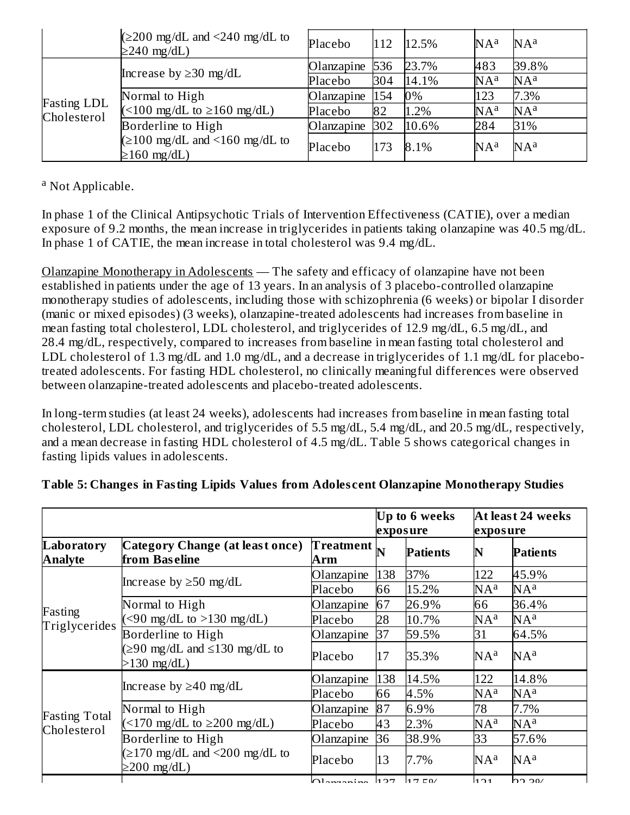|                            | $( \geq 200 \text{ mg/dL} \text{ and } \leq 240 \text{ mg/dL} \text{ to }$<br>$\geq$ 240 mg/dL)                                                                                     | Placebo    | 112 | 12.5% | $NA^a$ | $NA^a$ |
|----------------------------|-------------------------------------------------------------------------------------------------------------------------------------------------------------------------------------|------------|-----|-------|--------|--------|
|                            |                                                                                                                                                                                     | Olanzapine | 536 | 23.7% | 483    | 39.8%  |
|                            | Increase by $\geq$ 30 mg/dL                                                                                                                                                         | Placebo    | 304 | 14.1% | $NA^a$ | $NA^a$ |
|                            | Normal to High<br>$\approx$ 100 mg/dL to $\geq$ 160 mg/dL)<br>Borderline to High<br>$( \geq 100 \text{ mg/dL} \text{ and } \leq 160 \text{ mg/dL} \text{ to }$<br>$\geq$ 160 mg/dL) | Olanzapine | 154 | 0%    | 123    | 7.3%   |
| Fasting LDL<br>Cholesterol |                                                                                                                                                                                     | Placebo    | 82  | 1.2%  | $NA^a$ | $NA^a$ |
|                            |                                                                                                                                                                                     | Olanzapine | 302 | 10.6% | 284    | 31%    |
|                            |                                                                                                                                                                                     | Placebo    | 173 | 8.1%  | $NA^a$ | $NA^a$ |

<sup>a</sup> Not Applicable.

In phase 1 of the Clinical Antipsychotic Trials of Intervention Effectiveness (CATIE), over a median exposure of 9.2 months, the mean increase in triglycerides in patients taking olanzapine was 40.5 mg/dL. In phase 1 of CATIE, the mean increase in total cholesterol was 9.4 mg/dL.

Olanzapine Monotherapy in Adolescents — The safety and efficacy of olanzapine have not been established in patients under the age of 13 years. In an analysis of 3 placebo-controlled olanzapine monotherapy studies of adolescents, including those with schizophrenia (6 weeks) or bipolar I disorder (manic or mixed episodes) (3 weeks), olanzapine-treated adolescents had increases from baseline in mean fasting total cholesterol, LDL cholesterol, and triglycerides of 12.9 mg/dL, 6.5 mg/dL, and 28.4 mg/dL, respectively, compared to increases from baseline in mean fasting total cholesterol and LDL cholesterol of 1.3 mg/dL and 1.0 mg/dL, and a decrease in triglycerides of 1.1 mg/dL for placebotreated adolescents. For fasting HDL cholesterol, no clinically meaningful differences were observed between olanzapine-treated adolescents and placebo-treated adolescents.

In long-term studies (at least 24 weeks), adolescents had increases from baseline in mean fasting total cholesterol, LDL cholesterol, and triglycerides of 5.5 mg/dL, 5.4 mg/dL, and 20.5 mg/dL, respectively, and a mean decrease in fasting HDL cholesterol of 4.5 mg/dL. Table 5 shows categorical changes in fasting lipids values in adolescents.

|                       |                                                                                                                 |                                                 |         | <b>Up to 6 weeks</b> |                          | At least 24 weeks |
|-----------------------|-----------------------------------------------------------------------------------------------------------------|-------------------------------------------------|---------|----------------------|--------------------------|-------------------|
|                       |                                                                                                                 |                                                 |         | exposure             | exposure                 |                   |
| Laboratory<br>Analyte | Category Change (at least once)<br>from Baseline                                                                | $\overline{\text{Treatment}}_{\text{N}}$<br>Arm |         | <b>Patients</b>      | $\mathbf N$              | <b>Patients</b>   |
|                       | Increase by $\geq$ 50 mg/dL                                                                                     | Olanzapine                                      | 138     | 37%                  | 122                      | 45.9%             |
|                       |                                                                                                                 | Placebo                                         | 66      | 15.2%                | $\mathrm{NA}^\mathrm{a}$ | $NA^a$            |
| Fasting               | Normal to High                                                                                                  | Olanzapine                                      | 67      | 26.9%                | 66                       | 36.4%             |
| Triglycerides         | $(590 \text{ mg/dL to } > 130 \text{ mg/dL})$                                                                   | Placebo                                         | 28      | 10.7%                | $NA^a$                   | $NA^a$            |
|                       | Borderline to High<br>$(\geq 90 \text{ mg/dL} \text{ and } \leq 130 \text{ mg/dL} \text{ to }$<br>$>130$ mg/dL) | Olanzapine                                      | 37      | 59.5%                | 31                       | 64.5%             |
|                       |                                                                                                                 | Placebo                                         | 17      | 35.3%                | $NA^a$                   | $NA^a$            |
|                       | Increase by $\geq$ 40 mg/dL                                                                                     | Olanzapine                                      | 138     | 14.5%                | 122                      | 14.8%             |
|                       |                                                                                                                 | Placebo                                         | 66      | 4.5%                 | $NA^a$                   | $NA^a$            |
| <b>Fasting Total</b>  | Normal to High                                                                                                  | Olanzapine                                      | 87      | 6.9%                 | 78                       | 7.7%              |
| Cholesterol           | $($ <170 mg/dL to $\geq$ 200 mg/dL)                                                                             | Placebo                                         | 43      | 2.3%                 | $NA^a$                   | $NA^a$            |
|                       | Borderline to High                                                                                              | Olanzapine                                      | 36      | 38.9%                | 33                       | 57.6%             |
|                       | $( \geq 170 \text{ mg/dL} \text{ and } \leq 200 \text{ mg/dL} \text{ to }$<br>$\geq$ 200 mg/dL)                 | Placebo                                         | 13      | 7.7%                 | $NA^a$                   | $NA^a$            |
|                       |                                                                                                                 | $\Omega$ <sub>anzan</sub> ine                   | $h$ ר ב | 17E0/                | 121                      | ∌חכ בכ            |

#### **Table 5: Changes in Fasting Lipids Values from Adoles cent Olanzapine Monotherapy Studies**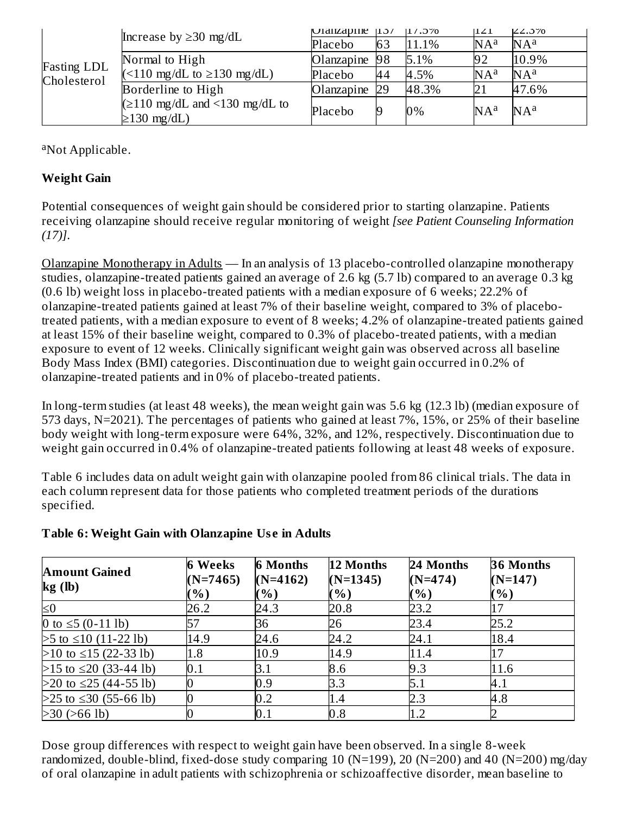|                            | Increase by $\geq$ 30 mg/dL                                                    | UIdillaphie | ∕ ت∐ | $0\degree$ C. $\angle$ | 11 Z I | <b>ZZ.3%</b>             |
|----------------------------|--------------------------------------------------------------------------------|-------------|------|------------------------|--------|--------------------------|
|                            |                                                                                | Placebo     | 63   | 11.1%                  | $NA^a$ | $\mathrm{NA}^\mathrm{a}$ |
|                            | Normal to High                                                                 | Olanzapine  | 98   | 5.1%                   | 92     | 10.9%                    |
| Fasting LDL<br>Cholesterol | $($ < 110 mg/dL to $\geq$ 130 mg/dL)                                           | Placebo     | 44   | 4.5%                   | $NA^a$ | $NA^a$                   |
|                            | Borderline to High                                                             | Olanzapine  | 29   | 48.3%                  | 21     | 47.6%                    |
|                            | $(\geq 110 \text{ mg/dL}$ and $\leq 130 \text{ mg/dL}$ to<br>$\geq$ 130 mg/dL) | Placebo     |      | 0%                     | $NA^a$ | $NA^a$                   |

<sup>a</sup>Not Applicable.

### **Weight Gain**

Potential consequences of weight gain should be considered prior to starting olanzapine. Patients receiving olanzapine should receive regular monitoring of weight *[see Patient Counseling Information (17)]*.

Olanzapine Monotherapy in Adults — In an analysis of 13 placebo-controlled olanzapine monotherapy studies, olanzapine-treated patients gained an average of 2.6 kg (5.7 lb) compared to an average 0.3 kg (0.6 lb) weight loss in placebo-treated patients with a median exposure of 6 weeks; 22.2% of olanzapine-treated patients gained at least 7% of their baseline weight, compared to 3% of placebotreated patients, with a median exposure to event of 8 weeks; 4.2% of olanzapine-treated patients gained at least 15% of their baseline weight, compared to 0.3% of placebo-treated patients, with a median exposure to event of 12 weeks. Clinically significant weight gain was observed across all baseline Body Mass Index (BMI) categories. Discontinuation due to weight gain occurred in 0.2% of olanzapine-treated patients and in 0% of placebo-treated patients.

In long-term studies (at least 48 weeks), the mean weight gain was 5.6 kg (12.3 lb) (median exposure of 573 days, N=2021). The percentages of patients who gained at least 7%, 15%, or 25% of their baseline body weight with long-term exposure were 64%, 32%, and 12%, respectively. Discontinuation due to weight gain occurred in 0.4% of olanzapine-treated patients following at least 48 weeks of exposure.

Table 6 includes data on adult weight gain with olanzapine pooled from 86 clinical trials. The data in each column represent data for those patients who completed treatment periods of the durations specified.

| <b>Amount Gained</b><br>kg (lb) | <b>6 Weeks</b><br>$(N=7465)$<br>$\mathcal{C}$ | <b>6 Months</b><br>$(N=4162)$<br>% | 12 Months<br>$(N=1345)$<br>$\%$ | 24 Months<br>$(N=474)$<br>( %) | 36 Months<br>$(N=147)$<br>(%) |
|---------------------------------|-----------------------------------------------|------------------------------------|---------------------------------|--------------------------------|-------------------------------|
| $\leq 0$                        | 26.2                                          | 24.3                               | 20.8                            | 23.2                           |                               |
| 0 to $\leq$ 5 (0-11 lb)         |                                               | 36                                 | 26                              | 23.4                           | 25.2                          |
| $>5$ to $\leq 10$ (11-22 lb)    | 14.9                                          | 24.6                               | 24.2                            | 24.1                           | 18.4                          |
| $>10$ to $\leq 15$ (22-33 lb)   | 1.8                                           | 10.9                               | 14.9                            | 11.4                           | 17                            |
| $>15$ to $\leq 20$ (33-44 lb)   | $0.1\,$                                       | 3.1                                | 8.6                             | 9.3                            | 11.6                          |
| >20 to ≤25 (44-55 lb)           |                                               | 0.9                                | 3.3                             | 5.1                            | 4.1                           |
| $>$ 25 to ≤30 (55-66 lb)        |                                               | 0.2                                | 1.4                             | 2.3                            | 4.8                           |
| $>30$ ( $>66$ lb)               |                                               | 0.1                                | 0.8                             | 1.2                            |                               |

#### **Table 6: Weight Gain with Olanzapine Us e in Adults**

Dose group differences with respect to weight gain have been observed. In a single 8-week randomized, double-blind, fixed-dose study comparing 10 (N=199), 20 (N=200) and 40 (N=200) mg/day of oral olanzapine in adult patients with schizophrenia or schizoaffective disorder, mean baseline to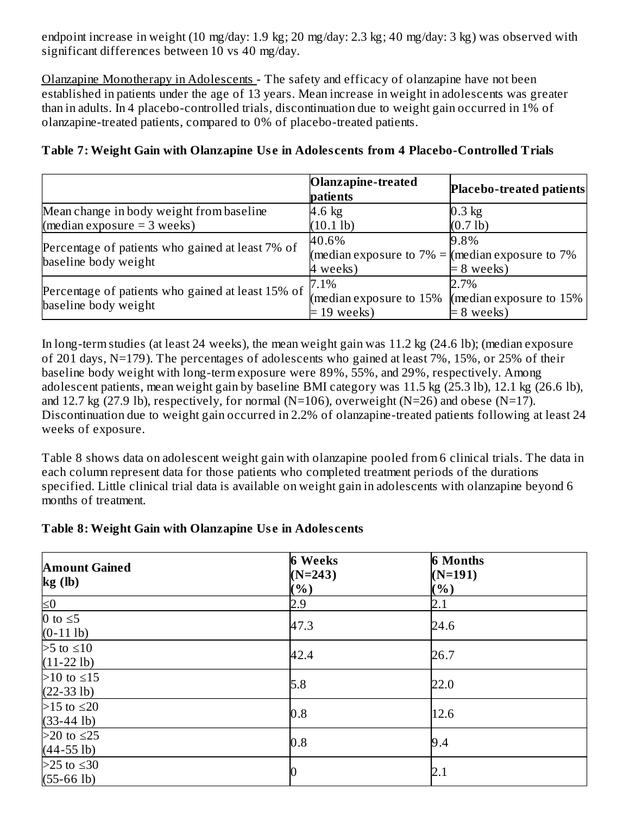endpoint increase in weight (10 mg/day: 1.9 kg; 20 mg/day: 2.3 kg; 40 mg/day: 3 kg) was observed with significant differences between 10 vs 40 mg/day.

Olanzapine Monotherapy in Adolescents - The safety and efficacy of olanzapine have not been established in patients under the age of 13 years. Mean increase in weight in adolescents was greater than in adults. In 4 placebo-controlled trials, discontinuation due to weight gain occurred in 1% of olanzapine-treated patients, compared to 0% of placebo-treated patients.

| Table 7: Weight Gain with Olanzapine Use in Adolescents from 4 Placebo-Controlled Trials |  |  |
|------------------------------------------------------------------------------------------|--|--|
|                                                                                          |  |  |

|                                                                           | <b>Olanzapine-treated</b><br>patients                                            | Placebo-treated patients       |
|---------------------------------------------------------------------------|----------------------------------------------------------------------------------|--------------------------------|
| Mean change in body weight from baseline<br>(median exposure $=$ 3 weeks) | $4.6 \text{ kg}$<br>$(10.1$ lb)                                                  | $0.3$ kg<br>$(0.7 \text{ lb})$ |
| Percentage of patients who gained at least 7% of<br>baseline body weight  | 40.6%<br>(median exposure to $7\%$ = (median exposure to $7\%$<br>4 weeks)       | 9.8%<br>$= 8$ weeks)           |
| Percentage of patients who gained at least 15% of<br>baseline body weight | 7.1%<br>(median exposure to $15\%$ (median exposure to $15\%$ )<br>$= 19$ weeks) | 2.7%<br>$= 8$ weeks)           |

In long-term studies (at least 24 weeks), the mean weight gain was 11.2 kg (24.6 lb); (median exposure of 201 days, N=179). The percentages of adolescents who gained at least 7%, 15%, or 25% of their baseline body weight with long-term exposure were 89%, 55%, and 29%, respectively. Among adolescent patients, mean weight gain by baseline BMI category was 11.5 kg (25.3 lb), 12.1 kg (26.6 lb), and 12.7 kg (27.9 lb), respectively, for normal (N=106), overweight (N=26) and obese (N=17). Discontinuation due to weight gain occurred in 2.2% of olanzapine-treated patients following at least 24 weeks of exposure.

Table 8 shows data on adolescent weight gain with olanzapine pooled from 6 clinical trials. The data in each column represent data for those patients who completed treatment periods of the durations specified. Little clinical trial data is available on weight gain in adolescents with olanzapine beyond 6 months of treatment.

#### **Table 8: Weight Gain with Olanzapine Us e in Adoles cents**

| <b>Amount Gained</b><br>kg (lb)    | <b>6 Weeks</b><br>$(N=243)$<br>(%) | <b>6 Months</b><br>$(N=191)$<br>( %) |
|------------------------------------|------------------------------------|--------------------------------------|
| $\leq 0$                           | 2.9                                | 2.1                                  |
| 0 to $\leq$ 5<br>$(0-11$ lb)       | 47.3                               | 24.6                                 |
| $>5$ to $\leq 10$<br>$(11-22 lb)$  | 42.4                               | 26.7                                 |
| $>10$ to $\leq 15$<br>$(22-33 lb)$ | 5.8                                | 22.0                                 |
| $>15$ to $\leq 20$<br>$(33-44$ lb) | 0.8                                | 12.6                                 |
| $>20$ to $\leq 25$<br>$(44-55$ lb) | 0.8                                | 9.4                                  |
| $>25$ to $\leq 30$<br>$(55-66$ lb) | 10                                 | 2.1                                  |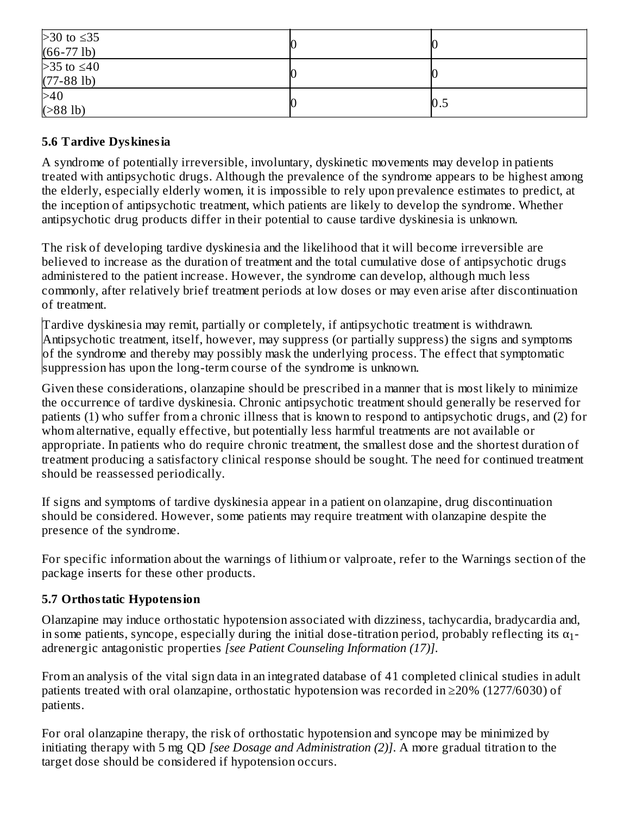| $>30$ to $\leq 35$<br>$(66-77 lb)$ |           |
|------------------------------------|-----------|
| $>35$ to $\leq 40$<br>$(77-88$ lb) |           |
| $>40$<br>$( > 88 \text{ lb})$      | $\rm 0.5$ |

### **5.6 Tardive Dyskinesia**

A syndrome of potentially irreversible, involuntary, dyskinetic movements may develop in patients treated with antipsychotic drugs. Although the prevalence of the syndrome appears to be highest among the elderly, especially elderly women, it is impossible to rely upon prevalence estimates to predict, at the inception of antipsychotic treatment, which patients are likely to develop the syndrome. Whether antipsychotic drug products differ in their potential to cause tardive dyskinesia is unknown.

The risk of developing tardive dyskinesia and the likelihood that it will become irreversible are believed to increase as the duration of treatment and the total cumulative dose of antipsychotic drugs administered to the patient increase. However, the syndrome can develop, although much less commonly, after relatively brief treatment periods at low doses or may even arise after discontinuation of treatment.

Tardive dyskinesia may remit, partially or completely, if antipsychotic treatment is withdrawn. Antipsychotic treatment, itself, however, may suppress (or partially suppress) the signs and symptoms of the syndrome and thereby may possibly mask the underlying process. The effect that symptomatic suppression has upon the long-term course of the syndrome is unknown.

Given these considerations, olanzapine should be prescribed in a manner that is most likely to minimize the occurrence of tardive dyskinesia. Chronic antipsychotic treatment should generally be reserved for patients (1) who suffer from a chronic illness that is known to respond to antipsychotic drugs, and (2) for whom alternative, equally effective, but potentially less harmful treatments are not available or appropriate. In patients who do require chronic treatment, the smallest dose and the shortest duration of treatment producing a satisfactory clinical response should be sought. The need for continued treatment should be reassessed periodically.

If signs and symptoms of tardive dyskinesia appear in a patient on olanzapine, drug discontinuation should be considered. However, some patients may require treatment with olanzapine despite the presence of the syndrome.

For specific information about the warnings of lithium or valproate, refer to the Warnings section of the package inserts for these other products.

### **5.7 Orthostatic Hypotension**

Olanzapine may induce orthostatic hypotension associated with dizziness, tachycardia, bradycardia and, in some patients, syncope, especially during the initial dose-titration period, probably reflecting its  $\alpha_1$ adrenergic antagonistic properties *[see Patient Counseling Information (17)]*.

From an analysis of the vital sign data in an integrated database of 41 completed clinical studies in adult patients treated with oral olanzapine, orthostatic hypotension was recorded in ≥20% (1277/6030) of patients.

For oral olanzapine therapy, the risk of orthostatic hypotension and syncope may be minimized by initiating therapy with 5 mg QD *[see Dosage and Administration (2)]*. A more gradual titration to the target dose should be considered if hypotension occurs.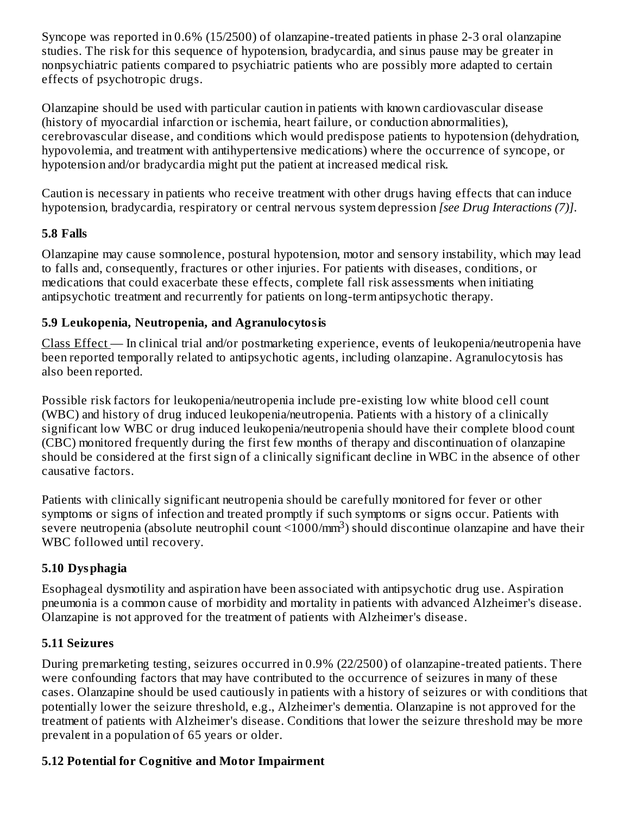Syncope was reported in 0.6% (15/2500) of olanzapine-treated patients in phase 2-3 oral olanzapine studies. The risk for this sequence of hypotension, bradycardia, and sinus pause may be greater in nonpsychiatric patients compared to psychiatric patients who are possibly more adapted to certain effects of psychotropic drugs.

Olanzapine should be used with particular caution in patients with known cardiovascular disease (history of myocardial infarction or ischemia, heart failure, or conduction abnormalities), cerebrovascular disease, and conditions which would predispose patients to hypotension (dehydration, hypovolemia, and treatment with antihypertensive medications) where the occurrence of syncope, or hypotension and/or bradycardia might put the patient at increased medical risk.

Caution is necessary in patients who receive treatment with other drugs having effects that can induce hypotension, bradycardia, respiratory or central nervous system depression *[see Drug Interactions (7)]*.

### **5.8 Falls**

Olanzapine may cause somnolence, postural hypotension, motor and sensory instability, which may lead to falls and, consequently, fractures or other injuries. For patients with diseases, conditions, or medications that could exacerbate these effects, complete fall risk assessments when initiating antipsychotic treatment and recurrently for patients on long-term antipsychotic therapy.

### **5.9 Leukopenia, Neutropenia, and Agranulocytosis**

Class Effect — In clinical trial and/or postmarketing experience, events of leukopenia/neutropenia have been reported temporally related to antipsychotic agents, including olanzapine. Agranulocytosis has also been reported.

Possible risk factors for leukopenia/neutropenia include pre-existing low white blood cell count (WBC) and history of drug induced leukopenia/neutropenia. Patients with a history of a clinically significant low WBC or drug induced leukopenia/neutropenia should have their complete blood count (CBC) monitored frequently during the first few months of therapy and discontinuation of olanzapine should be considered at the first sign of a clinically significant decline in WBC in the absence of other causative factors.

Patients with clinically significant neutropenia should be carefully monitored for fever or other symptoms or signs of infection and treated promptly if such symptoms or signs occur. Patients with severe neutropenia (absolute neutrophil count  $\langle 1000/\text{mm}^3$ ) should discontinue olanzapine and have their WBC followed until recovery.

## **5.10 Dysphagia**

Esophageal dysmotility and aspiration have been associated with antipsychotic drug use. Aspiration pneumonia is a common cause of morbidity and mortality in patients with advanced Alzheimer's disease. Olanzapine is not approved for the treatment of patients with Alzheimer's disease.

### **5.11 Seizures**

During premarketing testing, seizures occurred in 0.9% (22/2500) of olanzapine-treated patients. There were confounding factors that may have contributed to the occurrence of seizures in many of these cases. Olanzapine should be used cautiously in patients with a history of seizures or with conditions that potentially lower the seizure threshold, e.g., Alzheimer's dementia. Olanzapine is not approved for the treatment of patients with Alzheimer's disease. Conditions that lower the seizure threshold may be more prevalent in a population of 65 years or older.

## **5.12 Potential for Cognitive and Motor Impairment**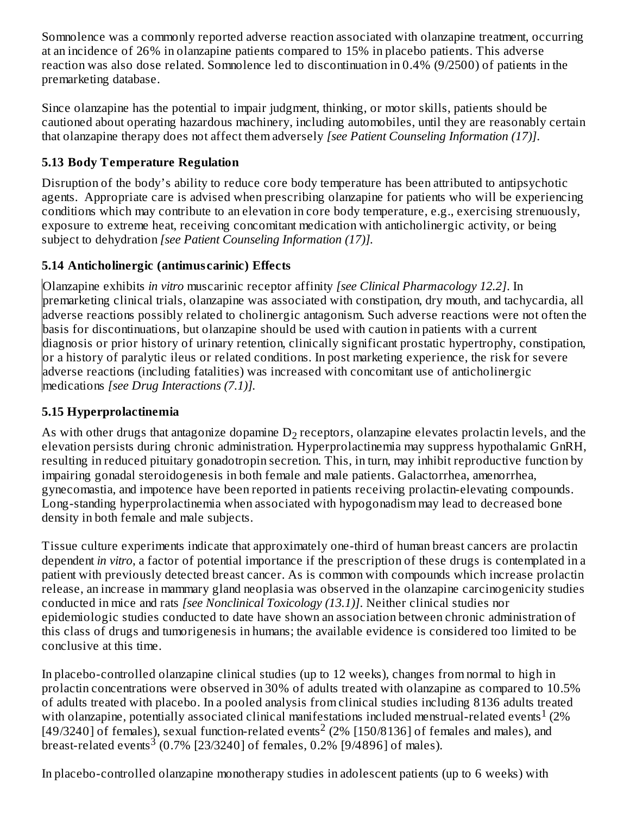Somnolence was a commonly reported adverse reaction associated with olanzapine treatment, occurring at an incidence of 26% in olanzapine patients compared to 15% in placebo patients. This adverse reaction was also dose related. Somnolence led to discontinuation in 0.4% (9/2500) of patients in the premarketing database.

Since olanzapine has the potential to impair judgment, thinking, or motor skills, patients should be cautioned about operating hazardous machinery, including automobiles, until they are reasonably certain that olanzapine therapy does not affect them adversely *[see Patient Counseling Information (17)]*.

### **5.13 Body Temperature Regulation**

Disruption of the body's ability to reduce core body temperature has been attributed to antipsychotic agents. Appropriate care is advised when prescribing olanzapine for patients who will be experiencing conditions which may contribute to an elevation in core body temperature, e.g., exercising strenuously, exposure to extreme heat, receiving concomitant medication with anticholinergic activity, or being subject to dehydration *[see Patient Counseling Information (17)].*

### **5.14 Anticholinergic (antimus carinic) Effects**

Olanzapine exhibits *in vitro* muscarinic receptor affinity *[see Clinical Pharmacology 12.2]*. In premarketing clinical trials, olanzapine was associated with constipation, dry mouth, and tachycardia, all adverse reactions possibly related to cholinergic antagonism. Such adverse reactions were not often the basis for discontinuations, but olanzapine should be used with caution in patients with a current diagnosis or prior history of urinary retention, clinically significant prostatic hypertrophy, constipation, or a history of paralytic ileus or related conditions. In post marketing experience, the risk for severe adverse reactions (including fatalities) was increased with concomitant use of anticholinergic medications *[see Drug Interactions (7.1)].*

### **5.15 Hyperprolactinemia**

As with other drugs that antagonize dopamine  $D_2$  receptors, olanzapine elevates prolactin levels, and the elevation persists during chronic administration. Hyperprolactinemia may suppress hypothalamic GnRH, resulting in reduced pituitary gonadotropin secretion. This, in turn, may inhibit reproductive function by impairing gonadal steroidogenesis in both female and male patients. Galactorrhea, amenorrhea, gynecomastia, and impotence have been reported in patients receiving prolactin-elevating compounds. Long-standing hyperprolactinemia when associated with hypogonadism may lead to decreased bone density in both female and male subjects.

Tissue culture experiments indicate that approximately one-third of human breast cancers are prolactin dependent *in vitro*, a factor of potential importance if the prescription of these drugs is contemplated in a patient with previously detected breast cancer. As is common with compounds which increase prolactin release, an increase in mammary gland neoplasia was observed in the olanzapine carcinogenicity studies conducted in mice and rats *[see Nonclinical Toxicology (13.1)]*. Neither clinical studies nor epidemiologic studies conducted to date have shown an association between chronic administration of this class of drugs and tumorigenesis in humans; the available evidence is considered too limited to be conclusive at this time.

In placebo-controlled olanzapine clinical studies (up to 12 weeks), changes from normal to high in prolactin concentrations were observed in 30% of adults treated with olanzapine as compared to 10.5% of adults treated with placebo. In a pooled analysis from clinical studies including 8136 adults treated with olanzapine, potentially associated clinical manifestations included menstrual-related events<sup>1</sup> (2%) [49/3240] of females), sexual function-related events<sup>2</sup> (2% [150/8136] of females and males), and breast-related events $^{\dot 3}$  (0.7% [23/3240] of females, 0.2% [9/4896] of males).

In placebo-controlled olanzapine monotherapy studies in adolescent patients (up to 6 weeks) with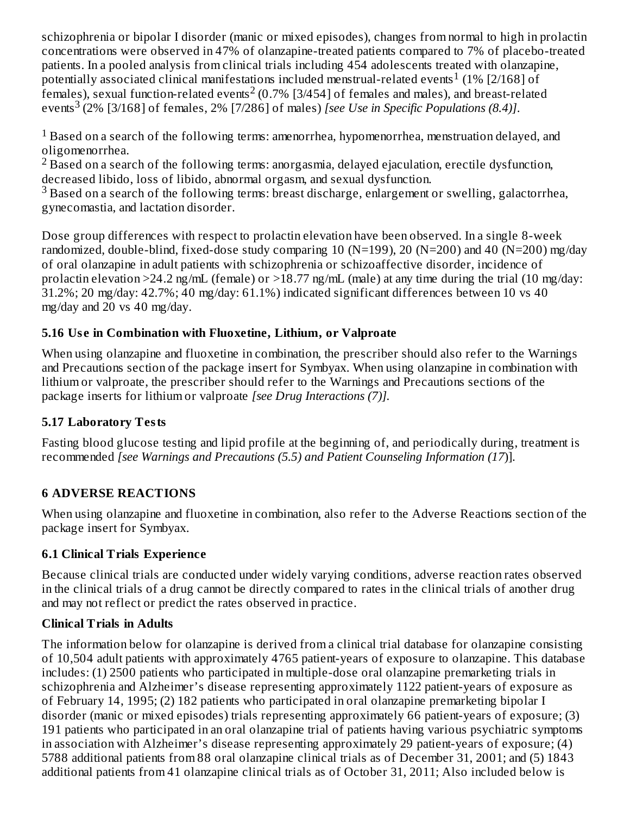schizophrenia or bipolar I disorder (manic or mixed episodes), changes from normal to high in prolactin concentrations were observed in 47% of olanzapine-treated patients compared to 7% of placebo-treated patients. In a pooled analysis from clinical trials including 454 adolescents treated with olanzapine, potentially associated clinical manifestations included menstrual-related events<sup>1</sup> (1% [2/168] of females), sexual function-related events<sup>2</sup> (0.7% [3/454] of females and males), and breast-related events (2% [3/168] of females, 2% [7/286] of males) *[see Use in Specific Populations (8.4)]*. 3

 $1$  Based on a search of the following terms: amenorrhea, hypomenorrhea, menstruation delayed, and oligomenorrhea.

 $2$  Based on a search of the following terms: anorgasmia, delayed ejaculation, erectile dysfunction, decreased libido, loss of libido, abnormal orgasm, and sexual dysfunction.

 $3$  Based on a search of the following terms: breast discharge, enlargement or swelling, galactorrhea, gynecomastia, and lactation disorder.

Dose group differences with respect to prolactin elevation have been observed. In a single 8-week randomized, double-blind, fixed-dose study comparing 10 (N=199), 20 (N=200) and 40 (N=200) mg/day of oral olanzapine in adult patients with schizophrenia or schizoaffective disorder, incidence of prolactin elevation >24.2 ng/mL (female) or >18.77 ng/mL (male) at any time during the trial (10 mg/day: 31.2%; 20 mg/day: 42.7%; 40 mg/day: 61.1%) indicated significant differences between 10 vs 40 mg/day and 20 vs 40 mg/day.

### **5.16 Us e in Combination with Fluoxetine, Lithium, or Valproate**

When using olanzapine and fluoxetine in combination, the prescriber should also refer to the Warnings and Precautions section of the package insert for Symbyax. When using olanzapine in combination with lithium or valproate, the prescriber should refer to the Warnings and Precautions sections of the package inserts for lithium or valproate *[see Drug Interactions (7)].*

### **5.17 Laboratory Tests**

Fasting blood glucose testing and lipid profile at the beginning of, and periodically during, treatment is recommended *[see Warnings and Precautions (5.5) and Patient Counseling Information (17*)].

### **6 ADVERSE REACTIONS**

When using olanzapine and fluoxetine in combination, also refer to the Adverse Reactions section of the package insert for Symbyax.

### **6.1 Clinical Trials Experience**

Because clinical trials are conducted under widely varying conditions, adverse reaction rates observed in the clinical trials of a drug cannot be directly compared to rates in the clinical trials of another drug and may not reflect or predict the rates observed in practice.

### **Clinical Trials in Adults**

The information below for olanzapine is derived from a clinical trial database for olanzapine consisting of 10,504 adult patients with approximately 4765 patient-years of exposure to olanzapine. This database includes: (1) 2500 patients who participated in multiple-dose oral olanzapine premarketing trials in schizophrenia and Alzheimer's disease representing approximately 1122 patient-years of exposure as of February 14, 1995; (2) 182 patients who participated in oral olanzapine premarketing bipolar I disorder (manic or mixed episodes) trials representing approximately 66 patient-years of exposure; (3) 191 patients who participated in an oral olanzapine trial of patients having various psychiatric symptoms in association with Alzheimer's disease representing approximately 29 patient-years of exposure; (4) 5788 additional patients from 88 oral olanzapine clinical trials as of December 31, 2001; and (5) 1843 additional patients from 41 olanzapine clinical trials as of October 31, 2011; Also included below is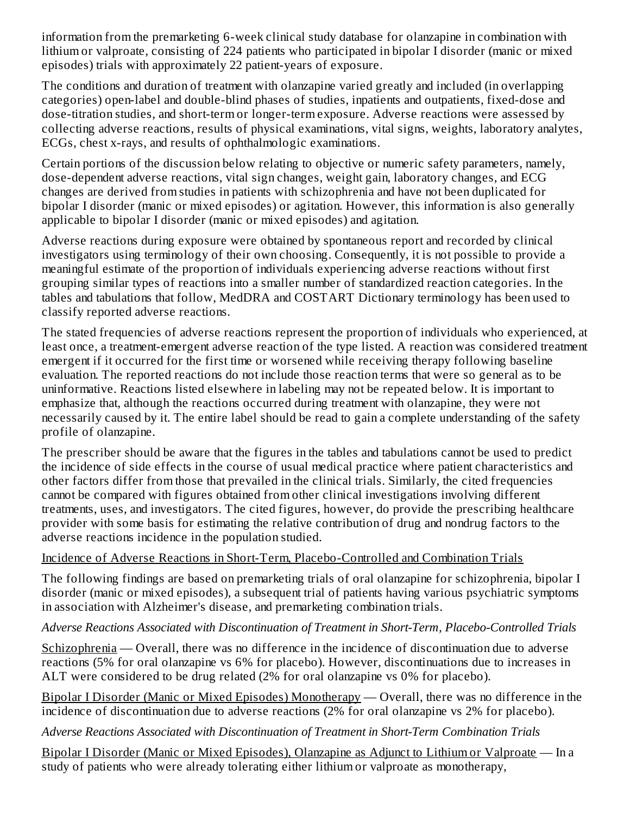information from the premarketing 6-week clinical study database for olanzapine in combination with lithium or valproate, consisting of 224 patients who participated in bipolar I disorder (manic or mixed episodes) trials with approximately 22 patient-years of exposure.

The conditions and duration of treatment with olanzapine varied greatly and included (in overlapping categories) open-label and double-blind phases of studies, inpatients and outpatients, fixed-dose and dose-titration studies, and short-term or longer-term exposure. Adverse reactions were assessed by collecting adverse reactions, results of physical examinations, vital signs, weights, laboratory analytes, ECGs, chest x-rays, and results of ophthalmologic examinations.

Certain portions of the discussion below relating to objective or numeric safety parameters, namely, dose-dependent adverse reactions, vital sign changes, weight gain, laboratory changes, and ECG changes are derived from studies in patients with schizophrenia and have not been duplicated for bipolar I disorder (manic or mixed episodes) or agitation. However, this information is also generally applicable to bipolar I disorder (manic or mixed episodes) and agitation.

Adverse reactions during exposure were obtained by spontaneous report and recorded by clinical investigators using terminology of their own choosing. Consequently, it is not possible to provide a meaningful estimate of the proportion of individuals experiencing adverse reactions without first grouping similar types of reactions into a smaller number of standardized reaction categories. In the tables and tabulations that follow, MedDRA and COSTART Dictionary terminology has been used to classify reported adverse reactions.

The stated frequencies of adverse reactions represent the proportion of individuals who experienced, at least once, a treatment-emergent adverse reaction of the type listed. A reaction was considered treatment emergent if it occurred for the first time or worsened while receiving therapy following baseline evaluation. The reported reactions do not include those reaction terms that were so general as to be uninformative. Reactions listed elsewhere in labeling may not be repeated below. It is important to emphasize that, although the reactions occurred during treatment with olanzapine, they were not necessarily caused by it. The entire label should be read to gain a complete understanding of the safety profile of olanzapine.

The prescriber should be aware that the figures in the tables and tabulations cannot be used to predict the incidence of side effects in the course of usual medical practice where patient characteristics and other factors differ from those that prevailed in the clinical trials. Similarly, the cited frequencies cannot be compared with figures obtained from other clinical investigations involving different treatments, uses, and investigators. The cited figures, however, do provide the prescribing healthcare provider with some basis for estimating the relative contribution of drug and nondrug factors to the adverse reactions incidence in the population studied.

### Incidence of Adverse Reactions in Short-Term, Placebo-Controlled and Combination Trials

The following findings are based on premarketing trials of oral olanzapine for schizophrenia, bipolar I disorder (manic or mixed episodes), a subsequent trial of patients having various psychiatric symptoms in association with Alzheimer's disease, and premarketing combination trials.

### *Adverse Reactions Associated with Discontinuation of Treatment in Short-Term, Placebo-Controlled Trials*

Schizophrenia — Overall, there was no difference in the incidence of discontinuation due to adverse reactions (5% for oral olanzapine vs 6% for placebo). However, discontinuations due to increases in ALT were considered to be drug related (2% for oral olanzapine vs 0% for placebo).

Bipolar I Disorder (Manic or Mixed Episodes) Monotherapy — Overall, there was no difference in the incidence of discontinuation due to adverse reactions (2% for oral olanzapine vs 2% for placebo).

*Adverse Reactions Associated with Discontinuation of Treatment in Short-Term Combination Trials*

Bipolar I Disorder (Manic or Mixed Episodes), Olanzapine as Adjunct to Lithium or Valproate — In a study of patients who were already tolerating either lithium or valproate as monotherapy,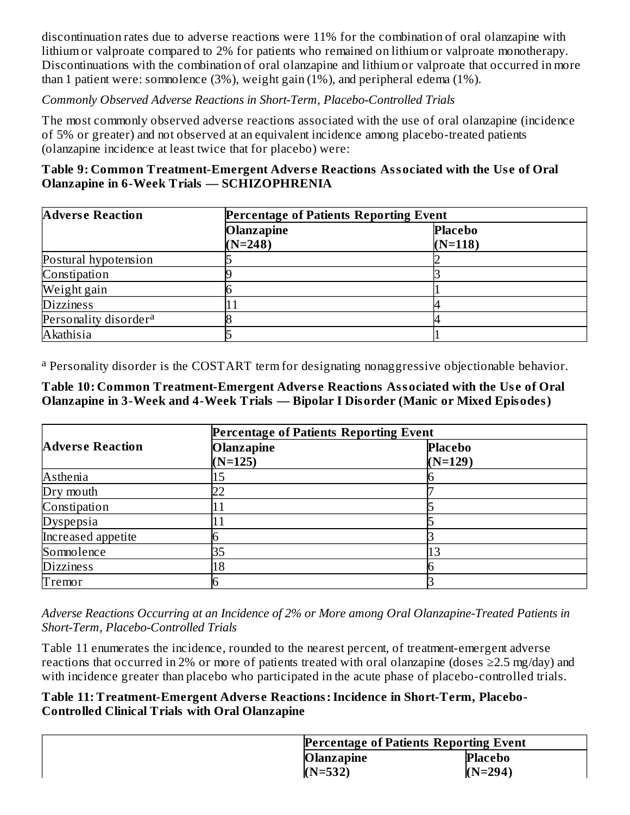discontinuation rates due to adverse reactions were 11% for the combination of oral olanzapine with lithium or valproate compared to 2% for patients who remained on lithium or valproate monotherapy. Discontinuations with the combination of oral olanzapine and lithium or valproate that occurred in more than 1 patient were: somnolence (3%), weight gain (1%), and peripheral edema (1%).

*Commonly Observed Adverse Reactions in Short-Term, Placebo-Controlled Trials*

The most commonly observed adverse reactions associated with the use of oral olanzapine (incidence of 5% or greater) and not observed at an equivalent incidence among placebo-treated patients (olanzapine incidence at least twice that for placebo) were:

#### **Table 9: Common Treatment-Emergent Advers e Reactions Associated with the Us e of Oral Olanzapine in 6-Week Trials — SCHIZOPHRENIA**

| <b>Adverse Reaction</b>           |                                | <b>Percentage of Patients Reporting Event</b> |  |  |
|-----------------------------------|--------------------------------|-----------------------------------------------|--|--|
|                                   | <b>Olanzapine</b><br>$(N=248)$ | <b>Placebo</b><br>$(N=118)$                   |  |  |
| Postural hypotension              |                                |                                               |  |  |
| Constipation                      |                                |                                               |  |  |
| Weight gain                       |                                |                                               |  |  |
| <b>Dizziness</b>                  |                                |                                               |  |  |
| Personality disorder <sup>a</sup> |                                |                                               |  |  |
| Akathisia                         |                                |                                               |  |  |

<sup>a</sup> Personality disorder is the COSTART term for designating nonaggressive objectionable behavior.

**Table 10: Common Treatment-Emergent Advers e Reactions Associated with the Us e of Oral Olanzapine in 3-Week and 4-Week Trials — Bipolar I Disorder (Manic or Mixed Episodes)**

|                         | <b>Percentage of Patients Reporting Event</b> |                |  |  |
|-------------------------|-----------------------------------------------|----------------|--|--|
| <b>Adverse Reaction</b> | <b>Olanzapine</b>                             | <b>Placebo</b> |  |  |
|                         | $(N=125)$                                     | $(N=129)$      |  |  |
| Asthenia                | 15                                            |                |  |  |
| Dry mouth               |                                               |                |  |  |
| Constipation            |                                               |                |  |  |
| <b>Dyspepsia</b>        |                                               |                |  |  |
| Increased appetite      |                                               |                |  |  |
| Somnolence              | 35                                            | 13             |  |  |
| <b>Dizziness</b>        | 18                                            |                |  |  |
| Tremor                  |                                               |                |  |  |

*Adverse Reactions Occurring at an Incidence of 2% or More among Oral Olanzapine-Treated Patients in Short-Term, Placebo-Controlled Trials*

Table 11 enumerates the incidence, rounded to the nearest percent, of treatment-emergent adverse reactions that occurred in 2% or more of patients treated with oral olanzapine (doses ≥2.5 mg/day) and with incidence greater than placebo who participated in the acute phase of placebo-controlled trials.

#### **Table 11: Treatment-Emergent Advers e Reactions:Incidence in Short-Term, Placebo-Controlled Clinical Trials with Oral Olanzapine**

|                   | <b>Percentage of Patients Reporting Event</b> |  |
|-------------------|-----------------------------------------------|--|
| <b>Olanzapine</b> | <b>Placebo</b>                                |  |
| $(N=532)$         | $(N=294)$                                     |  |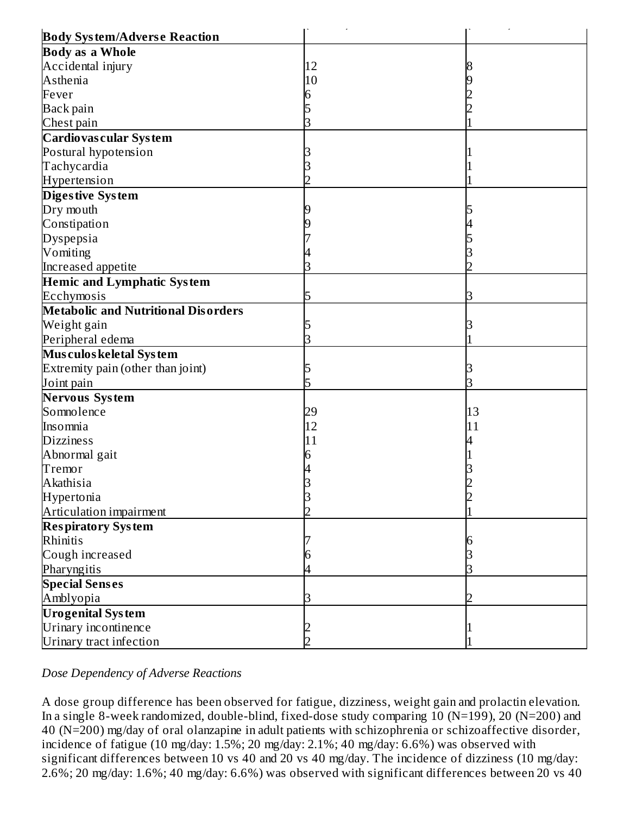| <b>Body System/Adverse Reaction</b>        |    |    |  |  |  |
|--------------------------------------------|----|----|--|--|--|
| <b>Body as a Whole</b>                     |    |    |  |  |  |
| Accidental injury                          | 12 |    |  |  |  |
| Asthenia                                   | 10 |    |  |  |  |
| Fever                                      |    |    |  |  |  |
| Back pain                                  |    |    |  |  |  |
| Chest pain                                 |    |    |  |  |  |
| <b>Cardiovas cular System</b>              |    |    |  |  |  |
| Postural hypotension                       |    |    |  |  |  |
| Tachycardia                                |    |    |  |  |  |
| Hypertension                               |    |    |  |  |  |
| Diges tive System                          |    |    |  |  |  |
| Dry mouth                                  |    |    |  |  |  |
| Constipation                               |    |    |  |  |  |
| Dyspepsia                                  |    |    |  |  |  |
| Vomiting                                   |    |    |  |  |  |
| Increased appetite                         |    |    |  |  |  |
| <b>Hemic and Lymphatic System</b>          |    |    |  |  |  |
| Ecchymosis                                 | ל  | З  |  |  |  |
| <b>Metabolic and Nutritional Disorders</b> |    |    |  |  |  |
| Weight gain                                |    |    |  |  |  |
| Peripheral edema                           |    |    |  |  |  |
| Musculos keletal System                    |    |    |  |  |  |
| Extremity pain (other than joint)          |    |    |  |  |  |
| Joint pain                                 |    |    |  |  |  |
| <b>Nervous System</b>                      |    |    |  |  |  |
| Somnolence                                 | 29 | 13 |  |  |  |
| Insomnia                                   | 12 | 11 |  |  |  |
| <b>Dizziness</b>                           | 11 |    |  |  |  |
| Abnormal gait                              | ხ  |    |  |  |  |
| Tremor                                     |    |    |  |  |  |
| Akathisia                                  |    |    |  |  |  |
| Hypertonia                                 |    |    |  |  |  |
| Articulation impairment                    |    |    |  |  |  |
| <b>Respiratory System</b>                  |    |    |  |  |  |
| Rhinitis                                   |    |    |  |  |  |
| Cough increased                            |    |    |  |  |  |
| Pharyngitis                                |    |    |  |  |  |
| <b>Special Senses</b>                      |    |    |  |  |  |
| Amblyopia                                  | З  |    |  |  |  |
| <b>Urogenital System</b>                   |    |    |  |  |  |
| Urinary incontinence                       |    |    |  |  |  |
| Urinary tract infection                    |    |    |  |  |  |

*Dose Dependency of Adverse Reactions*

A dose group difference has been observed for fatigue, dizziness, weight gain and prolactin elevation. In a single 8-week randomized, double-blind, fixed-dose study comparing 10 (N=199), 20 (N=200) and 40 (N=200) mg/day of oral olanzapine in adult patients with schizophrenia or schizoaffective disorder, incidence of fatigue (10 mg/day: 1.5%; 20 mg/day: 2.1%; 40 mg/day: 6.6%) was observed with significant differences between 10 vs 40 and 20 vs 40 mg/day. The incidence of dizziness (10 mg/day: 2.6%; 20 mg/day: 1.6%; 40 mg/day: 6.6%) was observed with significant differences between 20 vs 40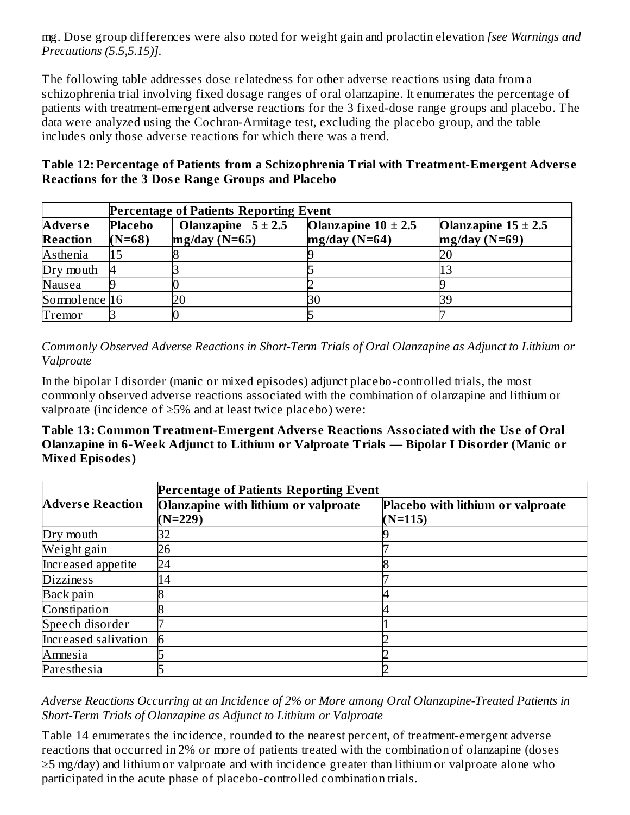mg. Dose group differences were also noted for weight gain and prolactin elevation *[see Warnings and Precautions (5.5,5.15)].*

The following table addresses dose relatedness for other adverse reactions using data from a schizophrenia trial involving fixed dosage ranges of oral olanzapine. It enumerates the percentage of patients with treatment-emergent adverse reactions for the 3 fixed-dose range groups and placebo. The data were analyzed using the Cochran-Armitage test, excluding the placebo group, and the table includes only those adverse reactions for which there was a trend.

#### **Table 12: Percentage of Patients from a Schizophrenia Trial with Treatment-Emergent Advers e Reactions for the 3 Dos e Range Groups and Placebo**

|                                   | <b>Percentage of Patients Reporting Event</b> |                                                  |                                                   |                                                   |  |
|-----------------------------------|-----------------------------------------------|--------------------------------------------------|---------------------------------------------------|---------------------------------------------------|--|
| <b>Adverse</b><br><b>Reaction</b> | <b>Placebo</b><br>$(N=68)$                    | <b>Olanzapine</b> $5 \pm 2.5$<br>$mg/day (N=65)$ | <b>Olanzapine</b> $10 \pm 2.5$<br>$mg/day (N=64)$ | <b>Olanzapine</b> $15 \pm 2.5$<br>$mg/day (N=69)$ |  |
| Asthenia                          | 15                                            |                                                  |                                                   |                                                   |  |
| Dry mouth                         |                                               |                                                  |                                                   |                                                   |  |
| Nausea                            |                                               |                                                  |                                                   |                                                   |  |
| Somnolence 16                     |                                               |                                                  | 30                                                | '39                                               |  |
| Tremor                            |                                               |                                                  |                                                   |                                                   |  |

*Commonly Observed Adverse Reactions in Short-Term Trials of Oral Olanzapine as Adjunct to Lithium or Valproate*

In the bipolar I disorder (manic or mixed episodes) adjunct placebo-controlled trials, the most commonly observed adverse reactions associated with the combination of olanzapine and lithium or valproate (incidence of ≥5% and at least twice placebo) were:

#### **Table 13: Common Treatment-Emergent Advers e Reactions Associated with the Us e of Oral Olanzapine in 6-Week Adjunct to Lithium or Valproate Trials — Bipolar I Disorder (Manic or Mixed Episodes)**

|                         | <b>Percentage of Patients Reporting Event</b>     |                                                |  |  |  |
|-------------------------|---------------------------------------------------|------------------------------------------------|--|--|--|
| <b>Adverse Reaction</b> | Olanzapine with lithium or valproate<br>$(N=229)$ | Placebo with lithium or valproate<br>$(N=115)$ |  |  |  |
| Dry mouth               | 32                                                |                                                |  |  |  |
| Weight gain             | 26                                                |                                                |  |  |  |
| Increased appetite      | 24                                                |                                                |  |  |  |
| <b>Dizziness</b>        | 14                                                |                                                |  |  |  |
| Back pain               |                                                   |                                                |  |  |  |
| Constipation            |                                                   |                                                |  |  |  |
| Speech disorder         |                                                   |                                                |  |  |  |
| Increased salivation    |                                                   |                                                |  |  |  |
| Amnesia                 |                                                   |                                                |  |  |  |
| Paresthesia             |                                                   |                                                |  |  |  |

*Adverse Reactions Occurring at an Incidence of 2% or More among Oral Olanzapine-Treated Patients in Short-Term Trials of Olanzapine as Adjunct to Lithium or Valproate*

Table 14 enumerates the incidence, rounded to the nearest percent, of treatment-emergent adverse reactions that occurred in 2% or more of patients treated with the combination of olanzapine (doses ≥5 mg/day) and lithium or valproate and with incidence greater than lithium or valproate alone who participated in the acute phase of placebo-controlled combination trials.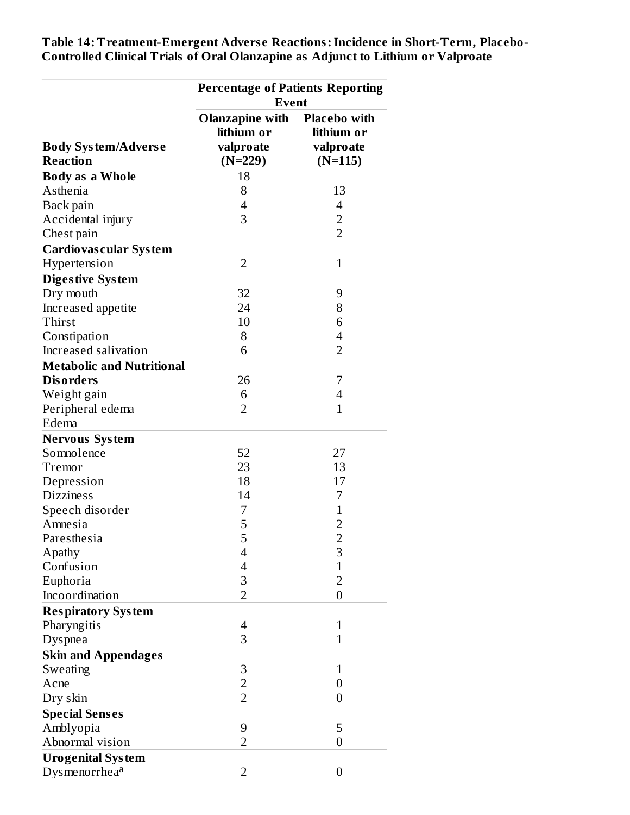**Table 14: Treatment-Emergent Advers e Reactions:Incidence in Short-Term, Placebo-Controlled Clinical Trials of Oral Olanzapine as Adjunct to Lithium or Valproate**

|                                        | <b>Percentage of Patients Reporting</b><br><b>Event</b> |                  |  |
|----------------------------------------|---------------------------------------------------------|------------------|--|
|                                        | <b>Placebo with</b>                                     |                  |  |
|                                        | <b>Olanzapine with</b><br>lithium or                    | lithium or       |  |
|                                        | valproate                                               | valproate        |  |
| Body System/Adverse<br><b>Reaction</b> | $(N=229)$                                               | $(N=115)$        |  |
|                                        | 18                                                      |                  |  |
| <b>Body as a Whole</b><br>Asthenia     | 8                                                       | 13               |  |
| Back pain                              | $\overline{4}$                                          | 4                |  |
| Accidental injury                      | 3                                                       | $\overline{2}$   |  |
| Chest pain                             |                                                         | $\overline{2}$   |  |
|                                        |                                                         |                  |  |
| <b>Cardiovas cular System</b>          | $\overline{2}$                                          |                  |  |
| Hypertension                           |                                                         | $\mathbf{1}$     |  |
| Digestive System                       |                                                         |                  |  |
| Dry mouth                              | 32                                                      | 9                |  |
| Increased appetite                     | 24                                                      | 8                |  |
| Thirst                                 | 10                                                      | 6                |  |
| Constipation                           | 8                                                       | $\overline{4}$   |  |
| <b>Increased salivation</b>            | 6                                                       | $\overline{2}$   |  |
| <b>Metabolic and Nutritional</b>       |                                                         |                  |  |
| <b>Disorders</b>                       | 26                                                      | 7                |  |
| Weight gain                            | 6                                                       | $\overline{4}$   |  |
| Peripheral edema                       | $\overline{2}$                                          | $\mathbf{1}$     |  |
| Edema                                  |                                                         |                  |  |
| Nervous System                         |                                                         |                  |  |
| Somnolence                             | 52                                                      | 27               |  |
| Tremor                                 | 23                                                      | 13               |  |
| Depression                             | 18                                                      | 17               |  |
| <b>Dizziness</b>                       | 14                                                      | 7                |  |
| Speech disorder                        | 7                                                       | $\mathbf{1}$     |  |
| Amnesia                                | 5                                                       | $\overline{2}$   |  |
| Paresthesia                            | 5                                                       | $\overline{2}$   |  |
| Apathy                                 | 4                                                       | 3                |  |
| Confusion                              | $\overline{\mathcal{A}}$                                | $\mathbf{1}$     |  |
| Euphoria                               | 3                                                       | $\overline{2}$   |  |
| Incoordination                         | $\overline{2}$                                          | $\boldsymbol{0}$ |  |
| <b>Respiratory System</b>              |                                                         |                  |  |
| Pharyngitis                            | 4                                                       | $\mathbf{1}$     |  |
| Dyspnea                                | 3                                                       | $\mathbf{1}$     |  |
| <b>Skin and Appendages</b>             |                                                         |                  |  |
| Sweating                               | 3                                                       | $\mathbf{1}$     |  |
| Acne                                   | 2                                                       | $\boldsymbol{0}$ |  |
| Dry skin                               | $\overline{2}$                                          | $\overline{0}$   |  |
| <b>Special Senses</b>                  |                                                         |                  |  |
| Amblyopia                              | 9                                                       | 5                |  |
| Abnormal vision                        | 2                                                       | $\boldsymbol{0}$ |  |
| <b>Urogenital System</b>               |                                                         |                  |  |
| Dysmenorrhea <sup>a</sup>              | $\overline{2}$                                          | $\boldsymbol{0}$ |  |
|                                        |                                                         |                  |  |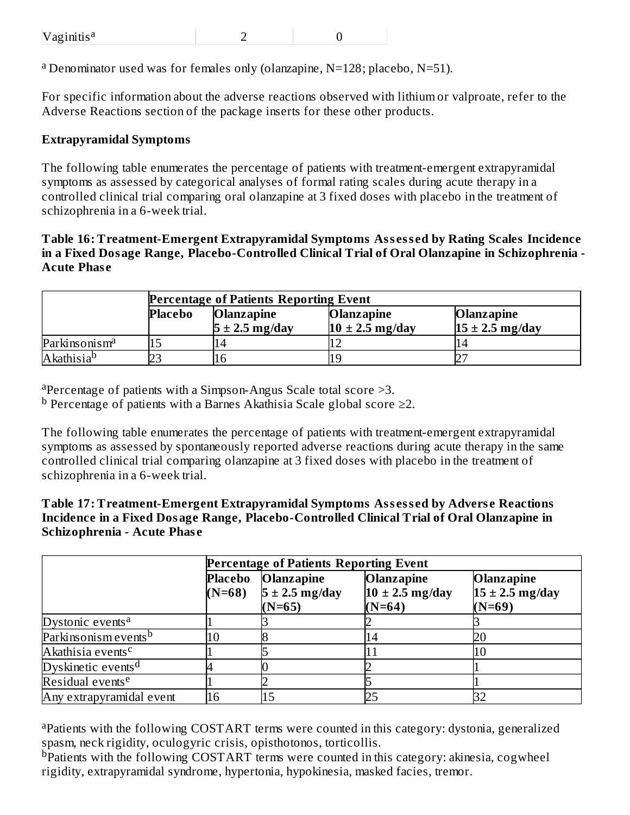| Iτ<br>dinitied<br>$\overline{\phantom{a}}$<br>, |  |
|-------------------------------------------------|--|
|                                                 |  |

<sup>a</sup> Denominator used was for females only (olanzapine,  $N=128$ ; placebo,  $N=51$ ).

For specific information about the adverse reactions observed with lithium or valproate, refer to the Adverse Reactions section of the package inserts for these other products.

#### **Extrapyramidal Symptoms**

The following table enumerates the percentage of patients with treatment-emergent extrapyramidal symptoms as assessed by categorical analyses of formal rating scales during acute therapy in a controlled clinical trial comparing oral olanzapine at 3 fixed doses with placebo in the treatment of schizophrenia in a 6-week trial.

#### **Table 16: Treatment-Emergent Extrapyramidal Symptoms Ass ess ed by Rating Scales Incidence in a Fixed Dosage Range, Placebo-Controlled Clinical Trial of Oral Olanzapine in Schizophrenia - Acute Phas e**

|                           | <b>Percentage of Patients Reporting Event</b> |                                                                                                                          |  |  |  |  |
|---------------------------|-----------------------------------------------|--------------------------------------------------------------------------------------------------------------------------|--|--|--|--|
|                           | <b>Placebo</b>                                | <b>Olanzapine</b><br><b>Olanzapine</b><br>Olanzapine<br>$15 \pm 2.5$ mg/day<br>$10 \pm 2.5$ mg/day<br>$5 \pm 2.5$ mg/day |  |  |  |  |
| Parkinsonism <sup>a</sup> |                                               | 14                                                                                                                       |  |  |  |  |
| Akathisia <sup>b</sup>    |                                               |                                                                                                                          |  |  |  |  |

aPercentage of patients with a Simpson-Angus Scale total score >3.

**b** Percentage of patients with a Barnes Akathisia Scale global score ≥2.

The following table enumerates the percentage of patients with treatment-emergent extrapyramidal symptoms as assessed by spontaneously reported adverse reactions during acute therapy in the same controlled clinical trial comparing olanzapine at 3 fixed doses with placebo in the treatment of schizophrenia in a 6-week trial.

#### **Table 17: Treatment-Emergent Extrapyramidal Symptoms Ass ess ed by Advers e Reactions Incidence in a Fixed Dosage Range, Placebo-Controlled Clinical Trial of Oral Olanzapine in Schizophrenia - Acute Phas e**

|                                  | <b>Percentage of Patients Reporting Event</b> |                                                     |                                                      |                                                      |
|----------------------------------|-----------------------------------------------|-----------------------------------------------------|------------------------------------------------------|------------------------------------------------------|
|                                  | <b>Placebo</b><br>$(N=68)$                    | <b>Olanzapine</b><br>$5 \pm 2.5$ mg/day<br>$(N=65)$ | <b>Olanzapine</b><br>$10 \pm 2.5$ mg/day<br>$(N=64)$ | <b>Olanzapine</b><br>$15 \pm 2.5$ mg/day<br>$(N=69)$ |
| Dystonic events <sup>a</sup>     |                                               |                                                     |                                                      |                                                      |
| Parkinsonism events <sup>b</sup> | .0                                            |                                                     | 14                                                   | 20                                                   |
| Akathisia events <sup>c</sup>    |                                               |                                                     |                                                      |                                                      |
| Dyskinetic events <sup>d</sup>   |                                               |                                                     |                                                      |                                                      |
| Residual events <sup>e</sup>     |                                               |                                                     |                                                      |                                                      |
| Any extrapyramidal event         | 16                                            |                                                     |                                                      | 32                                                   |

<sup>a</sup>Patients with the following COSTART terms were counted in this category: dystonia, generalized spasm, neck rigidity, oculogyric crisis, opisthotonos, torticollis.

b Patients with the following COSTART terms were counted in this category: akinesia, cogwheel rigidity, extrapyramidal syndrome, hypertonia, hypokinesia, masked facies, tremor.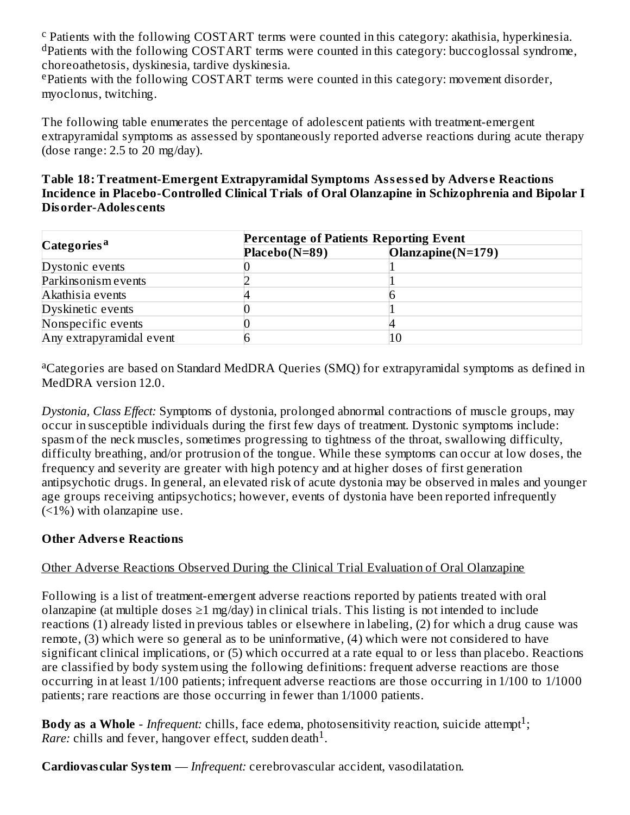<sup>c</sup> Patients with the following COSTART terms were counted in this category: akathisia, hyperkinesia. dpatients with the following COSTART terms were counted in this category: buccoglossal syndrome, choreoathetosis, dyskinesia, tardive dyskinesia.

<sup>e</sup> Patients with the following COSTART terms were counted in this category: movement disorder, myoclonus, twitching.

The following table enumerates the percentage of adolescent patients with treatment-emergent extrapyramidal symptoms as assessed by spontaneously reported adverse reactions during acute therapy (dose range: 2.5 to 20 mg/day).

#### **Table 18: Treatment-Emergent Extrapyramidal Symptoms Ass ess ed by Advers e Reactions Incidence in Placebo-Controlled Clinical Trials of Oral Olanzapine in Schizophrenia and Bipolar I Disorder-Adoles cents**

|                          | <b>Percentage of Patients Reporting Event</b> |                      |  |
|--------------------------|-----------------------------------------------|----------------------|--|
| Categories <sup>a</sup>  | $Placebo(N=89)$                               | Olanzapine $(N=179)$ |  |
| Dystonic events          |                                               |                      |  |
| Parkinsonism events      |                                               |                      |  |
| Akathisia events         |                                               |                      |  |
| Dyskinetic events        |                                               |                      |  |
| Nonspecific events       |                                               |                      |  |
| Any extrapyramidal event |                                               |                      |  |

<sup>a</sup>Categories are based on Standard MedDRA Queries (SMQ) for extrapyramidal symptoms as defined in MedDRA version 12.0.

*Dystonia, Class Effect:* Symptoms of dystonia, prolonged abnormal contractions of muscle groups, may occur in susceptible individuals during the first few days of treatment. Dystonic symptoms include: spasm of the neck muscles, sometimes progressing to tightness of the throat, swallowing difficulty, difficulty breathing, and/or protrusion of the tongue. While these symptoms can occur at low doses, the frequency and severity are greater with high potency and at higher doses of first generation antipsychotic drugs. In general, an elevated risk of acute dystonia may be observed in males and younger age groups receiving antipsychotics; however, events of dystonia have been reported infrequently (<1%) with olanzapine use.

### **Other Advers e Reactions**

### Other Adverse Reactions Observed During the Clinical Trial Evaluation of Oral Olanzapine

Following is a list of treatment-emergent adverse reactions reported by patients treated with oral olanzapine (at multiple doses  $\geq 1$  mg/day) in clinical trials. This listing is not intended to include reactions (1) already listed in previous tables or elsewhere in labeling, (2) for which a drug cause was remote, (3) which were so general as to be uninformative, (4) which were not considered to have significant clinical implications, or (5) which occurred at a rate equal to or less than placebo. Reactions are classified by body system using the following definitions: frequent adverse reactions are those occurring in at least 1/100 patients; infrequent adverse reactions are those occurring in 1/100 to 1/1000 patients; rare reactions are those occurring in fewer than 1/1000 patients.

**Body as a Whole** - *Infrequent:* chills, face edema, photosensitivity reaction, suicide attempt<sup>1</sup>; *Rare:* chills and fever, hangover effect, sudden death<sup>1</sup>.

**Cardiovas cular System** — *Infrequent:* cerebrovascular accident, vasodilatation.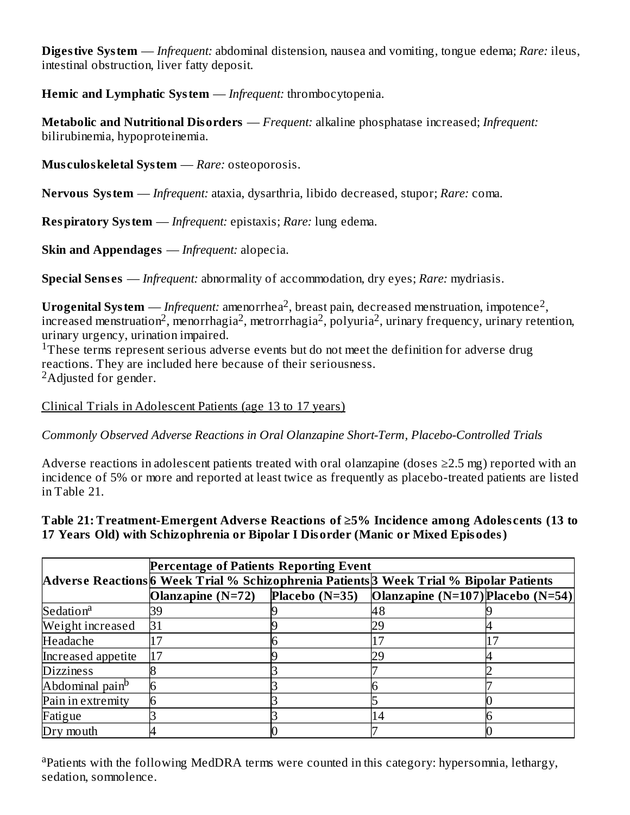**Digestive System** — *Infrequent:* abdominal distension, nausea and vomiting, tongue edema; *Rare:* ileus, intestinal obstruction, liver fatty deposit.

**Hemic and Lymphatic System** — *Infrequent:* thrombocytopenia.

**Metabolic and Nutritional Disorders** — *Frequent:* alkaline phosphatase increased; *Infrequent:* bilirubinemia, hypoproteinemia.

**Mus culoskeletal System** — *Rare:* osteoporosis.

**Nervous System** — *Infrequent:* ataxia, dysarthria, libido decreased, stupor; *Rare:* coma.

**Respiratory System** — *Infrequent:* epistaxis; *Rare:* lung edema.

**Skin and Appendages** — *Infrequent:* alopecia.

**Special Sens es** — *Infrequent:* abnormality of accommodation, dry eyes; *Rare:* mydriasis.

 $\bf{U}$ ro $\bf{g}$ enital  $\bf{S}$ ystem — *Infrequent:* amenorrhea<sup>2</sup>, breast pain, decreased menstruation, impotence<sup>2</sup>, increased menstruation<sup>2</sup>, menorrhagia<sup>2</sup>, metrorrhagia<sup>2</sup>, polyuria<sup>2</sup>, urinary frequency, urinary retention, urinary urgency, urination impaired.

<sup>1</sup>These terms represent serious adverse events but do not meet the definition for adverse drug reactions. They are included here because of their seriousness. <sup>2</sup>Adjusted for gender.

### Clinical Trials in Adolescent Patients (age 13 to 17 years)

*Commonly Observed Adverse Reactions in Oral Olanzapine Short-Term, Placebo-Controlled Trials*

Adverse reactions in adolescent patients treated with oral olanzapine (doses  $\geq$ 2.5 mg) reported with an incidence of 5% or more and reported at least twice as frequently as placebo-treated patients are listed in Table 21.

#### **Table 21: Treatment-Emergent Advers e Reactions of ≥5% Incidence among Adoles cents (13 to 17 Years Old) with Schizophrenia or Bipolar I Disorder (Manic or Mixed Episodes)**

|                             | <b>Percentage of Patients Reporting Event</b>                                         |                  |                                   |  |  |
|-----------------------------|---------------------------------------------------------------------------------------|------------------|-----------------------------------|--|--|
|                             | Adverse Reactions6 Week Trial % Schizophrenia Patients3 Week Trial % Bipolar Patients |                  |                                   |  |  |
|                             | Olanzapine $(N=72)$                                                                   | Placebo $(N=35)$ | Olanzapine (N=107) Placebo (N=54) |  |  |
| Sedation <sup>a</sup>       | 39                                                                                    |                  | 48                                |  |  |
| Weight increased            |                                                                                       |                  |                                   |  |  |
| Headache                    |                                                                                       |                  |                                   |  |  |
| Increased appetite          |                                                                                       |                  | 29                                |  |  |
| <b>Dizziness</b>            |                                                                                       |                  |                                   |  |  |
| Abdominal pain <sup>b</sup> |                                                                                       |                  |                                   |  |  |
| Pain in extremity           |                                                                                       |                  |                                   |  |  |
| Fatigue                     |                                                                                       |                  | 14                                |  |  |
| Dry mouth                   |                                                                                       |                  |                                   |  |  |

<sup>a</sup>Patients with the following MedDRA terms were counted in this category: hypersomnia, lethargy, sedation, somnolence. **b** and the state of the state of the state of the state of the state of the state of the state of the state of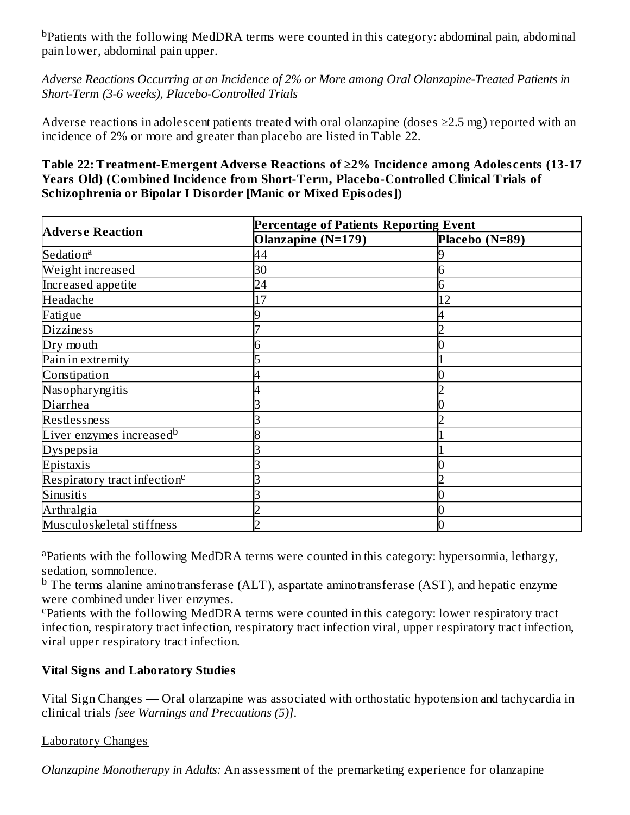$^{\text{b}}$ Patients with the following MedDRA terms were counted in this category: abdominal pain, abdominal pain lower, abdominal pain upper.

*Adverse Reactions Occurring at an Incidence of 2% or More among Oral Olanzapine-Treated Patients in Short-Term (3-6 weeks), Placebo-Controlled Trials*

Adverse reactions in adolescent patients treated with oral olanzapine (doses  $\geq$ 2.5 mg) reported with an incidence of 2% or more and greater than placebo are listed in Table 22.

#### **Table 22: Treatment-Emergent Advers e Reactions of ≥2% Incidence among Adoles cents (13-17 Years Old) (Combined Incidence from Short-Term, Placebo-Controlled Clinical Trials of Schizophrenia or Bipolar I Disorder [Manic or Mixed Episodes])**

|                                          | Percentage of Patients Reporting Event |                |  |  |
|------------------------------------------|----------------------------------------|----------------|--|--|
| <b>Adverse Reaction</b>                  | Olanzapine (N=179)                     | Placebo (N=89) |  |  |
| Sedation <sup>a</sup>                    | 44                                     |                |  |  |
| Weight increased                         | 30                                     |                |  |  |
| Increased appetite                       | 24                                     | n              |  |  |
| Headache                                 | 17                                     | 12             |  |  |
| Fatigue                                  |                                        |                |  |  |
| <b>Dizziness</b>                         |                                        |                |  |  |
| Dry mouth                                |                                        |                |  |  |
| Pain in extremity                        |                                        |                |  |  |
| Constipation                             |                                        |                |  |  |
| Nasopharyngitis                          |                                        |                |  |  |
| Diarrhea                                 |                                        |                |  |  |
| Restlessness                             |                                        |                |  |  |
| Liver enzymes increased <sup>b</sup>     |                                        |                |  |  |
| <b>Dyspepsia</b>                         |                                        |                |  |  |
| Epistaxis                                |                                        |                |  |  |
| Respiratory tract infection <sup>c</sup> |                                        |                |  |  |
| Sinusitis                                |                                        |                |  |  |
| Arthralgia                               |                                        |                |  |  |
| Musculoskeletal stiffness                |                                        |                |  |  |

<sup>a</sup>Patients with the following MedDRA terms were counted in this category: hypersomnia, lethargy, sedation, somnolence.

 $^{\rm b}$  The terms alanine aminotransferase (ALT), aspartate aminotransferase (AST), and hepatic enzyme were combined under liver enzymes.

Patients with the following MedDRA terms were counted in this category: lower respiratory tract cinfection, respiratory tract infection, respiratory tract infection viral, upper respiratory tract infection, viral upper respiratory tract infection.

#### **Vital Signs and Laboratory Studies**

Vital Sign Changes — Oral olanzapine was associated with orthostatic hypotension and tachycardia in clinical trials *[see Warnings and Precautions (5)]*.

#### Laboratory Changes

*Olanzapine Monotherapy in Adults:* An assessment of the premarketing experience for olanzapine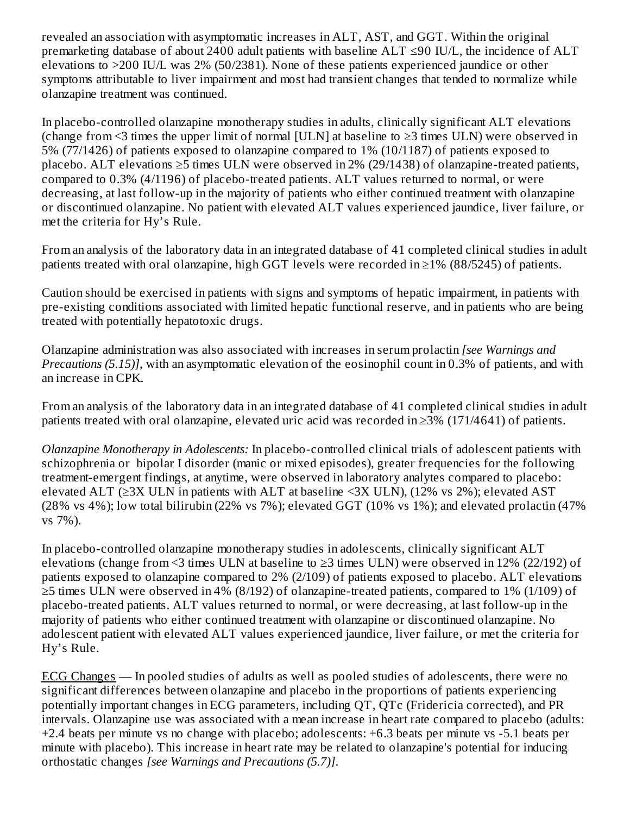revealed an association with asymptomatic increases in ALT, AST, and GGT. Within the original premarketing database of about 2400 adult patients with baseline ALT ≤90 IU/L, the incidence of ALT elevations to >200 IU/L was 2% (50/2381). None of these patients experienced jaundice or other symptoms attributable to liver impairment and most had transient changes that tended to normalize while olanzapine treatment was continued.

In placebo-controlled olanzapine monotherapy studies in adults, clinically significant ALT elevations (change from <3 times the upper limit of normal [ULN] at baseline to  $\geq$ 3 times ULN) were observed in 5% (77/1426) of patients exposed to olanzapine compared to 1% (10/1187) of patients exposed to placebo. ALT elevations ≥5 times ULN were observed in 2% (29/1438) of olanzapine-treated patients, compared to 0.3% (4/1196) of placebo-treated patients. ALT values returned to normal, or were decreasing, at last follow-up in the majority of patients who either continued treatment with olanzapine or discontinued olanzapine. No patient with elevated ALT values experienced jaundice, liver failure, or met the criteria for Hy's Rule.

From an analysis of the laboratory data in an integrated database of 41 completed clinical studies in adult patients treated with oral olanzapine, high GGT levels were recorded in ≥1% (88/5245) of patients.

Caution should be exercised in patients with signs and symptoms of hepatic impairment, in patients with pre-existing conditions associated with limited hepatic functional reserve, and in patients who are being treated with potentially hepatotoxic drugs.

Olanzapine administration was also associated with increases in serum prolactin *[see Warnings and Precautions (5.15)]*, with an asymptomatic elevation of the eosinophil count in 0.3% of patients, and with an increase in CPK.

From an analysis of the laboratory data in an integrated database of 41 completed clinical studies in adult patients treated with oral olanzapine, elevated uric acid was recorded in ≥3% (171/4641) of patients.

*Olanzapine Monotherapy in Adolescents:* In placebo-controlled clinical trials of adolescent patients with schizophrenia or bipolar I disorder (manic or mixed episodes), greater frequencies for the following treatment-emergent findings, at anytime, were observed in laboratory analytes compared to placebo: elevated ALT ( $\geq$ 3X ULN in patients with ALT at baseline <3X ULN), (12% vs 2%); elevated AST (28% vs 4%); low total bilirubin (22% vs 7%); elevated GGT (10% vs 1%); and elevated prolactin (47% vs 7%).

In placebo-controlled olanzapine monotherapy studies in adolescents, clinically significant ALT elevations (change from <3 times ULN at baseline to ≥3 times ULN) were observed in 12% (22/192) of patients exposed to olanzapine compared to 2% (2/109) of patients exposed to placebo. ALT elevations ≥5 times ULN were observed in 4% (8/192) of olanzapine-treated patients, compared to 1% (1/109) of placebo-treated patients. ALT values returned to normal, or were decreasing, at last follow-up in the majority of patients who either continued treatment with olanzapine or discontinued olanzapine. No adolescent patient with elevated ALT values experienced jaundice, liver failure, or met the criteria for Hy's Rule.

ECG Changes — In pooled studies of adults as well as pooled studies of adolescents, there were no significant differences between olanzapine and placebo in the proportions of patients experiencing potentially important changes in ECG parameters, including QT, QTc (Fridericia corrected), and PR intervals. Olanzapine use was associated with a mean increase in heart rate compared to placebo (adults: +2.4 beats per minute vs no change with placebo; adolescents: +6.3 beats per minute vs -5.1 beats per minute with placebo). This increase in heart rate may be related to olanzapine's potential for inducing orthostatic changes *[see Warnings and Precautions (5.7)]*.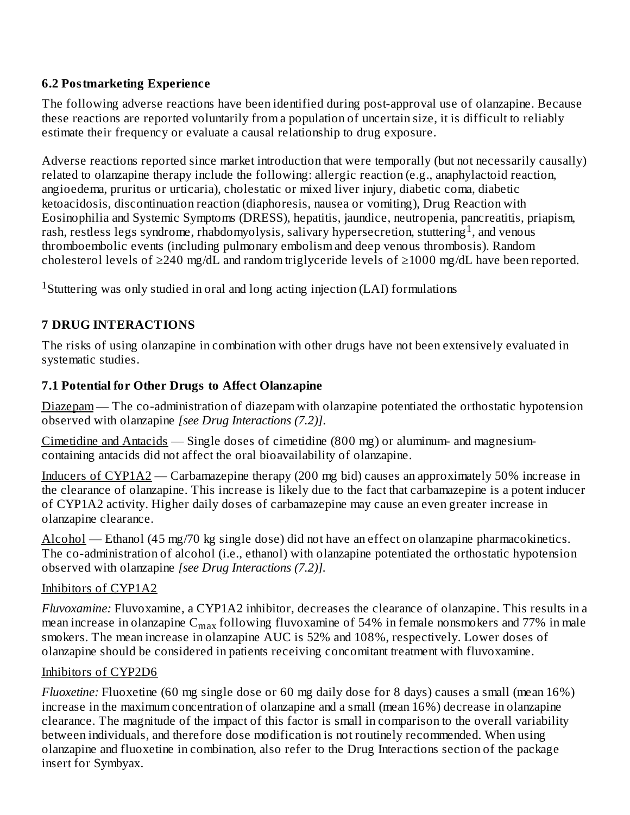#### **6.2 Postmarketing Experience**

The following adverse reactions have been identified during post-approval use of olanzapine. Because these reactions are reported voluntarily from a population of uncertain size, it is difficult to reliably estimate their frequency or evaluate a causal relationship to drug exposure.

Adverse reactions reported since market introduction that were temporally (but not necessarily causally) related to olanzapine therapy include the following: allergic reaction (e.g., anaphylactoid reaction, angioedema, pruritus or urticaria), cholestatic or mixed liver injury, diabetic coma, diabetic ketoacidosis, discontinuation reaction (diaphoresis, nausea or vomiting), Drug Reaction with Eosinophilia and Systemic Symptoms (DRESS), hepatitis, jaundice, neutropenia, pancreatitis, priapism, rash, restless legs syndrome, rhabdomyolysis, salivary hypersecretion, stuttering<sup>1</sup>, and venous thromboembolic events (including pulmonary embolism and deep venous thrombosis). Random cholesterol levels of ≥240 mg/dL and random triglyceride levels of ≥1000 mg/dL have been reported.

<sup>1</sup>Stuttering was only studied in oral and long acting injection (LAI) formulations

## **7 DRUG INTERACTIONS**

The risks of using olanzapine in combination with other drugs have not been extensively evaluated in systematic studies.

#### **7.1 Potential for Other Drugs to Affect Olanzapine**

Diazepam — The co-administration of diazepam with olanzapine potentiated the orthostatic hypotension observed with olanzapine *[see Drug Interactions (7.2)]*.

Cimetidine and Antacids — Single doses of cimetidine (800 mg) or aluminum- and magnesiumcontaining antacids did not affect the oral bioavailability of olanzapine.

Inducers of CYP1A2 — Carbamazepine therapy (200 mg bid) causes an approximately 50% increase in the clearance of olanzapine. This increase is likely due to the fact that carbamazepine is a potent inducer of CYP1A2 activity. Higher daily doses of carbamazepine may cause an even greater increase in olanzapine clearance.

Alcohol — Ethanol (45 mg/70 kg single dose) did not have an effect on olanzapine pharmacokinetics. The co-administration of alcohol (i.e., ethanol) with olanzapine potentiated the orthostatic hypotension observed with olanzapine *[see Drug Interactions (7.2)].*

#### Inhibitors of CYP1A2

*Fluvoxamine:* Fluvoxamine, a CYP1A2 inhibitor, decreases the clearance of olanzapine. This results in a mean increase in olanzapine  $\rm{C_{max}}$  following fluvoxamine of 54% in female nonsmokers and 77% in male smokers. The mean increase in olanzapine AUC is 52% and 108%, respectively. Lower doses of olanzapine should be considered in patients receiving concomitant treatment with fluvoxamine.

#### Inhibitors of CYP2D6

*Fluoxetine:* Fluoxetine (60 mg single dose or 60 mg daily dose for 8 days) causes a small (mean 16%) increase in the maximum concentration of olanzapine and a small (mean 16%) decrease in olanzapine clearance. The magnitude of the impact of this factor is small in comparison to the overall variability between individuals, and therefore dose modification is not routinely recommended. When using olanzapine and fluoxetine in combination, also refer to the Drug Interactions section of the package insert for Symbyax.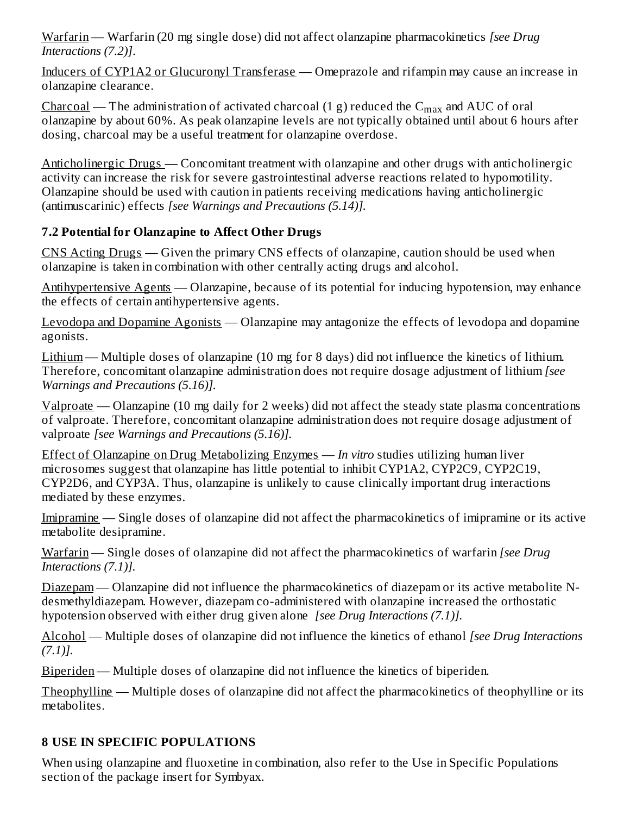Warfarin — Warfarin (20 mg single dose) did not affect olanzapine pharmacokinetics *[see Drug Interactions (7.2)]*.

Inducers of CYP1A2 or Glucuronyl Transferase — Omeprazole and rifampin may cause an increase in olanzapine clearance.

 $\frac{\text{Charcoal}}{\text{C}^{\text{max}}}$  — The administration of activated charcoal (1 g) reduced the  $\text{C}_{\text{max}}$  and  $\text{AUC}$  of oral olanzapine by about 60%. As peak olanzapine levels are not typically obtained until about 6 hours after dosing, charcoal may be a useful treatment for olanzapine overdose.

Anticholinergic Drugs — Concomitant treatment with olanzapine and other drugs with anticholinergic activity can increase the risk for severe gastrointestinal adverse reactions related to hypomotility. Olanzapine should be used with caution in patients receiving medications having anticholinergic (antimuscarinic) effects *[see Warnings and Precautions (5.14)].*

## **7.2 Potential for Olanzapine to Affect Other Drugs**

CNS Acting Drugs — Given the primary CNS effects of olanzapine, caution should be used when olanzapine is taken in combination with other centrally acting drugs and alcohol.

Antihypertensive Agents — Olanzapine, because of its potential for inducing hypotension, may enhance the effects of certain antihypertensive agents.

Levodopa and Dopamine Agonists — Olanzapine may antagonize the effects of levodopa and dopamine agonists.

Lithium — Multiple doses of olanzapine (10 mg for 8 days) did not influence the kinetics of lithium. Therefore, concomitant olanzapine administration does not require dosage adjustment of lithium *[see Warnings and Precautions (5.16)].*

Valproate — Olanzapine (10 mg daily for 2 weeks) did not affect the steady state plasma concentrations of valproate. Therefore, concomitant olanzapine administration does not require dosage adjustment of valproate *[see Warnings and Precautions (5.16)].*

Effect of Olanzapine on Drug Metabolizing Enzymes — *In vitro* studies utilizing human liver microsomes suggest that olanzapine has little potential to inhibit CYP1A2, CYP2C9, CYP2C19, CYP2D6, and CYP3A. Thus, olanzapine is unlikely to cause clinically important drug interactions mediated by these enzymes.

Imipramine — Single doses of olanzapine did not affect the pharmacokinetics of imipramine or its active metabolite desipramine.

Warfarin — Single doses of olanzapine did not affect the pharmacokinetics of warfarin *[see Drug Interactions (7.1)].*

Diazepam — Olanzapine did not influence the pharmacokinetics of diazepam or its active metabolite Ndesmethyldiazepam. However, diazepam co-administered with olanzapine increased the orthostatic hypotension observed with either drug given alone *[see Drug Interactions (7.1)].*

Alcohol — Multiple doses of olanzapine did not influence the kinetics of ethanol *[see Drug Interactions (7.1)].*

Biperiden — Multiple doses of olanzapine did not influence the kinetics of biperiden.

Theophylline — Multiple doses of olanzapine did not affect the pharmacokinetics of theophylline or its metabolites.

### **8 USE IN SPECIFIC POPULATIONS**

When using olanzapine and fluoxetine in combination, also refer to the Use in Specific Populations section of the package insert for Symbyax.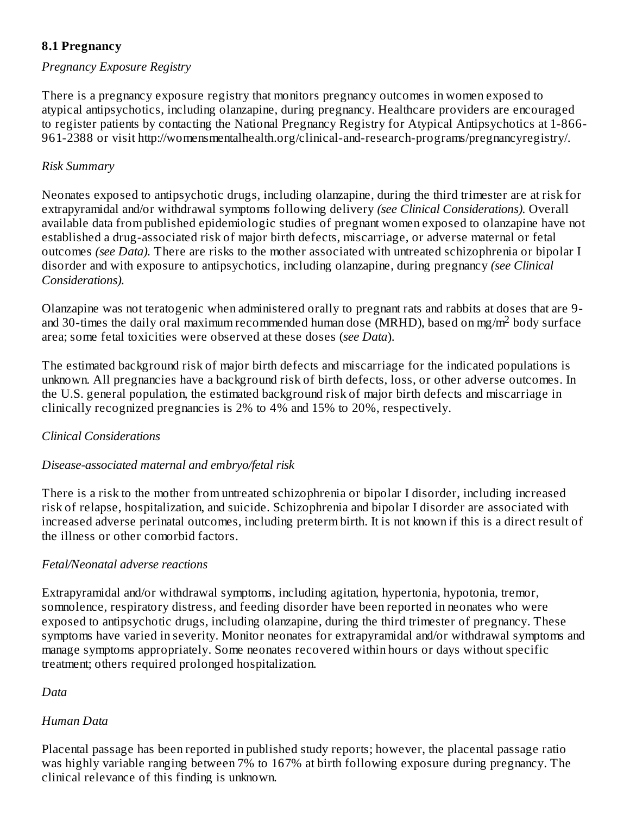#### **8.1 Pregnancy**

#### *Pregnancy Exposure Registry*

There is a pregnancy exposure registry that monitors pregnancy outcomes in women exposed to atypical antipsychotics, including olanzapine, during pregnancy. Healthcare providers are encouraged to register patients by contacting the National Pregnancy Registry for Atypical Antipsychotics at 1-866- 961-2388 or visit http://womensmentalhealth.org/clinical-and-research-programs/pregnancyregistry/.

#### *Risk Summary*

Neonates exposed to antipsychotic drugs, including olanzapine, during the third trimester are at risk for extrapyramidal and/or withdrawal symptoms following delivery *(see Clinical Considerations).* Overall available data from published epidemiologic studies of pregnant women exposed to olanzapine have not established a drug-associated risk of major birth defects, miscarriage, or adverse maternal or fetal outcomes *(see Data).* There are risks to the mother associated with untreated schizophrenia or bipolar I disorder and with exposure to antipsychotics, including olanzapine, during pregnancy *(see Clinical Considerations).*

Olanzapine was not teratogenic when administered orally to pregnant rats and rabbits at doses that are 9 and 30-times the daily oral maximum recommended human dose (MRHD), based on mg/m<sup>2</sup> body surface area; some fetal toxicities were observed at these doses (*see Data*).

The estimated background risk of major birth defects and miscarriage for the indicated populations is unknown. All pregnancies have a background risk of birth defects, loss, or other adverse outcomes. In the U.S. general population, the estimated background risk of major birth defects and miscarriage in clinically recognized pregnancies is 2% to 4% and 15% to 20%, respectively.

#### *Clinical Considerations*

#### *Disease-associated maternal and embryo/fetal risk*

There is a risk to the mother from untreated schizophrenia or bipolar I disorder, including increased risk of relapse, hospitalization, and suicide. Schizophrenia and bipolar I disorder are associated with increased adverse perinatal outcomes, including preterm birth. It is not known if this is a direct result of the illness or other comorbid factors.

#### *Fetal/Neonatal adverse reactions*

Extrapyramidal and/or withdrawal symptoms, including agitation, hypertonia, hypotonia, tremor, somnolence, respiratory distress, and feeding disorder have been reported in neonates who were exposed to antipsychotic drugs, including olanzapine, during the third trimester of pregnancy. These symptoms have varied in severity. Monitor neonates for extrapyramidal and/or withdrawal symptoms and manage symptoms appropriately. Some neonates recovered within hours or days without specific treatment; others required prolonged hospitalization.

#### *Data*

#### *Human Data*

Placental passage has been reported in published study reports; however, the placental passage ratio was highly variable ranging between 7% to 167% at birth following exposure during pregnancy. The clinical relevance of this finding is unknown.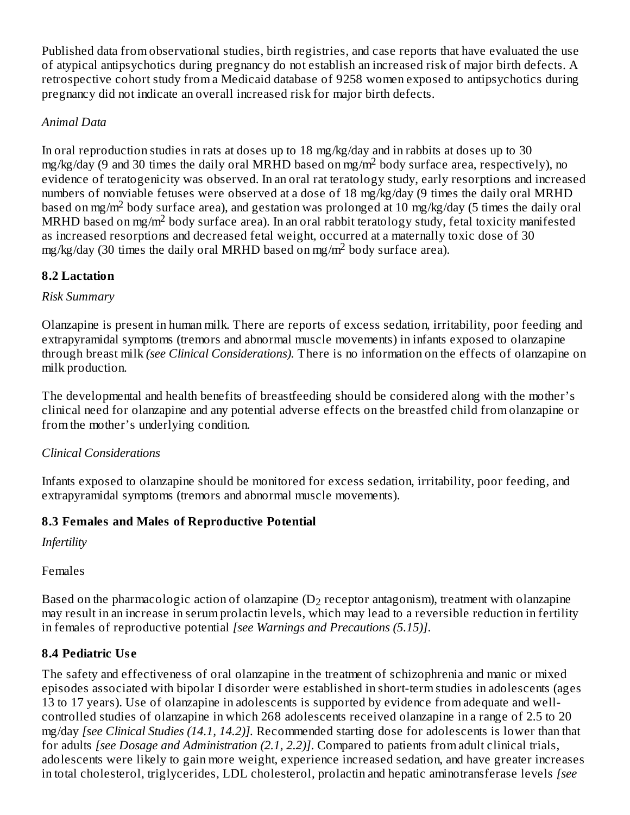Published data from observational studies, birth registries, and case reports that have evaluated the use of atypical antipsychotics during pregnancy do not establish an increased risk of major birth defects. A retrospective cohort study from a Medicaid database of 9258 women exposed to antipsychotics during pregnancy did not indicate an overall increased risk for major birth defects.

### *Animal Data*

In oral reproduction studies in rats at doses up to 18 mg/kg/day and in rabbits at doses up to 30  $mg/kg/day$  (9 and 30 times the daily oral MRHD based on mg/m<sup>2</sup> body surface area, respectively), no evidence of teratogenicity was observed. In an oral rat teratology study, early resorptions and increased numbers of nonviable fetuses were observed at a dose of 18 mg/kg/day (9 times the daily oral MRHD based on mg/m<sup>2</sup> body surface area), and gestation was prolonged at 10 mg/kg/day (5 times the daily oral MRHD based on mg/m<sup>2</sup> body surface area). In an oral rabbit teratology study, fetal toxicity manifested as increased resorptions and decreased fetal weight, occurred at a maternally toxic dose of 30 mg/kg/day (30 times the daily oral MRHD based on mg/m<sup>2</sup> body surface area).

### **8.2 Lactation**

### *Risk Summary*

Olanzapine is present in human milk. There are reports of excess sedation, irritability, poor feeding and extrapyramidal symptoms (tremors and abnormal muscle movements) in infants exposed to olanzapine through breast milk *(see Clinical Considerations).* There is no information on the effects of olanzapine on milk production.

The developmental and health benefits of breastfeeding should be considered along with the mother's clinical need for olanzapine and any potential adverse effects on the breastfed child from olanzapine or from the mother's underlying condition.

### *Clinical Considerations*

Infants exposed to olanzapine should be monitored for excess sedation, irritability, poor feeding, and extrapyramidal symptoms (tremors and abnormal muscle movements).

### **8.3 Females and Males of Reproductive Potential**

*Infertility*

Females

Based on the pharmacologic action of olanzapine (D $_2$  receptor antagonism), treatment with olanzapine may result in an increase in serum prolactin levels, which may lead to a reversible reduction in fertility in females of reproductive potential *[see Warnings and Precautions (5.15)]*.

### **8.4 Pediatric Us e**

The safety and effectiveness of oral olanzapine in the treatment of schizophrenia and manic or mixed episodes associated with bipolar I disorder were established in short-term studies in adolescents (ages 13 to 17 years). Use of olanzapine in adolescents is supported by evidence from adequate and wellcontrolled studies of olanzapine in which 268 adolescents received olanzapine in a range of 2.5 to 20 mg/day *[see Clinical Studies (14.1, 14.2)].* Recommended starting dose for adolescents is lower than that for adults *[see Dosage and Administration (2.1, 2.2)]*. Compared to patients from adult clinical trials, adolescents were likely to gain more weight, experience increased sedation, and have greater increases in total cholesterol, triglycerides, LDL cholesterol, prolactin and hepatic aminotransferase levels *[see*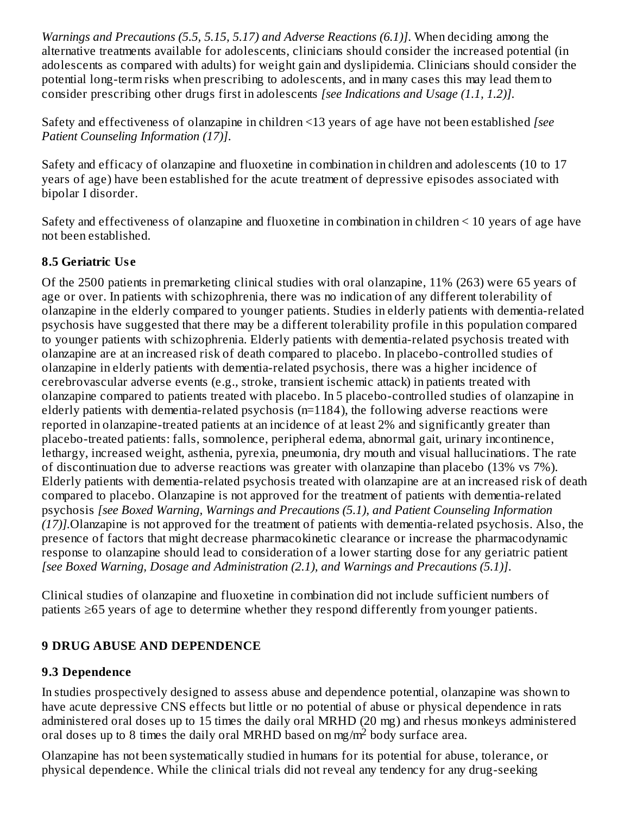*Warnings and Precautions (5.5, 5.15, 5.17) and Adverse Reactions (6.1)]*. When deciding among the alternative treatments available for adolescents, clinicians should consider the increased potential (in adolescents as compared with adults) for weight gain and dyslipidemia. Clinicians should consider the potential long-term risks when prescribing to adolescents, and in many cases this may lead them to consider prescribing other drugs first in adolescents *[see Indications and Usage (1.1, 1.2)]*.

Safety and effectiveness of olanzapine in children <13 years of age have not been established *[see Patient Counseling Information (17)]*.

Safety and efficacy of olanzapine and fluoxetine in combination in children and adolescents (10 to 17 years of age) have been established for the acute treatment of depressive episodes associated with bipolar I disorder.

Safety and effectiveness of olanzapine and fluoxetine in combination in children < 10 years of age have not been established.

### **8.5 Geriatric Us e**

Of the 2500 patients in premarketing clinical studies with oral olanzapine, 11% (263) were 65 years of age or over. In patients with schizophrenia, there was no indication of any different tolerability of olanzapine in the elderly compared to younger patients. Studies in elderly patients with dementia-related psychosis have suggested that there may be a different tolerability profile in this population compared to younger patients with schizophrenia. Elderly patients with dementia-related psychosis treated with olanzapine are at an increased risk of death compared to placebo. In placebo-controlled studies of olanzapine in elderly patients with dementia-related psychosis, there was a higher incidence of cerebrovascular adverse events (e.g., stroke, transient ischemic attack) in patients treated with olanzapine compared to patients treated with placebo. In 5 placebo-controlled studies of olanzapine in elderly patients with dementia-related psychosis (n=1184), the following adverse reactions were reported in olanzapine-treated patients at an incidence of at least 2% and significantly greater than placebo-treated patients: falls, somnolence, peripheral edema, abnormal gait, urinary incontinence, lethargy, increased weight, asthenia, pyrexia, pneumonia, dry mouth and visual hallucinations. The rate of discontinuation due to adverse reactions was greater with olanzapine than placebo (13% vs 7%). Elderly patients with dementia-related psychosis treated with olanzapine are at an increased risk of death compared to placebo. Olanzapine is not approved for the treatment of patients with dementia-related psychosis *[see Boxed Warning, Warnings and Precautions (5.1), and Patient Counseling Information (17)].*Olanzapine is not approved for the treatment of patients with dementia-related psychosis. Also, the presence of factors that might decrease pharmacokinetic clearance or increase the pharmacodynamic response to olanzapine should lead to consideration of a lower starting dose for any geriatric patient *[see Boxed Warning, Dosage and Administration (2.1), and Warnings and Precautions (5.1)]*.

Clinical studies of olanzapine and fluoxetine in combination did not include sufficient numbers of patients ≥65 years of age to determine whether they respond differently from younger patients.

### **9 DRUG ABUSE AND DEPENDENCE**

### **9.3 Dependence**

In studies prospectively designed to assess abuse and dependence potential, olanzapine was shown to have acute depressive CNS effects but little or no potential of abuse or physical dependence in rats administered oral doses up to 15 times the daily oral MRHD (20 mg) and rhesus monkeys administered oral doses up to 8 times the daily oral MRHD based on mg/m<sup>2</sup> body surface area.

Olanzapine has not been systematically studied in humans for its potential for abuse, tolerance, or physical dependence. While the clinical trials did not reveal any tendency for any drug-seeking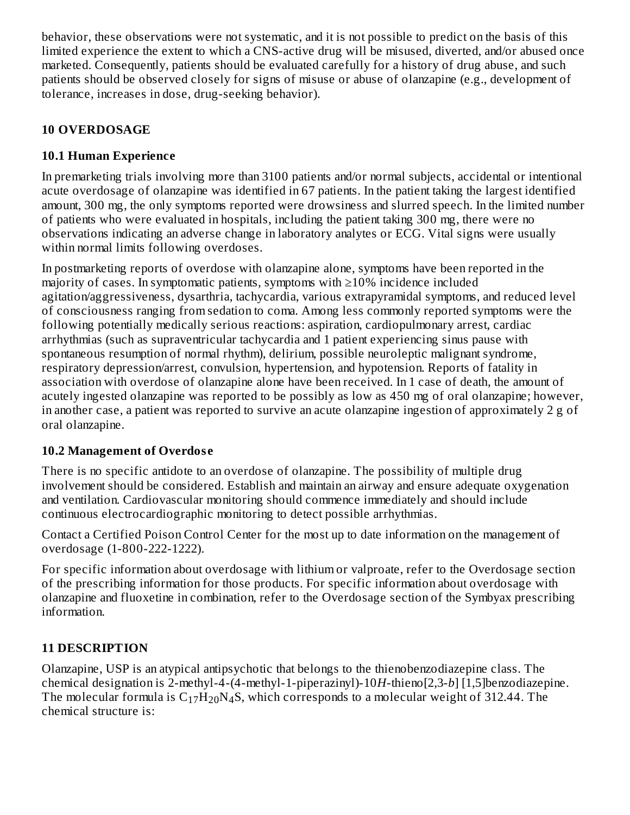behavior, these observations were not systematic, and it is not possible to predict on the basis of this limited experience the extent to which a CNS-active drug will be misused, diverted, and/or abused once marketed. Consequently, patients should be evaluated carefully for a history of drug abuse, and such patients should be observed closely for signs of misuse or abuse of olanzapine (e.g., development of tolerance, increases in dose, drug-seeking behavior).

### **10 OVERDOSAGE**

### **10.1 Human Experience**

In premarketing trials involving more than 3100 patients and/or normal subjects, accidental or intentional acute overdosage of olanzapine was identified in 67 patients. In the patient taking the largest identified amount, 300 mg, the only symptoms reported were drowsiness and slurred speech. In the limited number of patients who were evaluated in hospitals, including the patient taking 300 mg, there were no observations indicating an adverse change in laboratory analytes or ECG. Vital signs were usually within normal limits following overdoses.

In postmarketing reports of overdose with olanzapine alone, symptoms have been reported in the majority of cases. In symptomatic patients, symptoms with ≥10% incidence included agitation/aggressiveness, dysarthria, tachycardia, various extrapyramidal symptoms, and reduced level of consciousness ranging from sedation to coma. Among less commonly reported symptoms were the following potentially medically serious reactions: aspiration, cardiopulmonary arrest, cardiac arrhythmias (such as supraventricular tachycardia and 1 patient experiencing sinus pause with spontaneous resumption of normal rhythm), delirium, possible neuroleptic malignant syndrome, respiratory depression/arrest, convulsion, hypertension, and hypotension. Reports of fatality in association with overdose of olanzapine alone have been received. In 1 case of death, the amount of acutely ingested olanzapine was reported to be possibly as low as 450 mg of oral olanzapine; however, in another case, a patient was reported to survive an acute olanzapine ingestion of approximately 2 g of oral olanzapine.

### **10.2 Management of Overdos e**

There is no specific antidote to an overdose of olanzapine. The possibility of multiple drug involvement should be considered. Establish and maintain an airway and ensure adequate oxygenation and ventilation. Cardiovascular monitoring should commence immediately and should include continuous electrocardiographic monitoring to detect possible arrhythmias.

Contact a Certified Poison Control Center for the most up to date information on the management of overdosage (1-800-222-1222).

For specific information about overdosage with lithium or valproate, refer to the Overdosage section of the prescribing information for those products. For specific information about overdosage with olanzapine and fluoxetine in combination, refer to the Overdosage section of the Symbyax prescribing information.

## **11 DESCRIPTION**

Olanzapine, USP is an atypical antipsychotic that belongs to the thienobenzodiazepine class. The chemical designation is 2-methyl-4-(4-methyl-1-piperazinyl)-10*H*-thieno[2,3-*b*] [1,5]benzodiazepine. The molecular formula is  $\rm C_{17}H_{20}N_4S$ , which corresponds to a molecular weight of 312.44. The chemical structure is: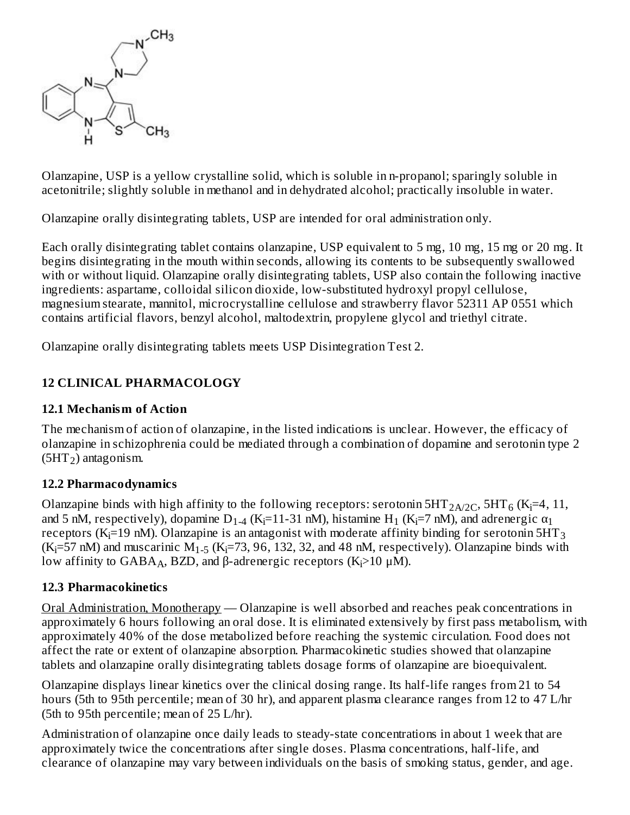

Olanzapine, USP is a yellow crystalline solid, which is soluble in n-propanol; sparingly soluble in acetonitrile; slightly soluble in methanol and in dehydrated alcohol; practically insoluble in water.

Olanzapine orally disintegrating tablets, USP are intended for oral administration only.

Each orally disintegrating tablet contains olanzapine, USP equivalent to 5 mg, 10 mg, 15 mg or 20 mg. It begins disintegrating in the mouth within seconds, allowing its contents to be subsequently swallowed with or without liquid. Olanzapine orally disintegrating tablets, USP also contain the following inactive ingredients: aspartame, colloidal silicon dioxide, low-substituted hydroxyl propyl cellulose, magnesium stearate, mannitol, microcrystalline cellulose and strawberry flavor 52311 AP 0551 which contains artificial flavors, benzyl alcohol, maltodextrin, propylene glycol and triethyl citrate.

Olanzapine orally disintegrating tablets meets USP Disintegration Test 2.

### **12 CLINICAL PHARMACOLOGY**

#### **12.1 Mechanism of Action**

The mechanism of action of olanzapine, in the listed indications is unclear. However, the efficacy of olanzapine in schizophrenia could be mediated through a combination of dopamine and serotonin type 2  $(5HT<sub>2</sub>)$  antagonism.

#### **12.2 Pharmacodynamics**

Olanzapine binds with high affinity to the following receptors: serotonin  $5HT_{2A/2C}$ ,  $5HT_{6}$  (K<sub>i</sub>=4, 11, and 5 nM, respectively), dopamine D<sub>1-4</sub> (K<sub>i</sub>=11-31 nM), histamine H<sub>1</sub> (K<sub>i</sub>=7 nM), and adrenergic  $\alpha_1$ receptors (K<sub>i</sub>=19 nM). Olanzapine is an antagonist with moderate affinity binding for serotonin 5HT<sub>3</sub>  $(K_i=57 \text{ nM})$  and muscarinic  $M_{1-5}$  (K<sub>1</sub>=73, 96, 132, 32, and 48 nM, respectively). Olanzapine binds with low affinity to  $GABA_A$ , BZD, and β-adrenergic receptors (K<sub>i</sub>>10 μM).

#### **12.3 Pharmacokinetics**

Oral Administration, Monotherapy — Olanzapine is well absorbed and reaches peak concentrations in approximately 6 hours following an oral dose. It is eliminated extensively by first pass metabolism, with approximately 40% of the dose metabolized before reaching the systemic circulation. Food does not affect the rate or extent of olanzapine absorption. Pharmacokinetic studies showed that olanzapine tablets and olanzapine orally disintegrating tablets dosage forms of olanzapine are bioequivalent.

Olanzapine displays linear kinetics over the clinical dosing range. Its half-life ranges from 21 to 54 hours (5th to 95th percentile; mean of 30 hr), and apparent plasma clearance ranges from 12 to 47 L/hr (5th to 95th percentile; mean of 25 L/hr).

Administration of olanzapine once daily leads to steady-state concentrations in about 1 week that are approximately twice the concentrations after single doses. Plasma concentrations, half-life, and clearance of olanzapine may vary between individuals on the basis of smoking status, gender, and age.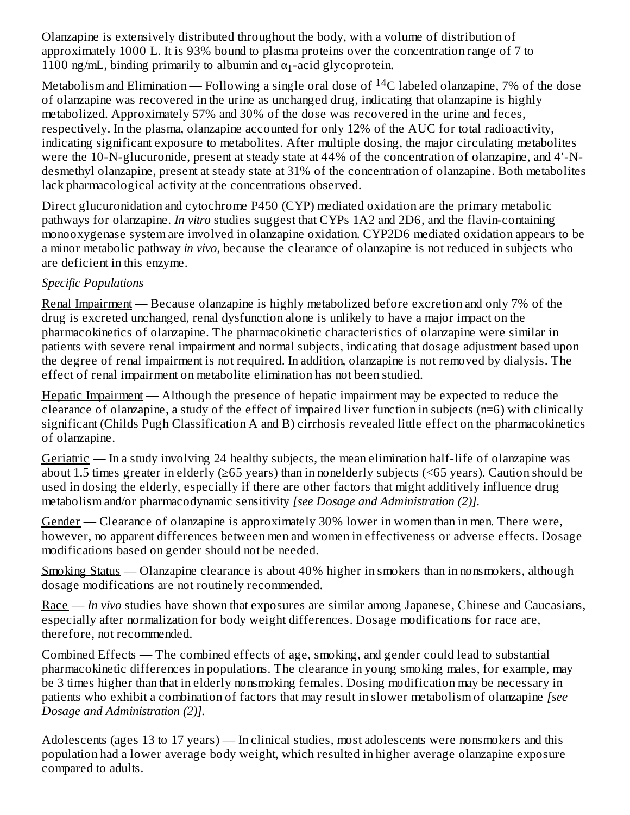Olanzapine is extensively distributed throughout the body, with a volume of distribution of approximately 1000 L. It is 93% bound to plasma proteins over the concentration range of 7 to 1100 ng/mL, binding primarily to albumin and  $\alpha_1$ -acid glycoprotein.

<u>Metabolism and Elimination</u> — Following a single oral dose of  $^{14}$ C labeled olanzapine, 7% of the dose of olanzapine was recovered in the urine as unchanged drug, indicating that olanzapine is highly metabolized. Approximately 57% and 30% of the dose was recovered in the urine and feces, respectively. In the plasma, olanzapine accounted for only 12% of the AUC for total radioactivity, indicating significant exposure to metabolites. After multiple dosing, the major circulating metabolites were the 10-N-glucuronide, present at steady state at 44% of the concentration of olanzapine, and 4′-Ndesmethyl olanzapine, present at steady state at 31% of the concentration of olanzapine. Both metabolites lack pharmacological activity at the concentrations observed.

Direct glucuronidation and cytochrome P450 (CYP) mediated oxidation are the primary metabolic pathways for olanzapine. *In vitro* studies suggest that CYPs 1A2 and 2D6, and the flavin-containing monooxygenase system are involved in olanzapine oxidation. CYP2D6 mediated oxidation appears to be a minor metabolic pathway *in vivo*, because the clearance of olanzapine is not reduced in subjects who are deficient in this enzyme.

### *Specific Populations*

Renal Impairment — Because olanzapine is highly metabolized before excretion and only 7% of the drug is excreted unchanged, renal dysfunction alone is unlikely to have a major impact on the pharmacokinetics of olanzapine. The pharmacokinetic characteristics of olanzapine were similar in patients with severe renal impairment and normal subjects, indicating that dosage adjustment based upon the degree of renal impairment is not required. In addition, olanzapine is not removed by dialysis. The effect of renal impairment on metabolite elimination has not been studied.

Hepatic Impairment — Although the presence of hepatic impairment may be expected to reduce the clearance of olanzapine, a study of the effect of impaired liver function in subjects (n=6) with clinically significant (Childs Pugh Classification A and B) cirrhosis revealed little effect on the pharmacokinetics of olanzapine.

Geriatric — In a study involving 24 healthy subjects, the mean elimination half-life of olanzapine was about 1.5 times greater in elderly (≥65 years) than in nonelderly subjects (<65 years). Caution should be used in dosing the elderly, especially if there are other factors that might additively influence drug metabolism and/or pharmacodynamic sensitivity *[see Dosage and Administration (2)].*

Gender — Clearance of olanzapine is approximately 30% lower in women than in men. There were, however, no apparent differences between men and women in effectiveness or adverse effects. Dosage modifications based on gender should not be needed.

Smoking Status — Olanzapine clearance is about 40% higher in smokers than in nonsmokers, although dosage modifications are not routinely recommended.

Race — *In vivo* studies have shown that exposures are similar among Japanese, Chinese and Caucasians, especially after normalization for body weight differences. Dosage modifications for race are, therefore, not recommended.

Combined Effects — The combined effects of age, smoking, and gender could lead to substantial pharmacokinetic differences in populations. The clearance in young smoking males, for example, may be 3 times higher than that in elderly nonsmoking females. Dosing modification may be necessary in patients who exhibit a combination of factors that may result in slower metabolism of olanzapine *[see Dosage and Administration (2)].*

Adolescents (ages 13 to 17 years) — In clinical studies, most adolescents were nonsmokers and this population had a lower average body weight, which resulted in higher average olanzapine exposure compared to adults.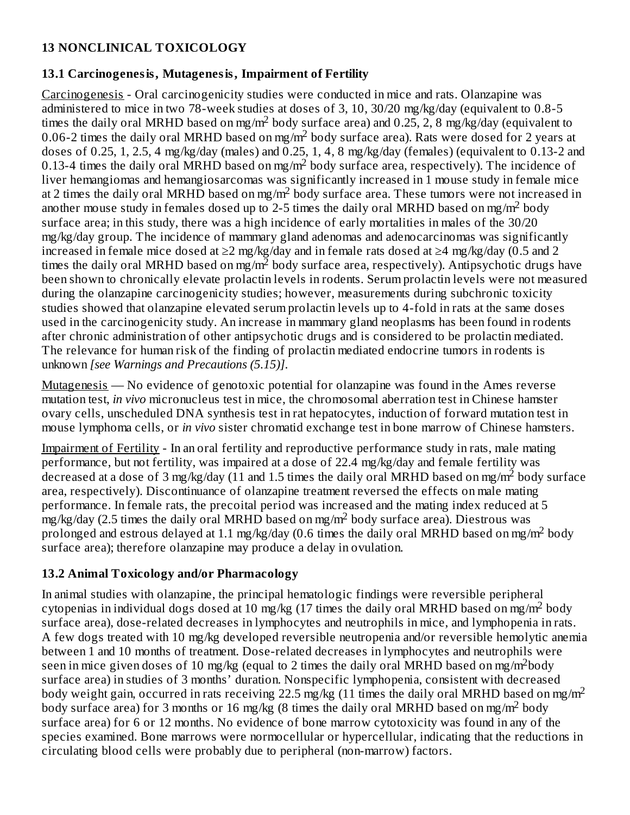### **13 NONCLINICAL TOXICOLOGY**

#### **13.1 Carcinogenesis, Mutagenesis, Impairment of Fertility**

Carcinogenesis - Oral carcinogenicity studies were conducted in mice and rats. Olanzapine was administered to mice in two 78-week studies at doses of 3, 10, 30/20 mg/kg/day (equivalent to 0.8-5 times the daily oral MRHD based on mg/m<sup>2</sup> body surface area) and 0.25, 2, 8 mg/kg/day (equivalent to 0.06-2 times the daily oral MRHD based on mg/m<sup>2</sup> body surface area). Rats were dosed for 2 years at doses of 0.25, 1, 2.5, 4 mg/kg/day (males) and 0.25, 1, 4, 8 mg/kg/day (females) (equivalent to 0.13-2 and 0.13-4 times the daily oral MRHD based on mg/m<sup>2</sup> body surface area, respectively). The incidence of liver hemangiomas and hemangiosarcomas was significantly increased in 1 mouse study in female mice at 2 times the daily oral MRHD based on mg/m<sup>2</sup> body surface area. These tumors were not increased in another mouse study in females dosed up to 2-5 times the daily oral MRHD based on mg/m<sup>2</sup> body surface area; in this study, there was a high incidence of early mortalities in males of the 30/20 mg/kg/day group. The incidence of mammary gland adenomas and adenocarcinomas was significantly increased in female mice dosed at ≥2 mg/kg/day and in female rats dosed at ≥4 mg/kg/day (0.5 and 2 times the daily oral MRHD based on mg/m<sup>2</sup> body surface area, respectively). Antipsychotic drugs have been shown to chronically elevate prolactin levels in rodents. Serum prolactin levels were not measured during the olanzapine carcinogenicity studies; however, measurements during subchronic toxicity studies showed that olanzapine elevated serum prolactin levels up to 4-fold in rats at the same doses used in the carcinogenicity study. An increase in mammary gland neoplasms has been found in rodents after chronic administration of other antipsychotic drugs and is considered to be prolactin mediated. The relevance for human risk of the finding of prolactin mediated endocrine tumors in rodents is unknown *[see Warnings and Precautions (5.15)]*.

Mutagenesis — No evidence of genotoxic potential for olanzapine was found in the Ames reverse mutation test, *in vivo* micronucleus test in mice, the chromosomal aberration test in Chinese hamster ovary cells, unscheduled DNA synthesis test in rat hepatocytes, induction of forward mutation test in mouse lymphoma cells, or *in vivo* sister chromatid exchange test in bone marrow of Chinese hamsters.

Impairment of Fertility - In an oral fertility and reproductive performance study in rats, male mating performance, but not fertility, was impaired at a dose of 22.4 mg/kg/day and female fertility was decreased at a dose of 3 mg/kg/day (11 and 1.5 times the daily oral MRHD based on mg/m<sup>2</sup> body surface area, respectively). Discontinuance of olanzapine treatment reversed the effects on male mating performance. In female rats, the precoital period was increased and the mating index reduced at 5  ${\rm mg/kg/day}$  (2.5 times the daily oral MRHD based on mg/m<sup>2</sup> body surface area). Diestrous was prolonged and estrous delayed at 1.1 mg/kg/day (0.6 times the daily oral MRHD based on mg/m<sup>2</sup> body surface area); therefore olanzapine may produce a delay in ovulation.

### **13.2 Animal Toxicology and/or Pharmacology**

In animal studies with olanzapine, the principal hematologic findings were reversible peripheral cytopenias in individual dogs dosed at 10 mg/kg (17 times the daily oral MRHD based on mg/m<sup>2</sup> body surface area), dose-related decreases in lymphocytes and neutrophils in mice, and lymphopenia in rats. A few dogs treated with 10 mg/kg developed reversible neutropenia and/or reversible hemolytic anemia between 1 and 10 months of treatment. Dose-related decreases in lymphocytes and neutrophils were seen in mice given doses of 10 mg/kg (equal to 2 times the daily oral MRHD based on mg/m<sup>2</sup>body surface area) in studies of 3 months' duration. Nonspecific lymphopenia, consistent with decreased body weight gain, occurred in rats receiving 22.5 mg/kg (11 times the daily oral MRHD based on mg/m $^2$ body surface area) for 3 months or 16 mg/kg (8 times the daily oral MRHD based on mg/m<sup>2</sup> body surface area) for 6 or 12 months. No evidence of bone marrow cytotoxicity was found in any of the species examined. Bone marrows were normocellular or hypercellular, indicating that the reductions in circulating blood cells were probably due to peripheral (non-marrow) factors.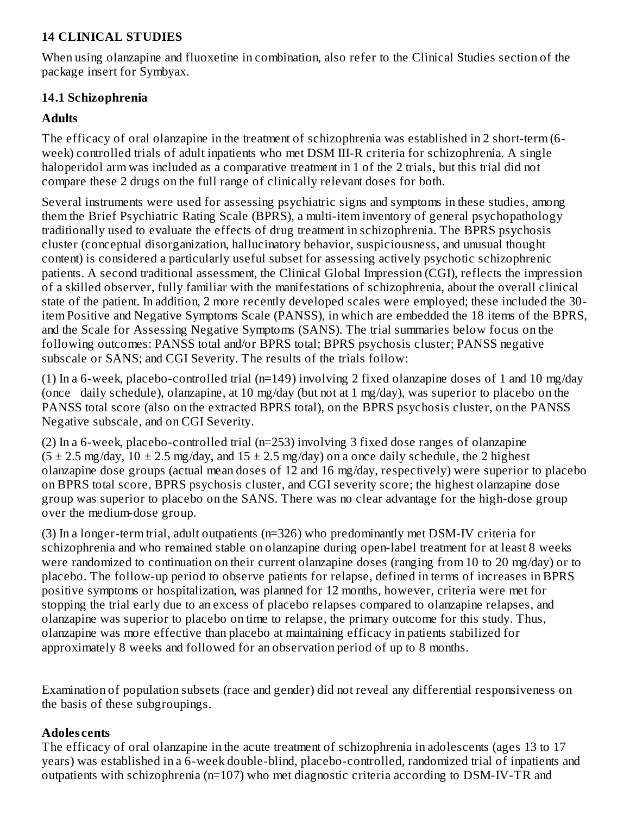### **14 CLINICAL STUDIES**

When using olanzapine and fluoxetine in combination, also refer to the Clinical Studies section of the package insert for Symbyax.

### **14.1 Schizophrenia**

#### **Adults**

The efficacy of oral olanzapine in the treatment of schizophrenia was established in 2 short-term (6 week) controlled trials of adult inpatients who met DSM III-R criteria for schizophrenia. A single haloperidol arm was included as a comparative treatment in 1 of the 2 trials, but this trial did not compare these 2 drugs on the full range of clinically relevant doses for both.

Several instruments were used for assessing psychiatric signs and symptoms in these studies, among them the Brief Psychiatric Rating Scale (BPRS), a multi-item inventory of general psychopathology traditionally used to evaluate the effects of drug treatment in schizophrenia. The BPRS psychosis cluster (conceptual disorganization, hallucinatory behavior, suspiciousness, and unusual thought content) is considered a particularly useful subset for assessing actively psychotic schizophrenic patients. A second traditional assessment, the Clinical Global Impression (CGI), reflects the impression of a skilled observer, fully familiar with the manifestations of schizophrenia, about the overall clinical state of the patient. In addition, 2 more recently developed scales were employed; these included the 30 item Positive and Negative Symptoms Scale (PANSS), in which are embedded the 18 items of the BPRS, and the Scale for Assessing Negative Symptoms (SANS). The trial summaries below focus on the following outcomes: PANSS total and/or BPRS total; BPRS psychosis cluster; PANSS negative subscale or SANS; and CGI Severity. The results of the trials follow:

(1) In a 6-week, placebo-controlled trial (n=149) involving 2 fixed olanzapine doses of 1 and 10 mg/day (once daily schedule), olanzapine, at 10 mg/day (but not at 1 mg/day), was superior to placebo on the PANSS total score (also on the extracted BPRS total), on the BPRS psychosis cluster, on the PANSS Negative subscale, and on CGI Severity.

(2) In a 6-week, placebo-controlled trial (n=253) involving 3 fixed dose ranges of olanzapine  $(5 \pm 2.5 \text{ mg/day}, 10 \pm 2.5 \text{ mg/day}, \text{and } 15 \pm 2.5 \text{ mg/day})$  on a once daily schedule, the 2 highest olanzapine dose groups (actual mean doses of 12 and 16 mg/day, respectively) were superior to placebo on BPRS total score, BPRS psychosis cluster, and CGI severity score; the highest olanzapine dose group was superior to placebo on the SANS. There was no clear advantage for the high-dose group over the medium-dose group.

(3) In a longer-term trial, adult outpatients (n=326) who predominantly met DSM-IV criteria for schizophrenia and who remained stable on olanzapine during open-label treatment for at least 8 weeks were randomized to continuation on their current olanzapine doses (ranging from 10 to 20 mg/day) or to placebo. The follow-up period to observe patients for relapse, defined in terms of increases in BPRS positive symptoms or hospitalization, was planned for 12 months, however, criteria were met for stopping the trial early due to an excess of placebo relapses compared to olanzapine relapses, and olanzapine was superior to placebo on time to relapse, the primary outcome for this study. Thus, olanzapine was more effective than placebo at maintaining efficacy in patients stabilized for approximately 8 weeks and followed for an observation period of up to 8 months.

Examination of population subsets (race and gender) did not reveal any differential responsiveness on the basis of these subgroupings.

#### **Adoles cents**

The efficacy of oral olanzapine in the acute treatment of schizophrenia in adolescents (ages 13 to 17 years) was established in a 6-week double-blind, placebo-controlled, randomized trial of inpatients and outpatients with schizophrenia (n=107) who met diagnostic criteria according to DSM-IV-TR and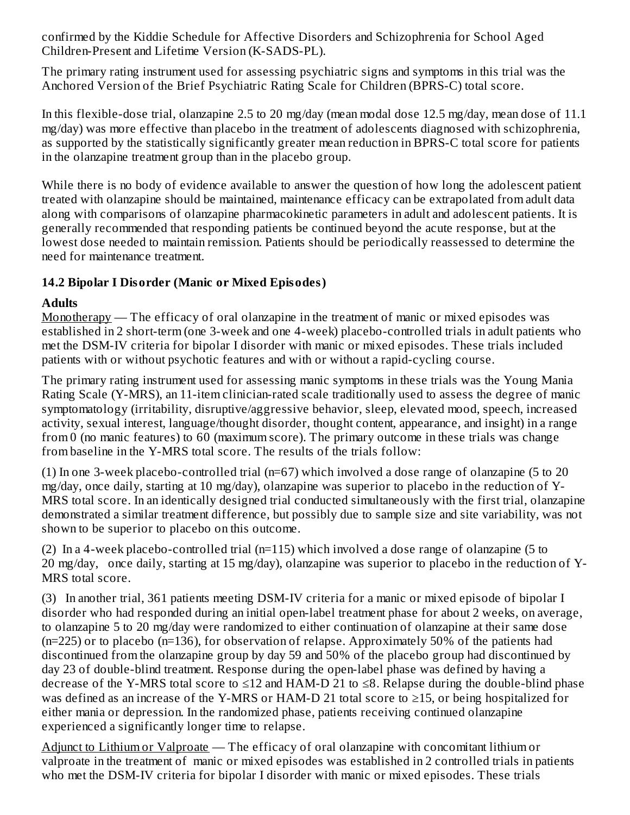confirmed by the Kiddie Schedule for Affective Disorders and Schizophrenia for School Aged Children-Present and Lifetime Version (K-SADS-PL).

The primary rating instrument used for assessing psychiatric signs and symptoms in this trial was the Anchored Version of the Brief Psychiatric Rating Scale for Children (BPRS-C) total score.

In this flexible-dose trial, olanzapine 2.5 to 20 mg/day (mean modal dose 12.5 mg/day, mean dose of 11.1 mg/day) was more effective than placebo in the treatment of adolescents diagnosed with schizophrenia, as supported by the statistically significantly greater mean reduction in BPRS-C total score for patients in the olanzapine treatment group than in the placebo group.

While there is no body of evidence available to answer the question of how long the adolescent patient treated with olanzapine should be maintained, maintenance efficacy can be extrapolated from adult data along with comparisons of olanzapine pharmacokinetic parameters in adult and adolescent patients. It is generally recommended that responding patients be continued beyond the acute response, but at the lowest dose needed to maintain remission. Patients should be periodically reassessed to determine the need for maintenance treatment.

### **14.2 Bipolar I Disorder (Manic or Mixed Episodes)**

### **Adults**

Monotherapy — The efficacy of oral olanzapine in the treatment of manic or mixed episodes was established in 2 short-term (one 3-week and one 4-week) placebo-controlled trials in adult patients who met the DSM-IV criteria for bipolar I disorder with manic or mixed episodes. These trials included patients with or without psychotic features and with or without a rapid-cycling course.

The primary rating instrument used for assessing manic symptoms in these trials was the Young Mania Rating Scale (Y-MRS), an 11-item clinician-rated scale traditionally used to assess the degree of manic symptomatology (irritability, disruptive/aggressive behavior, sleep, elevated mood, speech, increased activity, sexual interest, language/thought disorder, thought content, appearance, and insight) in a range from 0 (no manic features) to 60 (maximum score). The primary outcome in these trials was change from baseline in the Y-MRS total score. The results of the trials follow:

(1) In one 3-week placebo-controlled trial (n=67) which involved a dose range of olanzapine (5 to 20 mg/day, once daily, starting at 10 mg/day), olanzapine was superior to placebo in the reduction of Y-MRS total score. In an identically designed trial conducted simultaneously with the first trial, olanzapine demonstrated a similar treatment difference, but possibly due to sample size and site variability, was not shown to be superior to placebo on this outcome.

(2) In a 4-week placebo-controlled trial (n=115) which involved a dose range of olanzapine (5 to 20 mg/day, once daily, starting at 15 mg/day), olanzapine was superior to placebo in the reduction of Y-MRS total score.

(3) In another trial, 361 patients meeting DSM-IV criteria for a manic or mixed episode of bipolar I disorder who had responded during an initial open-label treatment phase for about 2 weeks, on average, to olanzapine 5 to 20 mg/day were randomized to either continuation of olanzapine at their same dose (n=225) or to placebo (n=136), for observation of relapse. Approximately 50% of the patients had discontinued from the olanzapine group by day 59 and 50% of the placebo group had discontinued by day 23 of double-blind treatment. Response during the open-label phase was defined by having a decrease of the Y-MRS total score to ≤12 and HAM-D 21 to ≤8. Relapse during the double-blind phase was defined as an increase of the Y-MRS or HAM-D 21 total score to ≥15, or being hospitalized for either mania or depression. In the randomized phase, patients receiving continued olanzapine experienced a significantly longer time to relapse.

Adjunct to Lithium or Valproate — The efficacy of oral olanzapine with concomitant lithium or valproate in the treatment of manic or mixed episodes was established in 2 controlled trials in patients who met the DSM-IV criteria for bipolar I disorder with manic or mixed episodes. These trials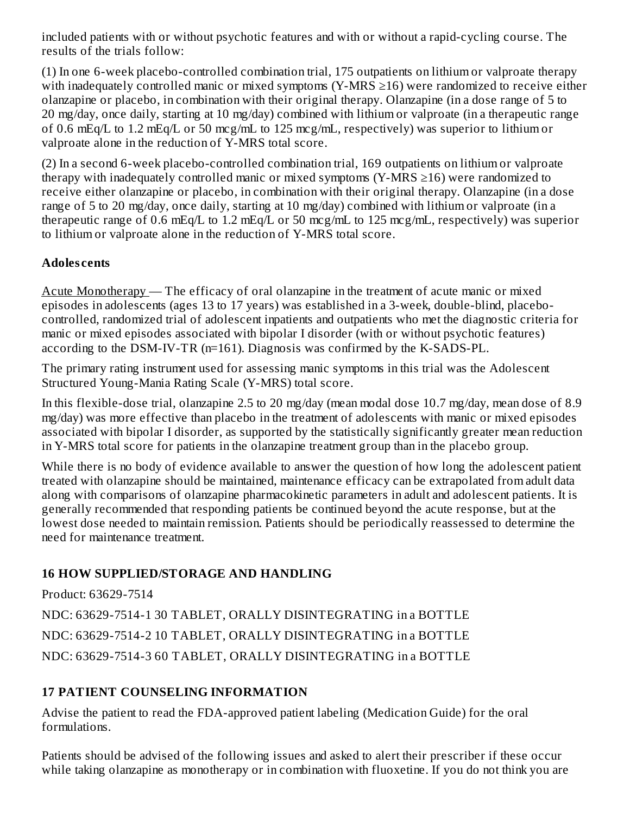included patients with or without psychotic features and with or without a rapid-cycling course. The results of the trials follow:

(1) In one 6-week placebo-controlled combination trial, 175 outpatients on lithium or valproate therapy with inadequately controlled manic or mixed symptoms (Y-MRS  $\geq$ 16) were randomized to receive either olanzapine or placebo, in combination with their original therapy. Olanzapine (in a dose range of 5 to 20 mg/day, once daily, starting at 10 mg/day) combined with lithium or valproate (in a therapeutic range of 0.6 mEq/L to 1.2 mEq/L or 50 mcg/mL to 125 mcg/mL, respectively) was superior to lithium or valproate alone in the reduction of Y-MRS total score.

(2) In a second 6-week placebo-controlled combination trial, 169 outpatients on lithium or valproate therapy with inadequately controlled manic or mixed symptoms (Y-MRS  $\geq$ 16) were randomized to receive either olanzapine or placebo, in combination with their original therapy. Olanzapine (in a dose range of 5 to 20 mg/day, once daily, starting at 10 mg/day) combined with lithium or valproate (in a therapeutic range of 0.6 mEq/L to 1.2 mEq/L or 50 mcg/mL to 125 mcg/mL, respectively) was superior to lithium or valproate alone in the reduction of Y-MRS total score.

### **Adoles cents**

Acute Monotherapy — The efficacy of oral olanzapine in the treatment of acute manic or mixed episodes in adolescents (ages 13 to 17 years) was established in a 3-week, double-blind, placebocontrolled, randomized trial of adolescent inpatients and outpatients who met the diagnostic criteria for manic or mixed episodes associated with bipolar I disorder (with or without psychotic features) according to the DSM-IV-TR (n=161). Diagnosis was confirmed by the K-SADS-PL.

The primary rating instrument used for assessing manic symptoms in this trial was the Adolescent Structured Young-Mania Rating Scale (Y-MRS) total score.

In this flexible-dose trial, olanzapine 2.5 to 20 mg/day (mean modal dose 10.7 mg/day, mean dose of 8.9 mg/day) was more effective than placebo in the treatment of adolescents with manic or mixed episodes associated with bipolar I disorder, as supported by the statistically significantly greater mean reduction in Y-MRS total score for patients in the olanzapine treatment group than in the placebo group.

While there is no body of evidence available to answer the question of how long the adolescent patient treated with olanzapine should be maintained, maintenance efficacy can be extrapolated from adult data along with comparisons of olanzapine pharmacokinetic parameters in adult and adolescent patients. It is generally recommended that responding patients be continued beyond the acute response, but at the lowest dose needed to maintain remission. Patients should be periodically reassessed to determine the need for maintenance treatment.

### **16 HOW SUPPLIED/STORAGE AND HANDLING**

Product: 63629-7514 NDC: 63629-7514-1 30 TABLET, ORALLY DISINTEGRATING in a BOTTLE NDC: 63629-7514-2 10 TABLET, ORALLY DISINTEGRATING in a BOTTLE NDC: 63629-7514-3 60 TABLET, ORALLY DISINTEGRATING in a BOTTLE

### **17 PATIENT COUNSELING INFORMATION**

Advise the patient to read the FDA-approved patient labeling (Medication Guide) for the oral formulations.

Patients should be advised of the following issues and asked to alert their prescriber if these occur while taking olanzapine as monotherapy or in combination with fluoxetine. If you do not think you are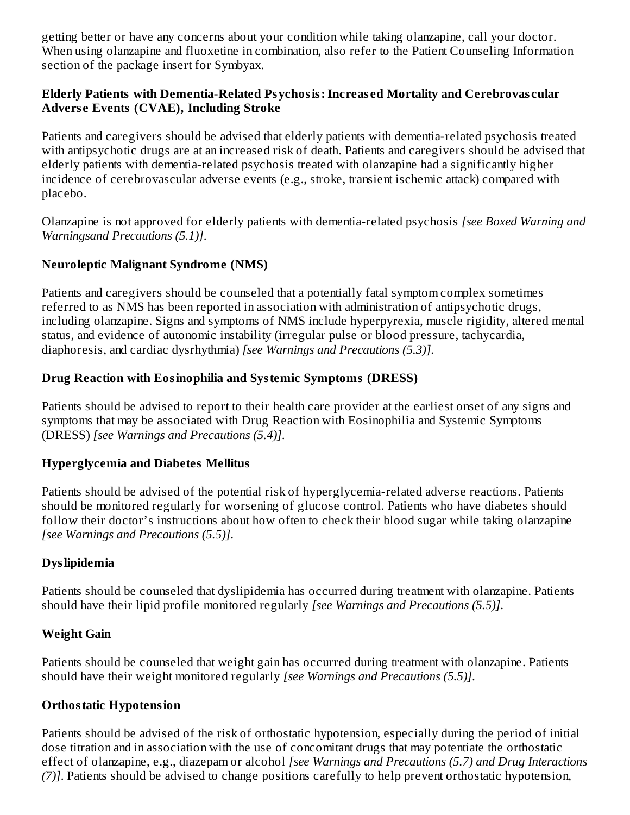getting better or have any concerns about your condition while taking olanzapine, call your doctor. When using olanzapine and fluoxetine in combination, also refer to the Patient Counseling Information section of the package insert for Symbyax.

#### **Elderly Patients with Dementia-Related Psychosis:Increas ed Mortality and Cerebrovas cular Advers e Events (CVAE), Including Stroke**

Patients and caregivers should be advised that elderly patients with dementia-related psychosis treated with antipsychotic drugs are at an increased risk of death. Patients and caregivers should be advised that elderly patients with dementia-related psychosis treated with olanzapine had a significantly higher incidence of cerebrovascular adverse events (e.g., stroke, transient ischemic attack) compared with placebo.

Olanzapine is not approved for elderly patients with dementia-related psychosis *[see Boxed Warning and Warningsand Precautions (5.1)]*.

#### **Neuroleptic Malignant Syndrome (NMS)**

Patients and caregivers should be counseled that a potentially fatal symptom complex sometimes referred to as NMS has been reported in association with administration of antipsychotic drugs, including olanzapine. Signs and symptoms of NMS include hyperpyrexia, muscle rigidity, altered mental status, and evidence of autonomic instability (irregular pulse or blood pressure, tachycardia, diaphoresis, and cardiac dysrhythmia) *[see Warnings and Precautions (5.3)]*.

#### **Drug Reaction with Eosinophilia and Systemic Symptoms (DRESS)**

Patients should be advised to report to their health care provider at the earliest onset of any signs and symptoms that may be associated with Drug Reaction with Eosinophilia and Systemic Symptoms (DRESS) *[see Warnings and Precautions (5.4)]*.

#### **Hyperglycemia and Diabetes Mellitus**

Patients should be advised of the potential risk of hyperglycemia-related adverse reactions. Patients should be monitored regularly for worsening of glucose control. Patients who have diabetes should follow their doctor's instructions about how often to check their blood sugar while taking olanzapine *[see Warnings and Precautions (5.5)]*.

### **Dyslipidemia**

Patients should be counseled that dyslipidemia has occurred during treatment with olanzapine. Patients should have their lipid profile monitored regularly *[see Warnings and Precautions (5.5)]*.

### **Weight Gain**

Patients should be counseled that weight gain has occurred during treatment with olanzapine. Patients should have their weight monitored regularly *[see Warnings and Precautions (5.5)]*.

#### **Orthostatic Hypotension**

Patients should be advised of the risk of orthostatic hypotension, especially during the period of initial dose titration and in association with the use of concomitant drugs that may potentiate the orthostatic effect of olanzapine, e.g., diazepam or alcohol *[see Warnings and Precautions (5.7) and Drug Interactions (7)]*. Patients should be advised to change positions carefully to help prevent orthostatic hypotension,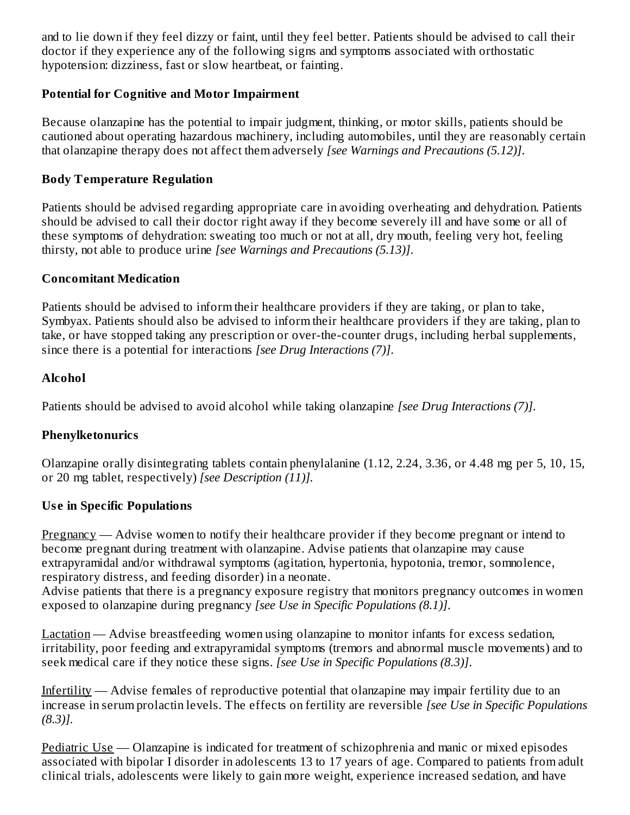and to lie down if they feel dizzy or faint, until they feel better. Patients should be advised to call their doctor if they experience any of the following signs and symptoms associated with orthostatic hypotension: dizziness, fast or slow heartbeat, or fainting.

#### **Potential for Cognitive and Motor Impairment**

Because olanzapine has the potential to impair judgment, thinking, or motor skills, patients should be cautioned about operating hazardous machinery, including automobiles, until they are reasonably certain that olanzapine therapy does not affect them adversely *[see Warnings and Precautions (5.12)]*.

#### **Body Temperature Regulation**

Patients should be advised regarding appropriate care in avoiding overheating and dehydration. Patients should be advised to call their doctor right away if they become severely ill and have some or all of these symptoms of dehydration: sweating too much or not at all, dry mouth, feeling very hot, feeling thirsty, not able to produce urine *[see Warnings and Precautions (5.13)]*.

#### **Concomitant Medication**

Patients should be advised to inform their healthcare providers if they are taking, or plan to take, Symbyax. Patients should also be advised to inform their healthcare providers if they are taking, plan to take, or have stopped taking any prescription or over-the-counter drugs, including herbal supplements, since there is a potential for interactions *[see Drug Interactions (7)]*.

#### **Alcohol**

Patients should be advised to avoid alcohol while taking olanzapine *[see Drug Interactions (7)]*.

#### **Phenylketonurics**

Olanzapine orally disintegrating tablets contain phenylalanine (1.12, 2.24, 3.36, or 4.48 mg per 5, 10, 15, or 20 mg tablet, respectively) *[see Description (11)].*

#### **Us e in Specific Populations**

Pregnancy — Advise women to notify their healthcare provider if they become pregnant or intend to become pregnant during treatment with olanzapine. Advise patients that olanzapine may cause extrapyramidal and/or withdrawal symptoms (agitation, hypertonia, hypotonia, tremor, somnolence, respiratory distress, and feeding disorder) in a neonate.

Advise patients that there is a pregnancy exposure registry that monitors pregnancy outcomes in women exposed to olanzapine during pregnancy *[see Use in Specific Populations (8.1)]*.

Lactation — Advise breastfeeding women using olanzapine to monitor infants for excess sedation, irritability, poor feeding and extrapyramidal symptoms (tremors and abnormal muscle movements) and to seek medical care if they notice these signs. *[see Use in Specific Populations (8.3)]*.

Infertility — Advise females of reproductive potential that olanzapine may impair fertility due to an increase in serum prolactin levels. The effects on fertility are reversible *[see Use in Specific Populations (8.3)].*

Pediatric Use — Olanzapine is indicated for treatment of schizophrenia and manic or mixed episodes associated with bipolar I disorder in adolescents 13 to 17 years of age. Compared to patients from adult clinical trials, adolescents were likely to gain more weight, experience increased sedation, and have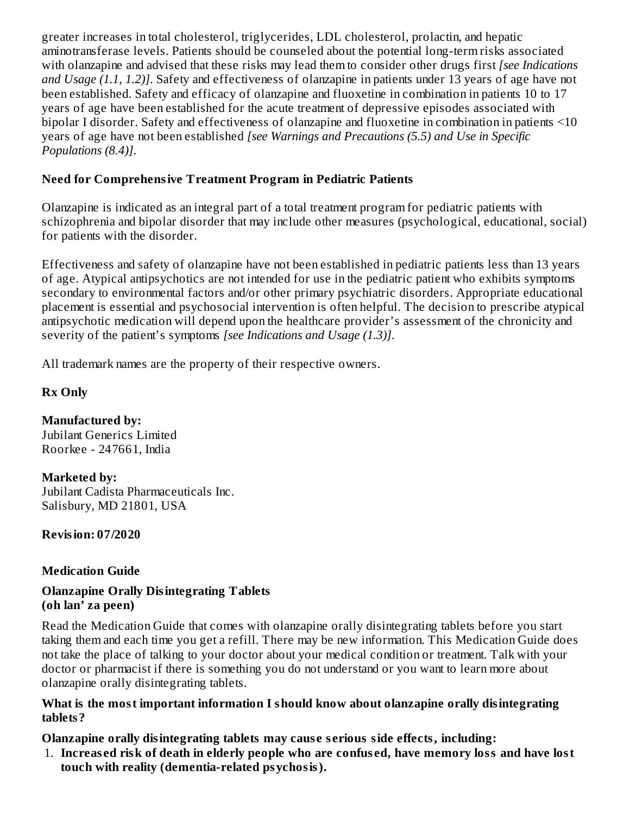greater increases in total cholesterol, triglycerides, LDL cholesterol, prolactin, and hepatic aminotransferase levels. Patients should be counseled about the potential long-term risks associated with olanzapine and advised that these risks may lead them to consider other drugs first *[see Indications and Usage (1.1, 1.2)]*. Safety and effectiveness of olanzapine in patients under 13 years of age have not been established. Safety and efficacy of olanzapine and fluoxetine in combination in patients 10 to 17 years of age have been established for the acute treatment of depressive episodes associated with bipolar I disorder. Safety and effectiveness of olanzapine and fluoxetine in combination in patients <10 years of age have not been established *[see Warnings and Precautions (5.5) and Use in Specific Populations (8.4)]*.

### **Need for Comprehensive Treatment Program in Pediatric Patients**

Olanzapine is indicated as an integral part of a total treatment program for pediatric patients with schizophrenia and bipolar disorder that may include other measures (psychological, educational, social) for patients with the disorder.

Effectiveness and safety of olanzapine have not been established in pediatric patients less than 13 years of age. Atypical antipsychotics are not intended for use in the pediatric patient who exhibits symptoms secondary to environmental factors and/or other primary psychiatric disorders. Appropriate educational placement is essential and psychosocial intervention is often helpful. The decision to prescribe atypical antipsychotic medication will depend upon the healthcare provider's assessment of the chronicity and severity of the patient's symptoms *[see Indications and Usage (1.3)]*.

All trademark names are the property of their respective owners.

### **Rx Only**

**Manufactured by:** Jubilant Generics Limited Roorkee - 247661, India

## **Marketed by:**

Jubilant Cadista Pharmaceuticals Inc. Salisbury, MD 21801, USA

**Revision: 07/2020**

### **Medication Guide**

### **Olanzapine Orally Disintegrating Tablets (oh lan' za peen)**

Read the Medication Guide that comes with olanzapine orally disintegrating tablets before you start taking them and each time you get a refill. There may be new information. This Medication Guide does not take the place of talking to your doctor about your medical condition or treatment. Talk with your doctor or pharmacist if there is something you do not understand or you want to learn more about olanzapine orally disintegrating tablets.

#### **What is the most important information I should know about olanzapine orally disintegrating tablets?**

**Olanzapine orally disintegrating tablets may caus e s erious side effects, including:**

1. **Increas ed risk of death in elderly people who are confus ed, have memory loss and have lost touch with reality (dementia-related psychosis).**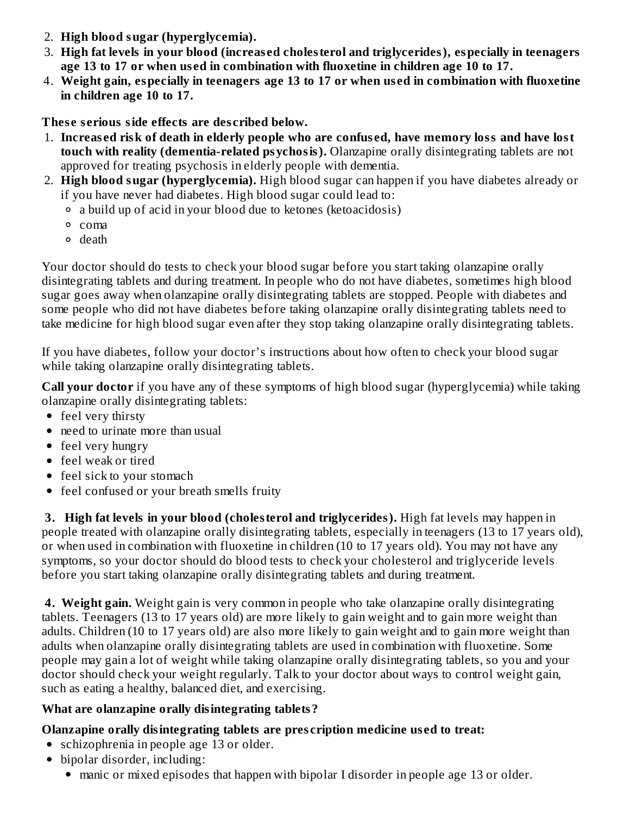- 2. **High blood sugar (hyperglycemia).**
- 3. **High fat levels in your blood (increas ed cholesterol and triglycerides), especially in teenagers age 13 to 17 or when us ed in combination with fluoxetine in children age 10 to 17.**
- 4. **Weight gain, especially in teenagers age 13 to 17 or when us ed in combination with fluoxetine in children age 10 to 17.**

**Thes e s erious side effects are des cribed below.**

- 1. **Increas ed risk of death in elderly people who are confus ed, have memory loss and have lost touch with reality (dementia-related psychosis).** Olanzapine orally disintegrating tablets are not approved for treating psychosis in elderly people with dementia.
- 2. **High blood sugar (hyperglycemia).** High blood sugar can happen if you have diabetes already or if you have never had diabetes. High blood sugar could lead to:
	- a build up of acid in your blood due to ketones (ketoacidosis)
	- coma
	- death

Your doctor should do tests to check your blood sugar before you start taking olanzapine orally disintegrating tablets and during treatment. In people who do not have diabetes, sometimes high blood sugar goes away when olanzapine orally disintegrating tablets are stopped. People with diabetes and some people who did not have diabetes before taking olanzapine orally disintegrating tablets need to take medicine for high blood sugar even after they stop taking olanzapine orally disintegrating tablets.

If you have diabetes, follow your doctor's instructions about how often to check your blood sugar while taking olanzapine orally disintegrating tablets.

**Call your doctor** if you have any of these symptoms of high blood sugar (hyperglycemia) while taking olanzapine orally disintegrating tablets:

- feel very thirsty
- need to urinate more than usual
- feel very hungry
- feel weak or tired
- feel sick to your stomach
- feel confused or your breath smells fruity

**3. High fat levels in your blood (cholesterol and triglycerides).** High fat levels may happen in people treated with olanzapine orally disintegrating tablets, especially in teenagers (13 to 17 years old), or when used in combination with fluoxetine in children (10 to 17 years old). You may not have any symptoms, so your doctor should do blood tests to check your cholesterol and triglyceride levels before you start taking olanzapine orally disintegrating tablets and during treatment.

**4. Weight gain.** Weight gain is very common in people who take olanzapine orally disintegrating tablets. Teenagers (13 to 17 years old) are more likely to gain weight and to gain more weight than adults. Children (10 to 17 years old) are also more likely to gain weight and to gain more weight than adults when olanzapine orally disintegrating tablets are used in combination with fluoxetine. Some people may gain a lot of weight while taking olanzapine orally disintegrating tablets, so you and your doctor should check your weight regularly. Talk to your doctor about ways to control weight gain, such as eating a healthy, balanced diet, and exercising.

### **What are olanzapine orally disintegrating tablets?**

### **Olanzapine orally disintegrating tablets are pres cription medicine us ed to treat:**

- schizophrenia in people age 13 or older.
- bipolar disorder, including:
	- manic or mixed episodes that happen with bipolar I disorder in people age 13 or older.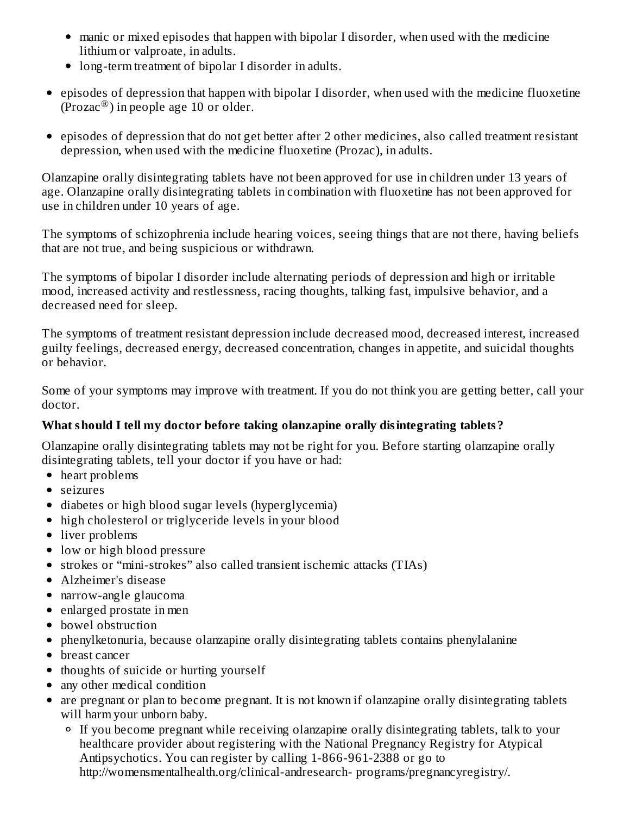- manic or mixed episodes that happen with bipolar I disorder, when used with the medicine lithium or valproate, in adults.
- long-term treatment of bipolar I disorder in adults.
- episodes of depression that happen with bipolar I disorder, when used with the medicine fluoxetine  $(\overline{\text{Prozac}}^{\circledR})$  in people age 10 or older.
- episodes of depression that do not get better after 2 other medicines, also called treatment resistant depression, when used with the medicine fluoxetine (Prozac), in adults.

Olanzapine orally disintegrating tablets have not been approved for use in children under 13 years of age. Olanzapine orally disintegrating tablets in combination with fluoxetine has not been approved for use in children under 10 years of age.

The symptoms of schizophrenia include hearing voices, seeing things that are not there, having beliefs that are not true, and being suspicious or withdrawn.

The symptoms of bipolar I disorder include alternating periods of depression and high or irritable mood, increased activity and restlessness, racing thoughts, talking fast, impulsive behavior, and a decreased need for sleep.

The symptoms of treatment resistant depression include decreased mood, decreased interest, increased guilty feelings, decreased energy, decreased concentration, changes in appetite, and suicidal thoughts or behavior.

Some of your symptoms may improve with treatment. If you do not think you are getting better, call your doctor.

### **What should I tell my doctor before taking olanzapine orally disintegrating tablets?**

Olanzapine orally disintegrating tablets may not be right for you. Before starting olanzapine orally disintegrating tablets, tell your doctor if you have or had:

- heart problems
- seizures
- diabetes or high blood sugar levels (hyperglycemia)
- high cholesterol or triglyceride levels in your blood
- liver problems
- low or high blood pressure
- strokes or "mini-strokes" also called transient ischemic attacks (TIAs)
- Alzheimer's disease
- narrow-angle glaucoma
- enlarged prostate in men
- bowel obstruction
- phenylketonuria, because olanzapine orally disintegrating tablets contains phenylalanine
- breast cancer
- thoughts of suicide or hurting yourself
- any other medical condition
- are pregnant or plan to become pregnant. It is not known if olanzapine orally disintegrating tablets will harm your unborn baby.
	- If you become pregnant while receiving olanzapine orally disintegrating tablets, talk to your healthcare provider about registering with the National Pregnancy Registry for Atypical Antipsychotics. You can register by calling 1-866-961-2388 or go to http://womensmentalhealth.org/clinical-andresearch- programs/pregnancyregistry/.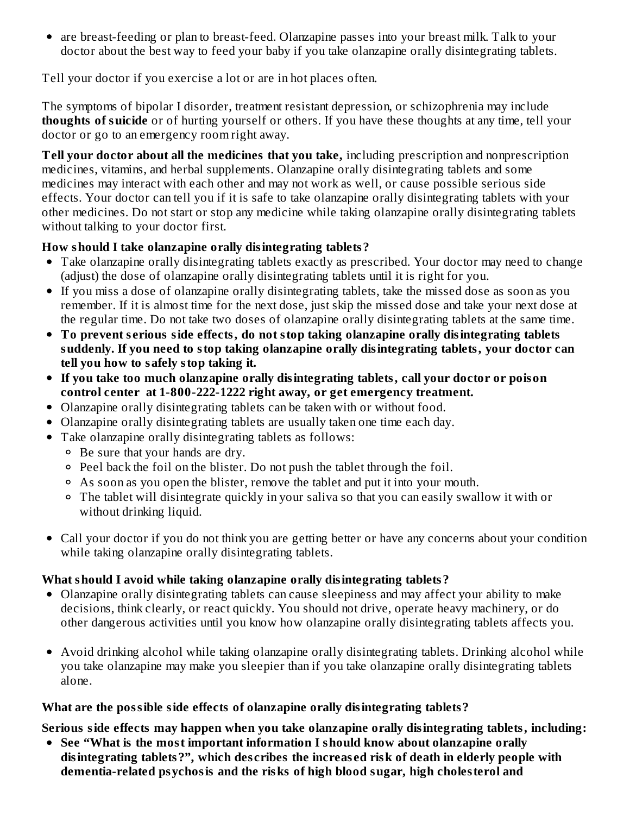are breast-feeding or plan to breast-feed. Olanzapine passes into your breast milk. Talk to your doctor about the best way to feed your baby if you take olanzapine orally disintegrating tablets.

Tell your doctor if you exercise a lot or are in hot places often.

The symptoms of bipolar I disorder, treatment resistant depression, or schizophrenia may include **thoughts of suicide** or of hurting yourself or others. If you have these thoughts at any time, tell your doctor or go to an emergency room right away.

**Tell your doctor about all the medicines that you take,** including prescription and nonprescription medicines, vitamins, and herbal supplements. Olanzapine orally disintegrating tablets and some medicines may interact with each other and may not work as well, or cause possible serious side effects. Your doctor can tell you if it is safe to take olanzapine orally disintegrating tablets with your other medicines. Do not start or stop any medicine while taking olanzapine orally disintegrating tablets without talking to your doctor first.

### **How should I take olanzapine orally disintegrating tablets?**

- Take olanzapine orally disintegrating tablets exactly as prescribed. Your doctor may need to change (adjust) the dose of olanzapine orally disintegrating tablets until it is right for you.
- If you miss a dose of olanzapine orally disintegrating tablets, take the missed dose as soon as you remember. If it is almost time for the next dose, just skip the missed dose and take your next dose at the regular time. Do not take two doses of olanzapine orally disintegrating tablets at the same time.
- **To prevent s erious side effects, do not stop taking olanzapine orally disintegrating tablets suddenly. If you need to stop taking olanzapine orally disintegrating tablets, your doctor can tell you how to safely stop taking it.**
- **If you take too much olanzapine orally disintegrating tablets, call your doctor or poison control center at 1-800-222-1222 right away, or get emergency treatment.**
- Olanzapine orally disintegrating tablets can be taken with or without food.
- Olanzapine orally disintegrating tablets are usually taken one time each day.
- Take olanzapine orally disintegrating tablets as follows:
	- Be sure that your hands are dry.
	- Peel back the foil on the blister. Do not push the tablet through the foil.
	- As soon as you open the blister, remove the tablet and put it into your mouth.
	- The tablet will disintegrate quickly in your saliva so that you can easily swallow it with or without drinking liquid.
- Call your doctor if you do not think you are getting better or have any concerns about your condition while taking olanzapine orally disintegrating tablets.

### **What should I avoid while taking olanzapine orally disintegrating tablets?**

- Olanzapine orally disintegrating tablets can cause sleepiness and may affect your ability to make decisions, think clearly, or react quickly. You should not drive, operate heavy machinery, or do other dangerous activities until you know how olanzapine orally disintegrating tablets affects you.
- Avoid drinking alcohol while taking olanzapine orally disintegrating tablets. Drinking alcohol while you take olanzapine may make you sleepier than if you take olanzapine orally disintegrating tablets alone.

### **What are the possible side effects of olanzapine orally disintegrating tablets?**

**Serious side effects may happen when you take olanzapine orally disintegrating tablets, including:**

**See "What is the most important information I should know about olanzapine orally disintegrating tablets?", which des cribes the increas ed risk of death in elderly people with dementia-related psychosis and the risks of high blood sugar, high cholesterol and**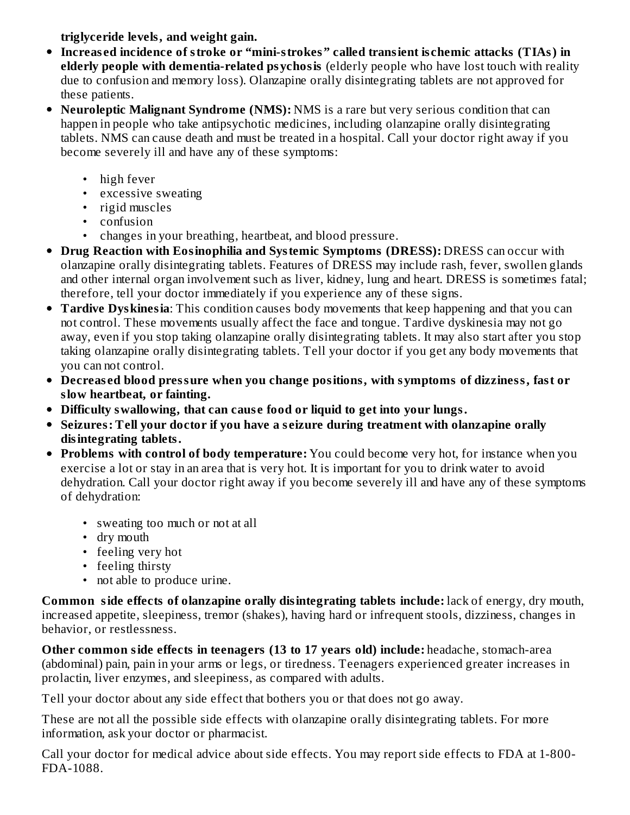**triglyceride levels, and weight gain.**

- **Increas ed incidence of stroke or "mini-strokes" called transient is chemic attacks (TIAs) in elderly people with dementia-related psychosis** (elderly people who have lost touch with reality due to confusion and memory loss). Olanzapine orally disintegrating tablets are not approved for these patients.
- **Neuroleptic Malignant Syndrome (NMS):** NMS is a rare but very serious condition that can happen in people who take antipsychotic medicines, including olanzapine orally disintegrating tablets. NMS can cause death and must be treated in a hospital. Call your doctor right away if you become severely ill and have any of these symptoms:
	- high fever
	- excessive sweating
	- rigid muscles
	- confusion
	- changes in your breathing, heartbeat, and blood pressure.
- **Drug Reaction with Eosinophilia and Systemic Symptoms (DRESS):** DRESS can occur with olanzapine orally disintegrating tablets. Features of DRESS may include rash, fever, swollen glands and other internal organ involvement such as liver, kidney, lung and heart. DRESS is sometimes fatal; therefore, tell your doctor immediately if you experience any of these signs.
- **Tardive Dyskinesia**: This condition causes body movements that keep happening and that you can not control. These movements usually affect the face and tongue. Tardive dyskinesia may not go away, even if you stop taking olanzapine orally disintegrating tablets. It may also start after you stop taking olanzapine orally disintegrating tablets. Tell your doctor if you get any body movements that you can not control.
- **Decreas ed blood pressure when you change positions, with symptoms of dizziness, fast or slow heartbeat, or fainting.**
- **Difficulty swallowing, that can caus e food or liquid to get into your lungs.**
- **Seizures: Tell your doctor if you have a s eizure during treatment with olanzapine orally disintegrating tablets.**
- **Problems with control of body temperature:** You could become very hot, for instance when you exercise a lot or stay in an area that is very hot. It is important for you to drink water to avoid dehydration. Call your doctor right away if you become severely ill and have any of these symptoms of dehydration:
	- sweating too much or not at all
	- dry mouth
	- feeling very hot
	- feeling thirsty
	- not able to produce urine.

**Common side effects of olanzapine orally disintegrating tablets include:** lack of energy, dry mouth, increased appetite, sleepiness, tremor (shakes), having hard or infrequent stools, dizziness, changes in behavior, or restlessness.

**Other common side effects in teenagers (13 to 17 years old) include:** headache, stomach-area (abdominal) pain, pain in your arms or legs, or tiredness. Teenagers experienced greater increases in prolactin, liver enzymes, and sleepiness, as compared with adults.

Tell your doctor about any side effect that bothers you or that does not go away.

These are not all the possible side effects with olanzapine orally disintegrating tablets. For more information, ask your doctor or pharmacist.

Call your doctor for medical advice about side effects. You may report side effects to FDA at 1-800- FDA-1088.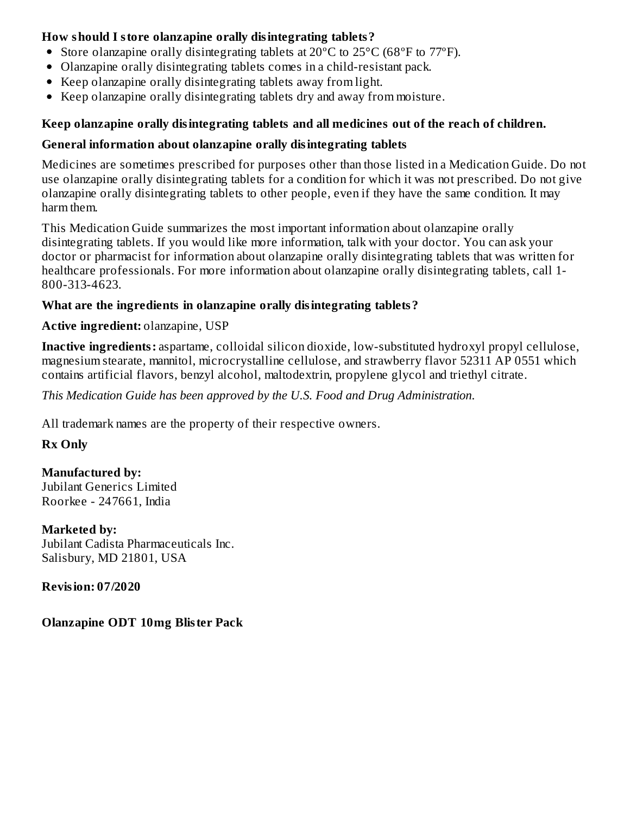### **How should I store olanzapine orally disintegrating tablets?**

- Store olanzapine orally disintegrating tablets at 20°C to 25°C (68°F to 77°F).
- Olanzapine orally disintegrating tablets comes in a child-resistant pack.
- Keep olanzapine orally disintegrating tablets away from light.
- Keep olanzapine orally disintegrating tablets dry and away from moisture.

### **Keep olanzapine orally disintegrating tablets and all medicines out of the reach of children.**

### **General information about olanzapine orally disintegrating tablets**

Medicines are sometimes prescribed for purposes other than those listed in a Medication Guide. Do not use olanzapine orally disintegrating tablets for a condition for which it was not prescribed. Do not give olanzapine orally disintegrating tablets to other people, even if they have the same condition. It may harm them.

This Medication Guide summarizes the most important information about olanzapine orally disintegrating tablets. If you would like more information, talk with your doctor. You can ask your doctor or pharmacist for information about olanzapine orally disintegrating tablets that was written for healthcare professionals. For more information about olanzapine orally disintegrating tablets, call 1- 800-313-4623.

### **What are the ingredients in olanzapine orally disintegrating tablets?**

### **Active ingredient:** olanzapine, USP

**Inactive ingredients:** aspartame, colloidal silicon dioxide, low-substituted hydroxyl propyl cellulose, magnesium stearate, mannitol, microcrystalline cellulose, and strawberry flavor 52311 AP 0551 which contains artificial flavors, benzyl alcohol, maltodextrin, propylene glycol and triethyl citrate.

*This Medication Guide has been approved by the U.S. Food and Drug Administration.*

All trademark names are the property of their respective owners.

### **Rx Only**

### **Manufactured by:**

Jubilant Generics Limited Roorkee - 247661, India

**Marketed by:** Jubilant Cadista Pharmaceuticals Inc. Salisbury, MD 21801, USA

**Revision: 07/2020**

#### **Olanzapine ODT 10mg Blister Pack**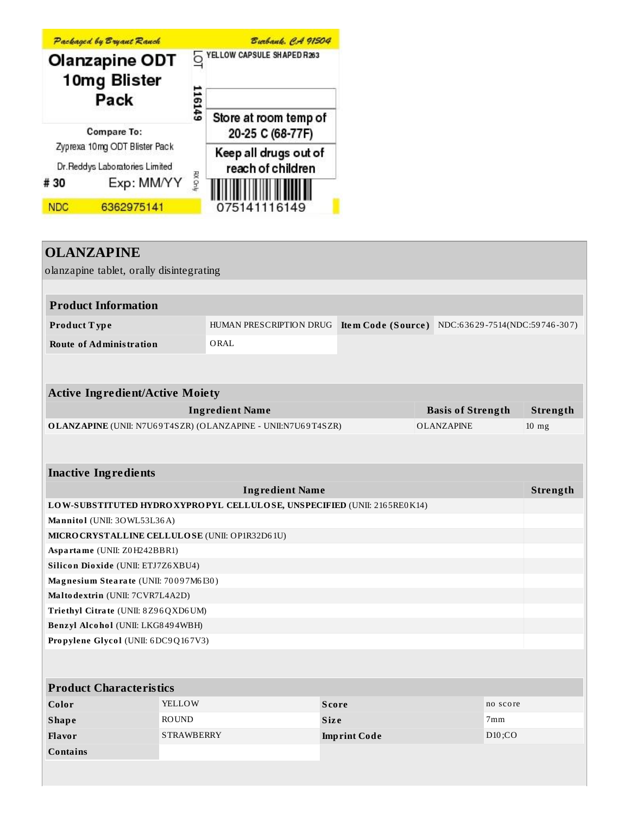| Packaged by Engant Ranch                                                                                   |      | Burbank. CA 91504                                      |                                                                |  |
|------------------------------------------------------------------------------------------------------------|------|--------------------------------------------------------|----------------------------------------------------------------|--|
| <b>Olanzapine ODT</b><br>10mg Blister                                                                      |      | YELLOW CAPSULE SHAPED R263<br>$\overline{Q}$<br>116149 |                                                                |  |
|                                                                                                            | Pack |                                                        | Store at room temp of                                          |  |
| <b>Compare To:</b><br>Zyprexa 10mg ODT Blister Pack<br>Dr.Reddys Laboratories Limited<br>Exp: MM/YY<br>#30 |      |                                                        | 20-25 C (68-77F)<br>Keep all drugs out of<br>reach of children |  |
|                                                                                                            |      |                                                        |                                                                |  |
|                                                                                                            |      | <b>NDC</b>                                             | 6362975141                                                     |  |

# **OLANZAPINE**

| olanzapine tablet, orally disintegrating                                 |                                                              |                                                  |                          |          |                 |
|--------------------------------------------------------------------------|--------------------------------------------------------------|--------------------------------------------------|--------------------------|----------|-----------------|
|                                                                          |                                                              |                                                  |                          |          |                 |
| <b>Product Information</b>                                               |                                                              |                                                  |                          |          |                 |
| Product Type                                                             | HUMAN PRESCRIPTION DRUG                                      | Item Code (Source) NDC:63629-7514(NDC:59746-307) |                          |          |                 |
| <b>Route of Administration</b>                                           | ORAL                                                         |                                                  |                          |          |                 |
|                                                                          |                                                              |                                                  |                          |          |                 |
|                                                                          |                                                              |                                                  |                          |          |                 |
| <b>Active Ingredient/Active Moiety</b>                                   |                                                              |                                                  |                          |          |                 |
|                                                                          | <b>Ingredient Name</b>                                       |                                                  | <b>Basis of Strength</b> |          | <b>Strength</b> |
|                                                                          | OLANZAPINE (UNII: N7U69T4SZR) (OLANZAPINE - UNII:N7U69T4SZR) |                                                  | <b>OLANZAPINE</b>        |          | $10$ mg         |
|                                                                          |                                                              |                                                  |                          |          |                 |
|                                                                          |                                                              |                                                  |                          |          |                 |
| <b>Inactive Ingredients</b>                                              |                                                              |                                                  |                          |          |                 |
|                                                                          | <b>Ingredient Name</b>                                       |                                                  |                          |          | Strength        |
| LOW-SUBSTITUTED HYDRO XYPROPYL CELLULOSE, UNSPECIFIED (UNII: 2165RE0K14) |                                                              |                                                  |                          |          |                 |
| Mannitol (UNII: 30WL53L36A)                                              |                                                              |                                                  |                          |          |                 |
| MICRO CRYSTALLINE CELLULO SE (UNII: OP1R32D61U)                          |                                                              |                                                  |                          |          |                 |
| Aspartame (UNII: Z0H242BBR1)                                             |                                                              |                                                  |                          |          |                 |
| Silicon Dioxide (UNII: ETJ7Z6XBU4)                                       |                                                              |                                                  |                          |          |                 |
| Magnesium Stearate (UNII: 70097M6I30)                                    |                                                              |                                                  |                          |          |                 |
| Maltodextrin (UNII: 7CVR7L4A2D)                                          |                                                              |                                                  |                          |          |                 |
| Triethyl Citrate (UNII: 8Z96QXD6UM)                                      |                                                              |                                                  |                          |          |                 |
| Benzyl Alcohol (UNII: LKG8494WBH)                                        |                                                              |                                                  |                          |          |                 |
| Propylene Glycol (UNII: 6DC9Q167V3)                                      |                                                              |                                                  |                          |          |                 |
|                                                                          |                                                              |                                                  |                          |          |                 |
| <b>Product Characteristics</b>                                           |                                                              |                                                  |                          |          |                 |
|                                                                          |                                                              |                                                  |                          |          |                 |
| <b>YELLOW</b><br>Color                                                   |                                                              | Score                                            |                          | no score |                 |

| Color           | YELLOW            | Score               | no score |
|-----------------|-------------------|---------------------|----------|
| <b>Shape</b>    | ROUND             | <b>Size</b>         | 7mm      |
| <b>Flavor</b>   | <b>STRAWBERRY</b> | <b>Imprint Code</b> | D10;CO   |
| <b>Contains</b> |                   |                     |          |